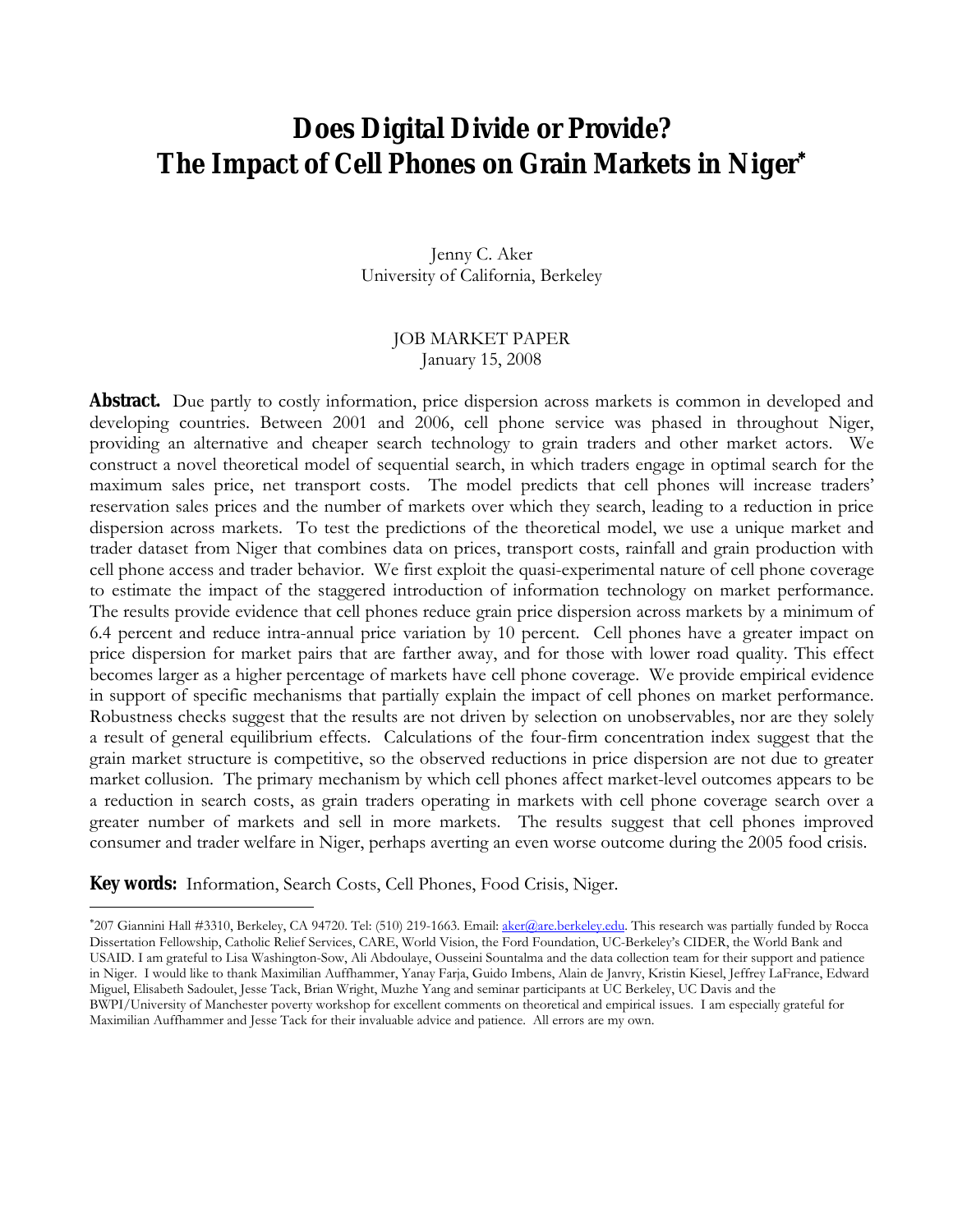# **Does Digital Divide or Provide? The Impact of Cell Phones on Grain Markets in Niger**

Jenny C. Aker University of California, Berkeley

#### JOB MARKET PAPER January 15, 2008

**Abstract.** Due partly to costly information, price dispersion across markets is common in developed and developing countries. Between 2001 and 2006, cell phone service was phased in throughout Niger, providing an alternative and cheaper search technology to grain traders and other market actors. We construct a novel theoretical model of sequential search, in which traders engage in optimal search for the maximum sales price, net transport costs. The model predicts that cell phones will increase traders' reservation sales prices and the number of markets over which they search, leading to a reduction in price dispersion across markets. To test the predictions of the theoretical model, we use a unique market and trader dataset from Niger that combines data on prices, transport costs, rainfall and grain production with cell phone access and trader behavior. We first exploit the quasi-experimental nature of cell phone coverage to estimate the impact of the staggered introduction of information technology on market performance. The results provide evidence that cell phones reduce grain price dispersion across markets by a minimum of 6.4 percent and reduce intra-annual price variation by 10 percent. Cell phones have a greater impact on price dispersion for market pairs that are farther away, and for those with lower road quality. This effect becomes larger as a higher percentage of markets have cell phone coverage. We provide empirical evidence in support of specific mechanisms that partially explain the impact of cell phones on market performance. Robustness checks suggest that the results are not driven by selection on unobservables, nor are they solely a result of general equilibrium effects. Calculations of the four-firm concentration index suggest that the grain market structure is competitive, so the observed reductions in price dispersion are not due to greater market collusion. The primary mechanism by which cell phones affect market-level outcomes appears to be a reduction in search costs, as grain traders operating in markets with cell phone coverage search over a greater number of markets and sell in more markets. The results suggest that cell phones improved consumer and trader welfare in Niger, perhaps averting an even worse outcome during the 2005 food crisis.

**Key words:** Information, Search Costs, Cell Phones, Food Crisis, Niger.

<sup>\*207</sup> Giannini Hall #3310, Berkeley, CA 94720. Tel: (510) 219-1663. Email: aker@are.berkeley.edu. This research was partially funded by Rocca Dissertation Fellowship, Catholic Relief Services, CARE, World Vision, the Ford Foundation, UC-Berkeley's CIDER, the World Bank and USAID. I am grateful to Lisa Washington-Sow, Ali Abdoulaye, Ousseini Sountalma and the data collection team for their support and patience in Niger. I would like to thank Maximilian Auffhammer, Yanay Farja, Guido Imbens, Alain de Janvry, Kristin Kiesel, Jeffrey LaFrance, Edward Miguel, Elisabeth Sadoulet, Jesse Tack, Brian Wright, Muzhe Yang and seminar participants at UC Berkeley, UC Davis and the BWPI/University of Manchester poverty workshop for excellent comments on theoretical and empirical issues. I am especially grateful for Maximilian Auffhammer and Jesse Tack for their invaluable advice and patience. All errors are my own.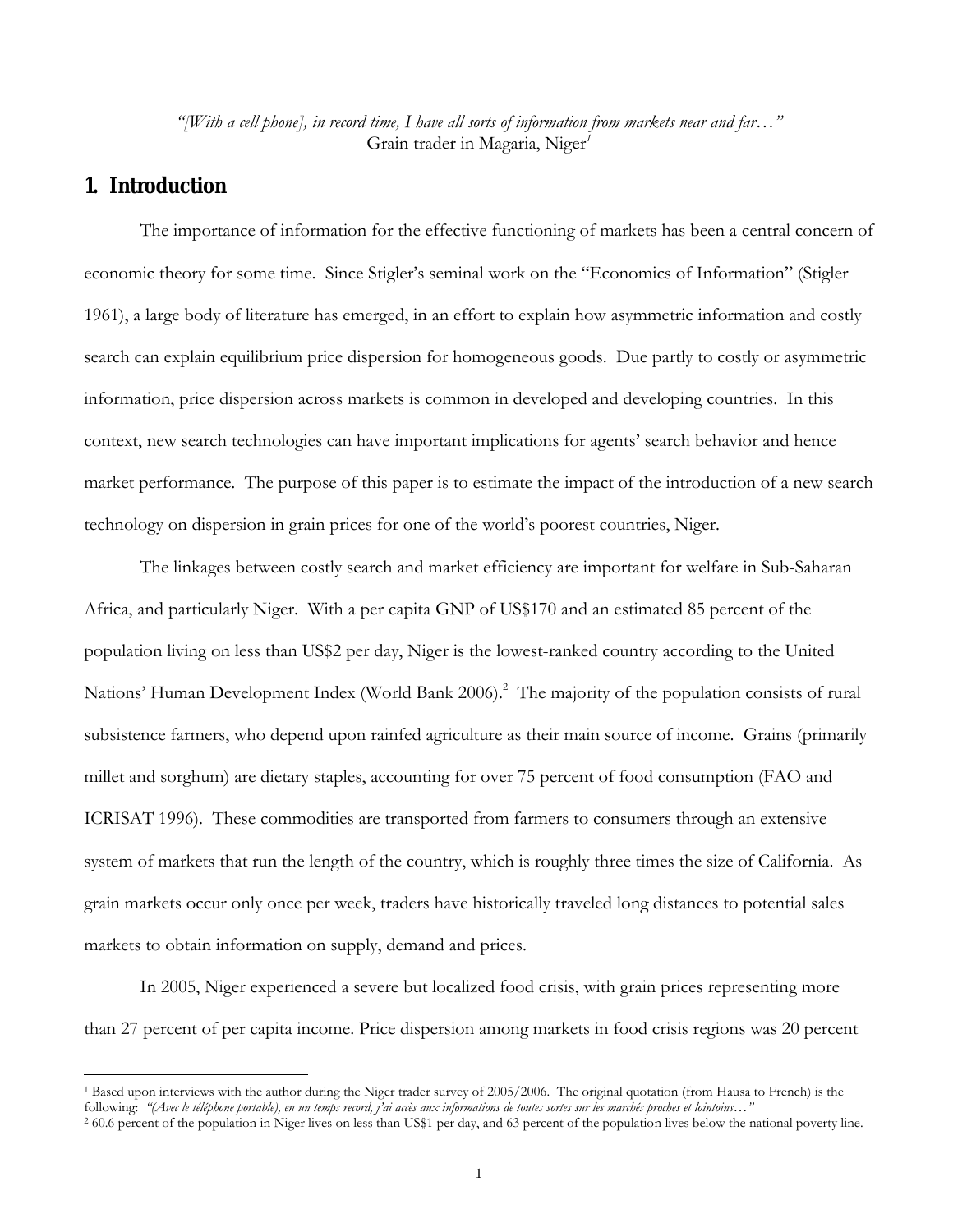*"[With a cell phone], in record time, I have all sorts of information from markets near and far…"* Grain trader in Magaria, Niger*<sup>1</sup>*

# **1. Introduction**

 $\overline{a}$ 

The importance of information for the effective functioning of markets has been a central concern of economic theory for some time. Since Stigler's seminal work on the "Economics of Information" (Stigler 1961), a large body of literature has emerged, in an effort to explain how asymmetric information and costly search can explain equilibrium price dispersion for homogeneous goods. Due partly to costly or asymmetric information, price dispersion across markets is common in developed and developing countries. In this context, new search technologies can have important implications for agents' search behavior and hence market performance. The purpose of this paper is to estimate the impact of the introduction of a new search technology on dispersion in grain prices for one of the world's poorest countries, Niger.

The linkages between costly search and market efficiency are important for welfare in Sub-Saharan Africa, and particularly Niger. With a per capita GNP of US\$170 and an estimated 85 percent of the population living on less than US\$2 per day, Niger is the lowest-ranked country according to the United Nations' Human Development Index (World Bank 2006).<sup>2</sup> The majority of the population consists of rural subsistence farmers, who depend upon rainfed agriculture as their main source of income. Grains (primarily millet and sorghum) are dietary staples, accounting for over 75 percent of food consumption (FAO and ICRISAT 1996). These commodities are transported from farmers to consumers through an extensive system of markets that run the length of the country, which is roughly three times the size of California. As grain markets occur only once per week, traders have historically traveled long distances to potential sales markets to obtain information on supply, demand and prices.

In 2005, Niger experienced a severe but localized food crisis, with grain prices representing more than 27 percent of per capita income. Price dispersion among markets in food crisis regions was 20 percent

<sup>&</sup>lt;sup>1</sup> Based upon interviews with the author during the Niger trader survey of 2005/2006. The original quotation (from Hausa to French) is the following: "(Avec le téléphone portable), en un temps record, j'ai aces aux infor

<sup>&</sup>lt;sup>2</sup> 60.6 percent of the population in Niger lives on less than US\$1 per day, and 63 percent of the population lives below the national poverty line.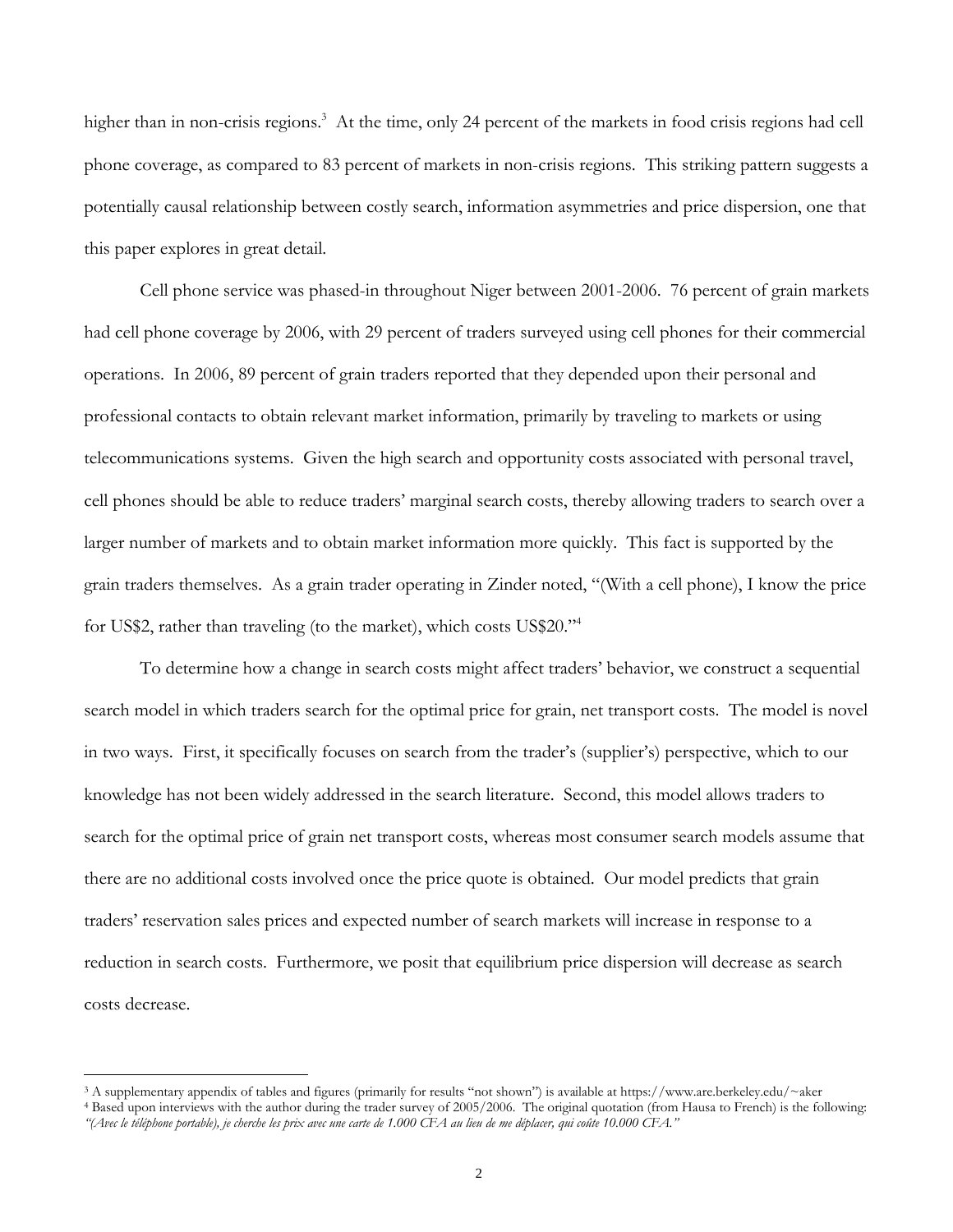higher than in non-crisis regions.<sup>3</sup> At the time, only 24 percent of the markets in food crisis regions had cell phone coverage, as compared to 83 percent of markets in non-crisis regions. This striking pattern suggests a potentially causal relationship between costly search, information asymmetries and price dispersion, one that this paper explores in great detail.

Cell phone service was phased-in throughout Niger between 2001-2006. 76 percent of grain markets had cell phone coverage by 2006, with 29 percent of traders surveyed using cell phones for their commercial operations. In 2006, 89 percent of grain traders reported that they depended upon their personal and professional contacts to obtain relevant market information, primarily by traveling to markets or using telecommunications systems. Given the high search and opportunity costs associated with personal travel, cell phones should be able to reduce traders' marginal search costs, thereby allowing traders to search over a larger number of markets and to obtain market information more quickly. This fact is supported by the grain traders themselves. As a grain trader operating in Zinder noted, "(With a cell phone), I know the price for US\$2, rather than traveling (to the market), which costs US\$20."4

To determine how a change in search costs might affect traders' behavior, we construct a sequential search model in which traders search for the optimal price for grain, net transport costs. The model is novel in two ways. First, it specifically focuses on search from the trader's (supplier's) perspective, which to our knowledge has not been widely addressed in the search literature. Second, this model allows traders to search for the optimal price of grain net transport costs, whereas most consumer search models assume that there are no additional costs involved once the price quote is obtained. Our model predicts that grain traders' reservation sales prices and expected number of search markets will increase in response to a reduction in search costs. Furthermore, we posit that equilibrium price dispersion will decrease as search costs decrease.

<sup>3</sup> A supplementary appendix of tables and figures (primarily for results "not shown") is available at https://www.are.berkeley.edu/~aker

<sup>4</sup> Based upon interviews with the author during the trader survey of 2005/2006. The original quotation (from Hausa to French) is the following: *"(Avec le téléphone portable), je cherche les prix avec une carte de 1.000 CFA au lieu de me déplacer, qui coûte 10.000 CFA."*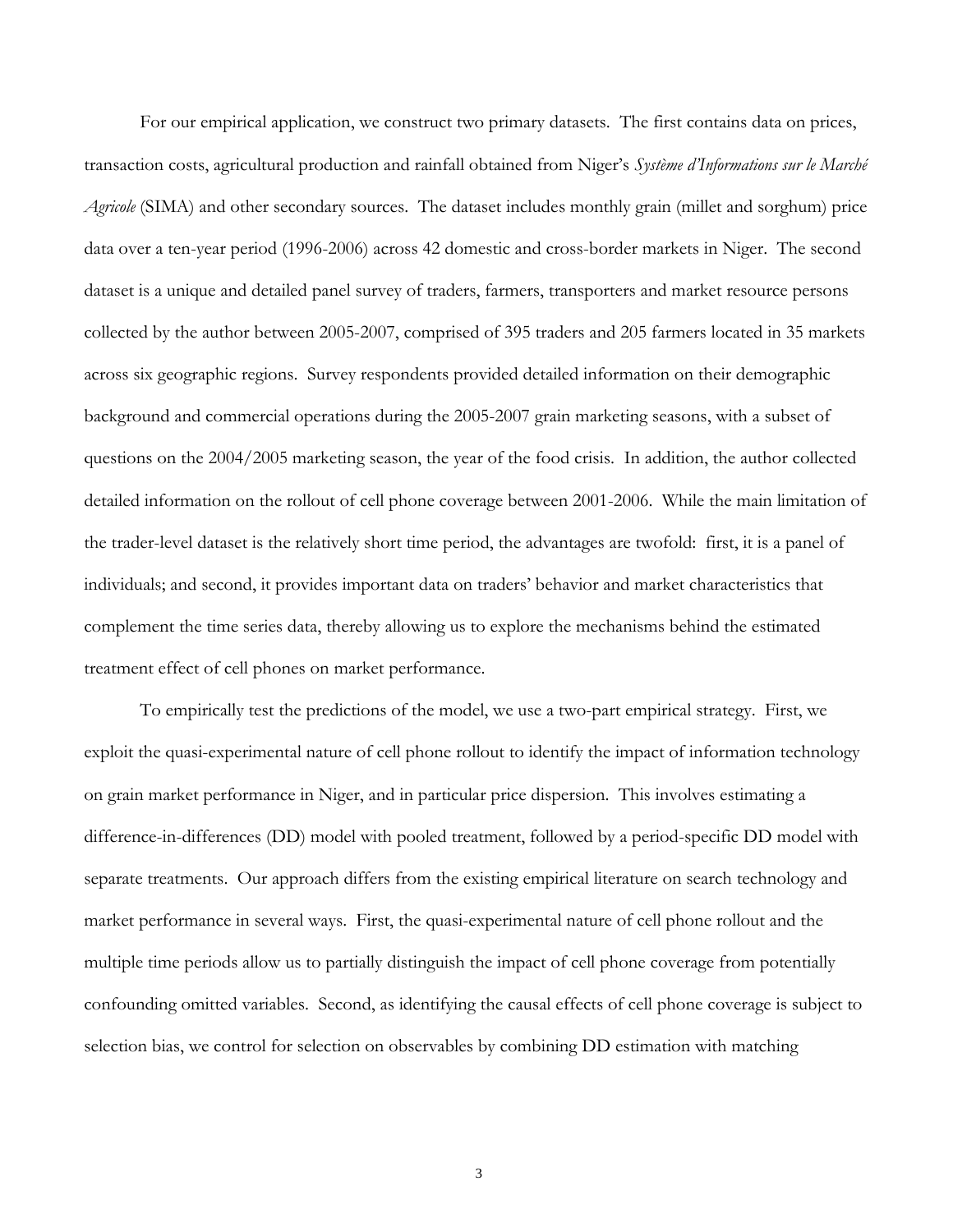For our empirical application, we construct two primary datasets. The first contains data on prices, transaction costs, agricultural production and rainfall obtained from Niger's *Système d'Informations sur le Marché Agricole* (SIMA) and other secondary sources. The dataset includes monthly grain (millet and sorghum) price data over a ten-year period (1996-2006) across 42 domestic and cross-border markets in Niger. The second dataset is a unique and detailed panel survey of traders, farmers, transporters and market resource persons collected by the author between 2005-2007, comprised of 395 traders and 205 farmers located in 35 markets across six geographic regions. Survey respondents provided detailed information on their demographic background and commercial operations during the 2005-2007 grain marketing seasons, with a subset of questions on the 2004/2005 marketing season, the year of the food crisis. In addition, the author collected detailed information on the rollout of cell phone coverage between 2001-2006. While the main limitation of the trader-level dataset is the relatively short time period, the advantages are twofold: first, it is a panel of individuals; and second, it provides important data on traders' behavior and market characteristics that complement the time series data, thereby allowing us to explore the mechanisms behind the estimated treatment effect of cell phones on market performance.

To empirically test the predictions of the model, we use a two-part empirical strategy. First, we exploit the quasi-experimental nature of cell phone rollout to identify the impact of information technology on grain market performance in Niger, and in particular price dispersion. This involves estimating a difference-in-differences (DD) model with pooled treatment, followed by a period-specific DD model with separate treatments. Our approach differs from the existing empirical literature on search technology and market performance in several ways. First, the quasi-experimental nature of cell phone rollout and the multiple time periods allow us to partially distinguish the impact of cell phone coverage from potentially confounding omitted variables. Second, as identifying the causal effects of cell phone coverage is subject to selection bias, we control for selection on observables by combining DD estimation with matching

3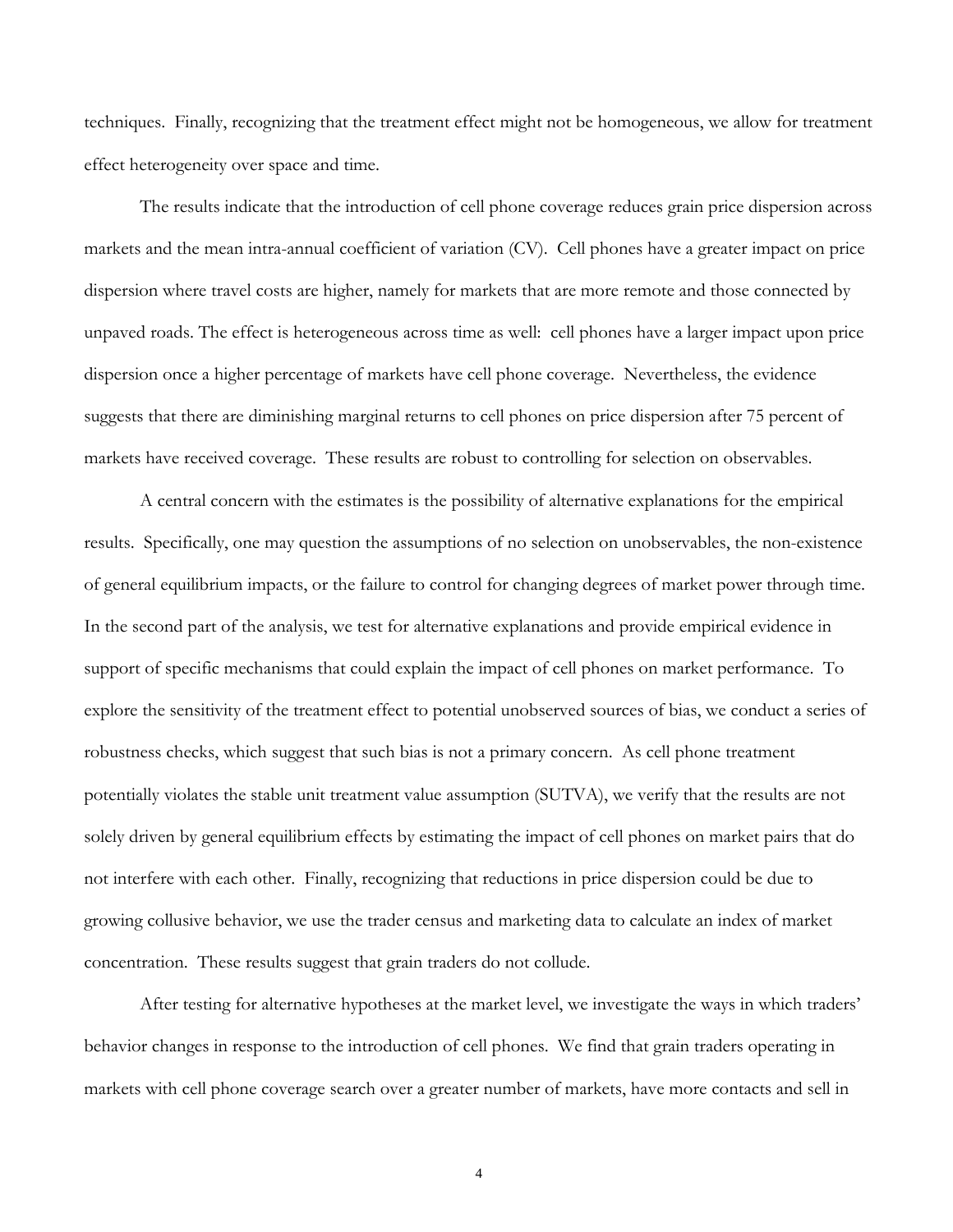techniques. Finally, recognizing that the treatment effect might not be homogeneous, we allow for treatment effect heterogeneity over space and time.

The results indicate that the introduction of cell phone coverage reduces grain price dispersion across markets and the mean intra-annual coefficient of variation (CV). Cell phones have a greater impact on price dispersion where travel costs are higher, namely for markets that are more remote and those connected by unpaved roads. The effect is heterogeneous across time as well: cell phones have a larger impact upon price dispersion once a higher percentage of markets have cell phone coverage. Nevertheless, the evidence suggests that there are diminishing marginal returns to cell phones on price dispersion after 75 percent of markets have received coverage. These results are robust to controlling for selection on observables.

A central concern with the estimates is the possibility of alternative explanations for the empirical results. Specifically, one may question the assumptions of no selection on unobservables, the non-existence of general equilibrium impacts, or the failure to control for changing degrees of market power through time. In the second part of the analysis, we test for alternative explanations and provide empirical evidence in support of specific mechanisms that could explain the impact of cell phones on market performance. To explore the sensitivity of the treatment effect to potential unobserved sources of bias, we conduct a series of robustness checks, which suggest that such bias is not a primary concern. As cell phone treatment potentially violates the stable unit treatment value assumption (SUTVA), we verify that the results are not solely driven by general equilibrium effects by estimating the impact of cell phones on market pairs that do not interfere with each other. Finally, recognizing that reductions in price dispersion could be due to growing collusive behavior, we use the trader census and marketing data to calculate an index of market concentration. These results suggest that grain traders do not collude.

After testing for alternative hypotheses at the market level, we investigate the ways in which traders' behavior changes in response to the introduction of cell phones. We find that grain traders operating in markets with cell phone coverage search over a greater number of markets, have more contacts and sell in

4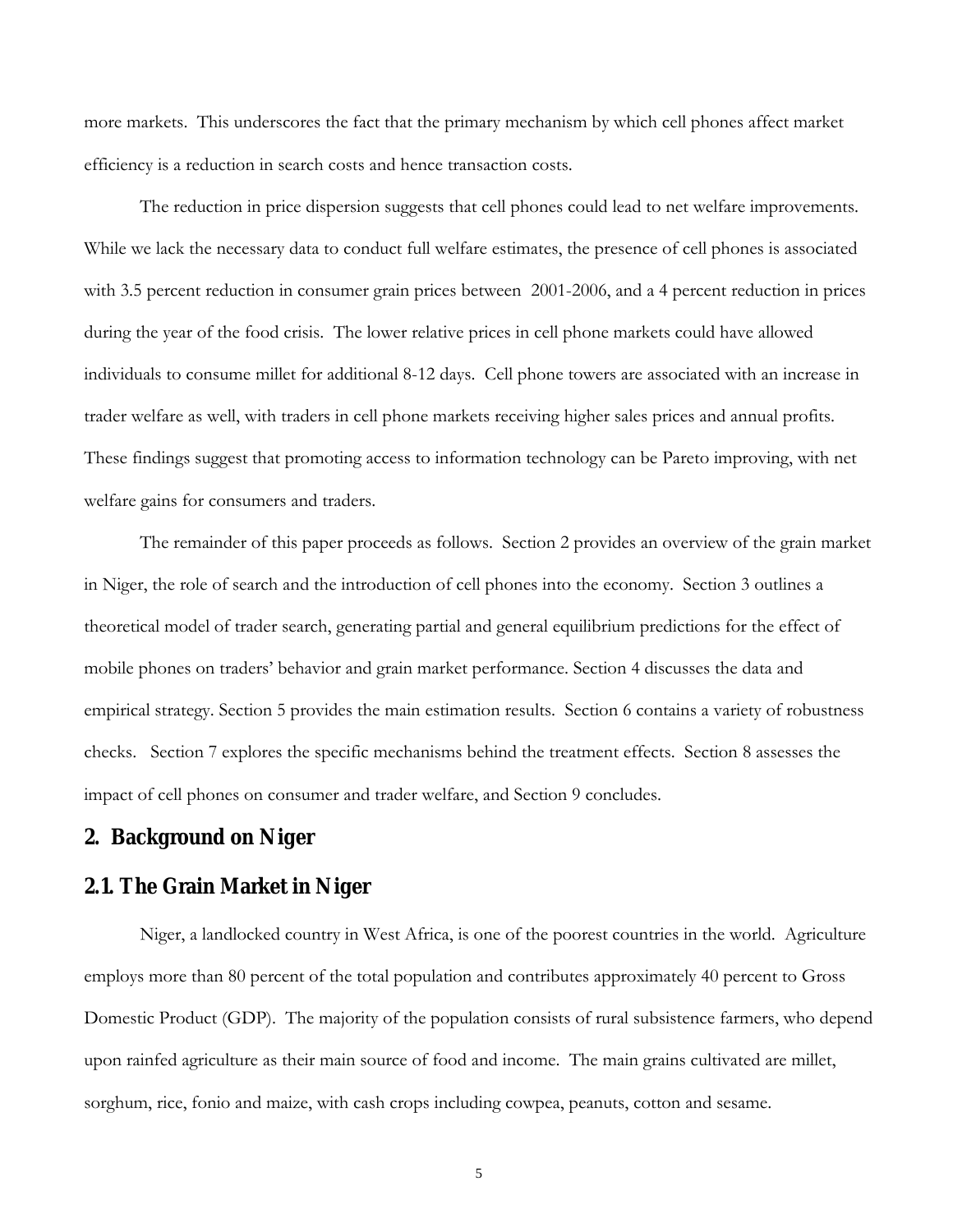more markets. This underscores the fact that the primary mechanism by which cell phones affect market efficiency is a reduction in search costs and hence transaction costs.

The reduction in price dispersion suggests that cell phones could lead to net welfare improvements. While we lack the necessary data to conduct full welfare estimates, the presence of cell phones is associated with 3.5 percent reduction in consumer grain prices between 2001-2006, and a 4 percent reduction in prices during the year of the food crisis. The lower relative prices in cell phone markets could have allowed individuals to consume millet for additional 8-12 days. Cell phone towers are associated with an increase in trader welfare as well, with traders in cell phone markets receiving higher sales prices and annual profits. These findings suggest that promoting access to information technology can be Pareto improving, with net welfare gains for consumers and traders.

The remainder of this paper proceeds as follows. Section 2 provides an overview of the grain market in Niger, the role of search and the introduction of cell phones into the economy. Section 3 outlines a theoretical model of trader search, generating partial and general equilibrium predictions for the effect of mobile phones on traders' behavior and grain market performance. Section 4 discusses the data and empirical strategy. Section 5 provides the main estimation results. Section 6 contains a variety of robustness checks. Section 7 explores the specific mechanisms behind the treatment effects. Section 8 assesses the impact of cell phones on consumer and trader welfare, and Section 9 concludes.

# **2. Background on Niger**

### **2.1. The Grain Market in Niger**

Niger, a landlocked country in West Africa, is one of the poorest countries in the world. Agriculture employs more than 80 percent of the total population and contributes approximately 40 percent to Gross Domestic Product (GDP). The majority of the population consists of rural subsistence farmers, who depend upon rainfed agriculture as their main source of food and income. The main grains cultivated are millet, sorghum, rice, fonio and maize, with cash crops including cowpea, peanuts, cotton and sesame.

5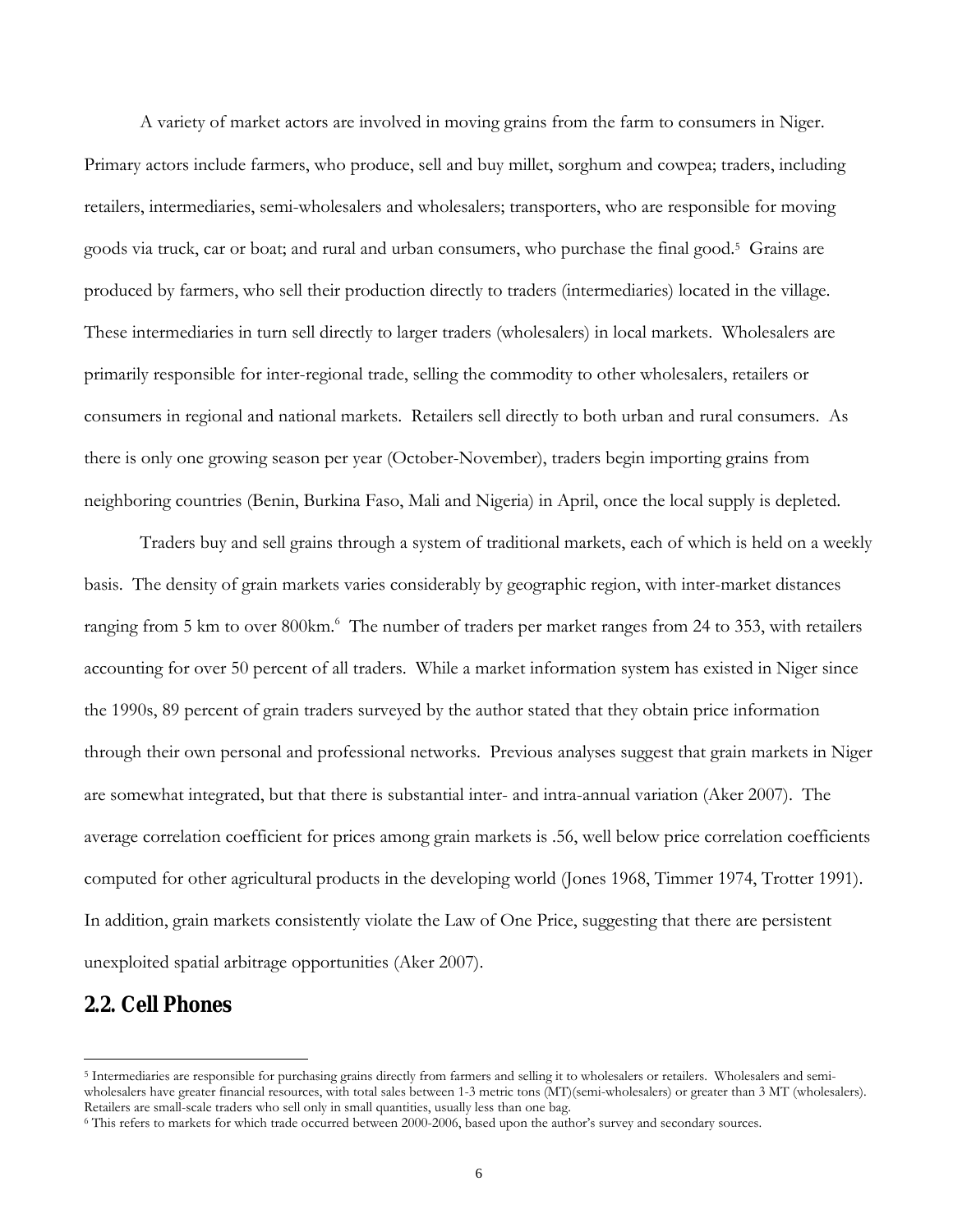A variety of market actors are involved in moving grains from the farm to consumers in Niger. Primary actors include farmers, who produce, sell and buy millet, sorghum and cowpea; traders, including retailers, intermediaries, semi-wholesalers and wholesalers; transporters, who are responsible for moving goods via truck, car or boat; and rural and urban consumers, who purchase the final good.5 Grains are produced by farmers, who sell their production directly to traders (intermediaries) located in the village. These intermediaries in turn sell directly to larger traders (wholesalers) in local markets. Wholesalers are primarily responsible for inter-regional trade, selling the commodity to other wholesalers, retailers or consumers in regional and national markets. Retailers sell directly to both urban and rural consumers. As there is only one growing season per year (October-November), traders begin importing grains from neighboring countries (Benin, Burkina Faso, Mali and Nigeria) in April, once the local supply is depleted.

Traders buy and sell grains through a system of traditional markets, each of which is held on a weekly basis. The density of grain markets varies considerably by geographic region, with inter-market distances ranging from 5 km to over 800km.<sup>6</sup> The number of traders per market ranges from 24 to 353, with retailers accounting for over 50 percent of all traders. While a market information system has existed in Niger since the 1990s, 89 percent of grain traders surveyed by the author stated that they obtain price information through their own personal and professional networks. Previous analyses suggest that grain markets in Niger are somewhat integrated, but that there is substantial inter- and intra-annual variation (Aker 2007). The average correlation coefficient for prices among grain markets is .56, well below price correlation coefficients computed for other agricultural products in the developing world (Jones 1968, Timmer 1974, Trotter 1991). In addition, grain markets consistently violate the Law of One Price, suggesting that there are persistent unexploited spatial arbitrage opportunities (Aker 2007).

# **2.2. Cell Phones**

<sup>5</sup> Intermediaries are responsible for purchasing grains directly from farmers and selling it to wholesalers or retailers. Wholesalers and semiwholesalers have greater financial resources, with total sales between 1-3 metric tons (MT)(semi-wholesalers) or greater than 3 MT (wholesalers). Retailers are small-scale traders who sell only in small quantities, usually less than one bag.

<sup>6</sup> This refers to markets for which trade occurred between 2000-2006, based upon the author's survey and secondary sources.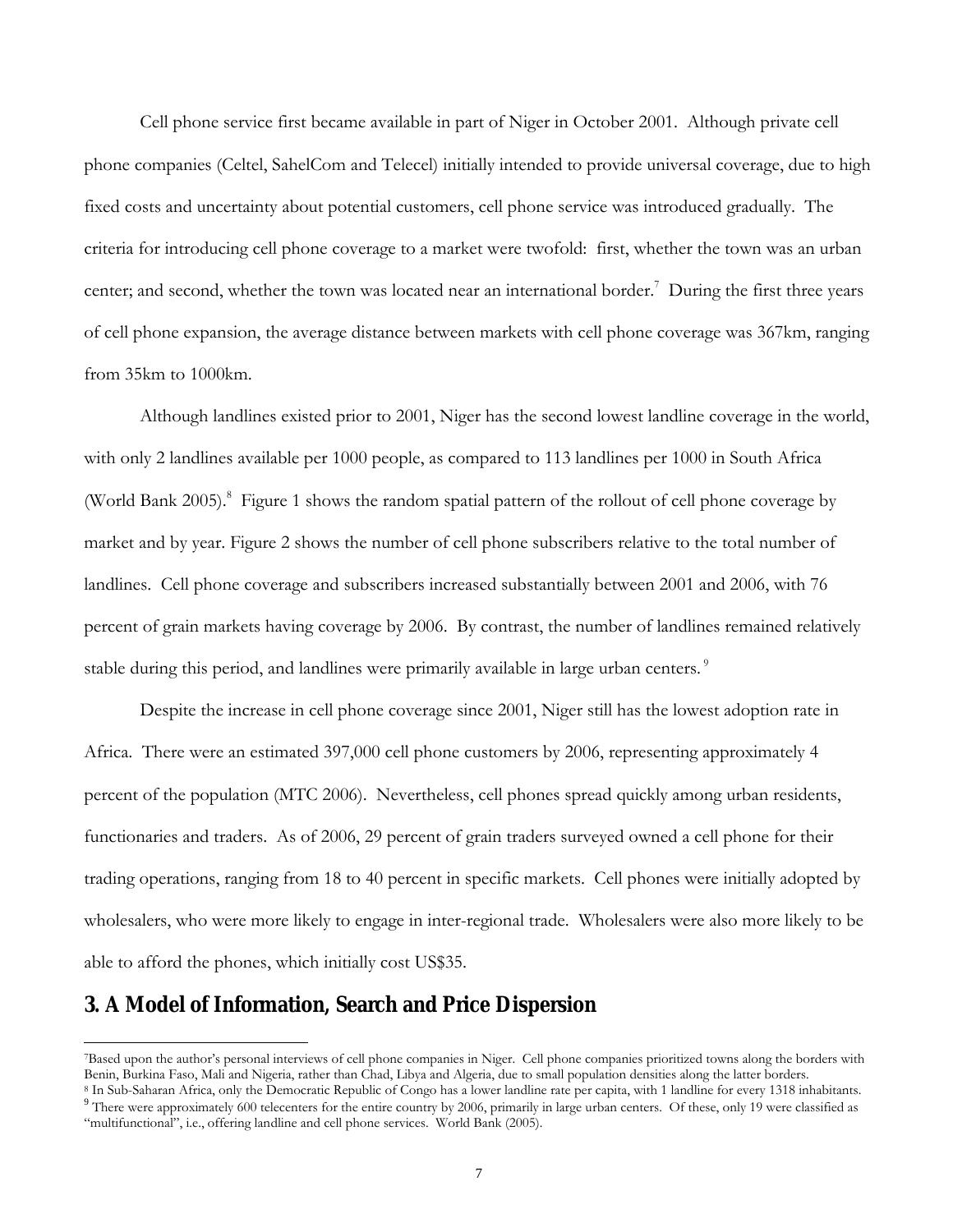Cell phone service first became available in part of Niger in October 2001. Although private cell phone companies (Celtel, SahelCom and Telecel) initially intended to provide universal coverage, due to high fixed costs and uncertainty about potential customers, cell phone service was introduced gradually. The criteria for introducing cell phone coverage to a market were twofold: first, whether the town was an urban center; and second, whether the town was located near an international border.<sup>7</sup> During the first three years of cell phone expansion, the average distance between markets with cell phone coverage was 367km, ranging from 35km to 1000km.

Although landlines existed prior to 2001, Niger has the second lowest landline coverage in the world, with only 2 landlines available per 1000 people, as compared to 113 landlines per 1000 in South Africa (World Bank 2005).<sup>8</sup> Figure 1 shows the random spatial pattern of the rollout of cell phone coverage by market and by year. Figure 2 shows the number of cell phone subscribers relative to the total number of landlines. Cell phone coverage and subscribers increased substantially between 2001 and 2006, with 76 percent of grain markets having coverage by 2006. By contrast, the number of landlines remained relatively stable during this period, and landlines were primarily available in large urban centers.<sup>9</sup>

Despite the increase in cell phone coverage since 2001, Niger still has the lowest adoption rate in Africa. There were an estimated 397,000 cell phone customers by 2006, representing approximately 4 percent of the population (MTC 2006). Nevertheless, cell phones spread quickly among urban residents, functionaries and traders. As of 2006, 29 percent of grain traders surveyed owned a cell phone for their trading operations, ranging from 18 to 40 percent in specific markets. Cell phones were initially adopted by wholesalers, who were more likely to engage in inter-regional trade. Wholesalers were also more likely to be able to afford the phones, which initially cost US\$35.

# **3. A Model of Information, Search and Price Dispersion**

<sup>7</sup>Based upon the author's personal interviews of cell phone companies in Niger. Cell phone companies prioritized towns along the borders with Benin, Burkina Faso, Mali and Nigeria, rather than Chad, Libya and Algeria, due to small population densities along the latter borders. 8 In Sub-Saharan Africa, only the Democratic Republic of Congo has a lower landline rate per capita, with 1 landline for every 1318 inhabitants.

<sup>&</sup>lt;sup>9</sup> There were approximately 600 telecenters for the entire country by 2006, primarily in large urban centers. Of these, only 19 were classified as "multifunctional", i.e., offering landline and cell phone services. World Bank (2005).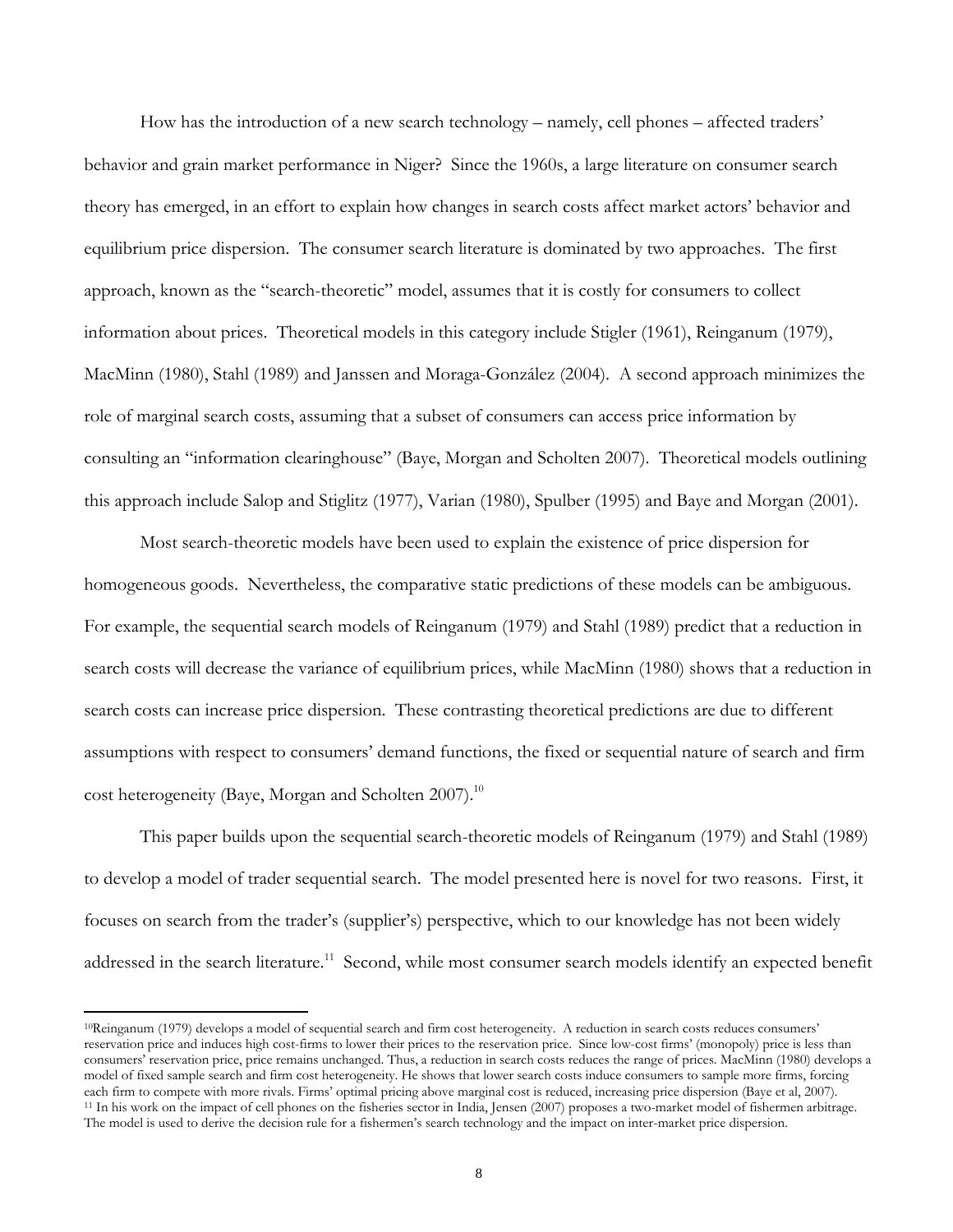How has the introduction of a new search technology – namely, cell phones – affected traders' behavior and grain market performance in Niger? Since the 1960s, a large literature on consumer search theory has emerged, in an effort to explain how changes in search costs affect market actors' behavior and equilibrium price dispersion. The consumer search literature is dominated by two approaches. The first approach, known as the "search-theoretic" model, assumes that it is costly for consumers to collect information about prices. Theoretical models in this category include Stigler (1961), Reinganum (1979), MacMinn (1980), Stahl (1989) and Janssen and Moraga-González (2004). A second approach minimizes the role of marginal search costs, assuming that a subset of consumers can access price information by consulting an "information clearinghouse" (Baye, Morgan and Scholten 2007). Theoretical models outlining this approach include Salop and Stiglitz (1977), Varian (1980), Spulber (1995) and Baye and Morgan (2001).

Most search-theoretic models have been used to explain the existence of price dispersion for homogeneous goods. Nevertheless, the comparative static predictions of these models can be ambiguous. For example, the sequential search models of Reinganum (1979) and Stahl (1989) predict that a reduction in search costs will decrease the variance of equilibrium prices, while MacMinn (1980) shows that a reduction in search costs can increase price dispersion. These contrasting theoretical predictions are due to different assumptions with respect to consumers' demand functions, the fixed or sequential nature of search and firm cost heterogeneity (Baye, Morgan and Scholten 2007).<sup>10</sup>

This paper builds upon the sequential search-theoretic models of Reinganum (1979) and Stahl (1989) to develop a model of trader sequential search. The model presented here is novel for two reasons. First, it focuses on search from the trader's (supplier's) perspective, which to our knowledge has not been widely addressed in the search literature.<sup>11</sup> Second, while most consumer search models identify an expected benefit

<sup>10</sup>Reinganum (1979) develops a model of sequential search and firm cost heterogeneity. A reduction in search costs reduces consumers' reservation price and induces high cost-firms to lower their prices to the reservation price. Since low-cost firms' (monopoly) price is less than consumers' reservation price, price remains unchanged. Thus, a reduction in search costs reduces the range of prices. MacMinn (1980) develops a model of fixed sample search and firm cost heterogeneity. He shows that lower search costs induce consumers to sample more firms, forcing each firm to compete with more rivals. Firms' optimal pricing above marginal cost is reduced, increasing price dispersion (Baye et al, 2007). <sup>11</sup> In his work on the impact of cell phones on the fisheries sector in India, Jensen (2007) proposes a two-market model of fishermen arbitrage. The model is used to derive the decision rule for a fishermen's search technology and the impact on inter-market price dispersion.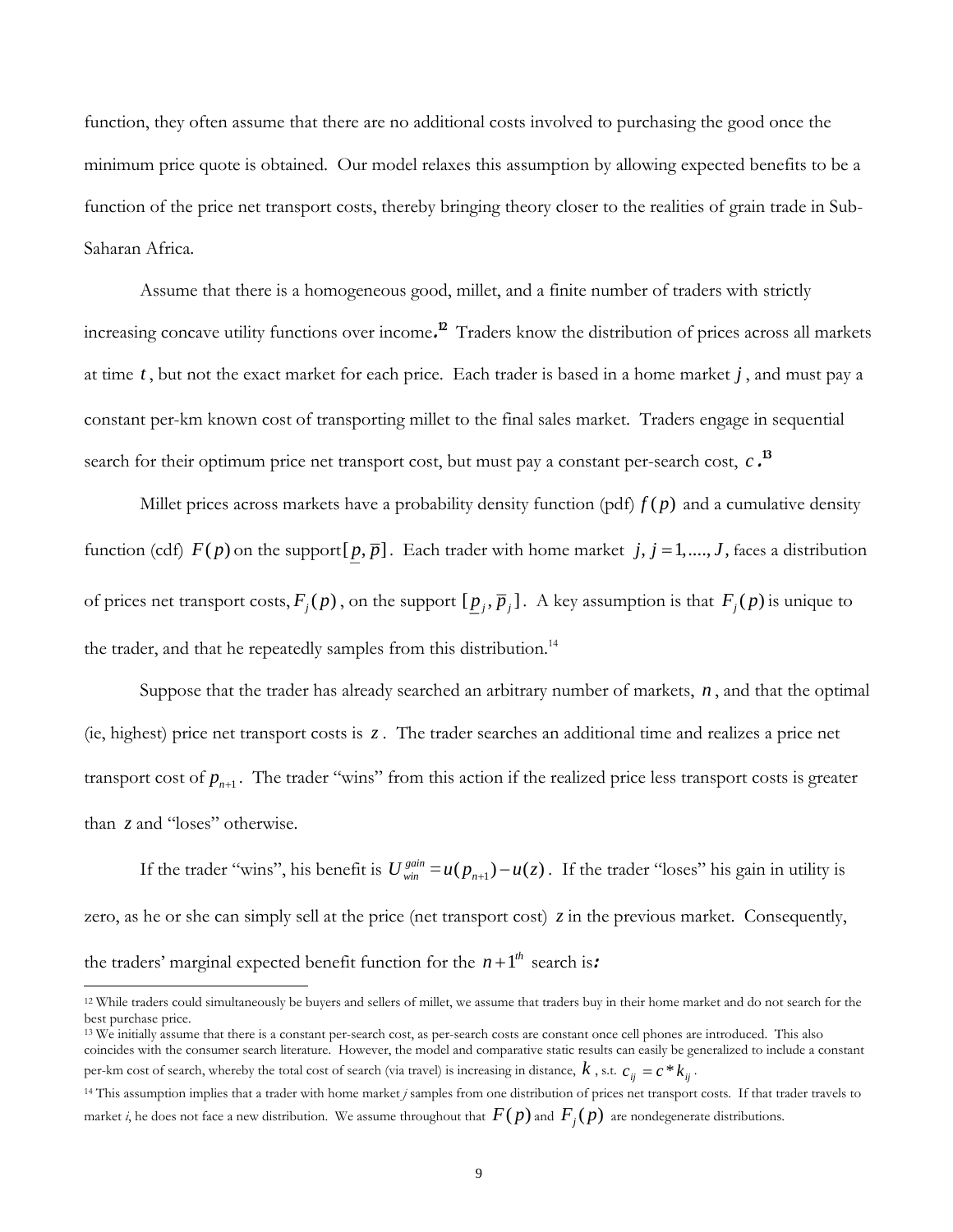function, they often assume that there are no additional costs involved to purchasing the good once the minimum price quote is obtained. Our model relaxes this assumption by allowing expected benefits to be a function of the price net transport costs, thereby bringing theory closer to the realities of grain trade in Sub-Saharan Africa.

Assume that there is a homogeneous good, millet, and a finite number of traders with strictly increasing concave utility functions over income**. <sup>12</sup>** Traders know the distribution of prices across all markets at time *t* , but not the exact market for each price. Each trader is based in a home market *j* , and must pay a constant per-km known cost of transporting millet to the final sales market. Traders engage in sequential search for their optimum price net transport cost, but must pay a constant per-search cost, *c* **. 13**

Millet prices across markets have a probability density function (pdf)  $f(p)$  and a cumulative density function (cdf)  $F(p)$  on the support  $[p, \overline{p}]$ . Each trader with home market  $j, j = 1, \ldots, J$ , faces a distribution of prices net transport costs,  $F_i(p)$ , on the support  $[p_i, \overline{p}_i]$ . A key assumption is that  $F_i(p)$  is unique to the trader, and that he repeatedly samples from this distribution.<sup>14</sup>

Suppose that the trader has already searched an arbitrary number of markets, *n* , and that the optimal (ie, highest) price net transport costs is *z .* The trader searches an additional time and realizes a price net transport cost of  $p_{n+1}$ . The trader "wins" from this action if the realized price less transport costs is greater than *z* and "loses" otherwise.

If the trader "wins", his benefit is  $U_{win}^{gain} = u(p_{n+1}) - u(z)$ . If the trader "loses" his gain in utility is zero, as he or she can simply sell at the price (net transport cost) *z* in the previous market. Consequently, the traders' marginal expected benefit function for the  $n+1$ <sup>th</sup> search is:

<sup>12</sup> While traders could simultaneously be buyers and sellers of millet, we assume that traders buy in their home market and do not search for the best purchase price.

<sup>&</sup>lt;sup>13</sup> We initially assume that there is a constant per-search cost, as per-search costs are constant once cell phones are introduced. This also coincides with the consumer search literature. However, the model and comparative static results can easily be generalized to include a constant per-km cost of search, whereby the total cost of search (via travel) is increasing in distance,  $k$ , s.t.  $c_{ii} = c * k_{ii}$ .

<sup>14</sup> This assumption implies that a trader with home market *j* samples from one distribution of prices net transport costs. If that trader travels to market *i*, he does not face a new distribution. We assume throughout that  $F(p)$  and  $F_i(p)$  are nondegenerate distributions.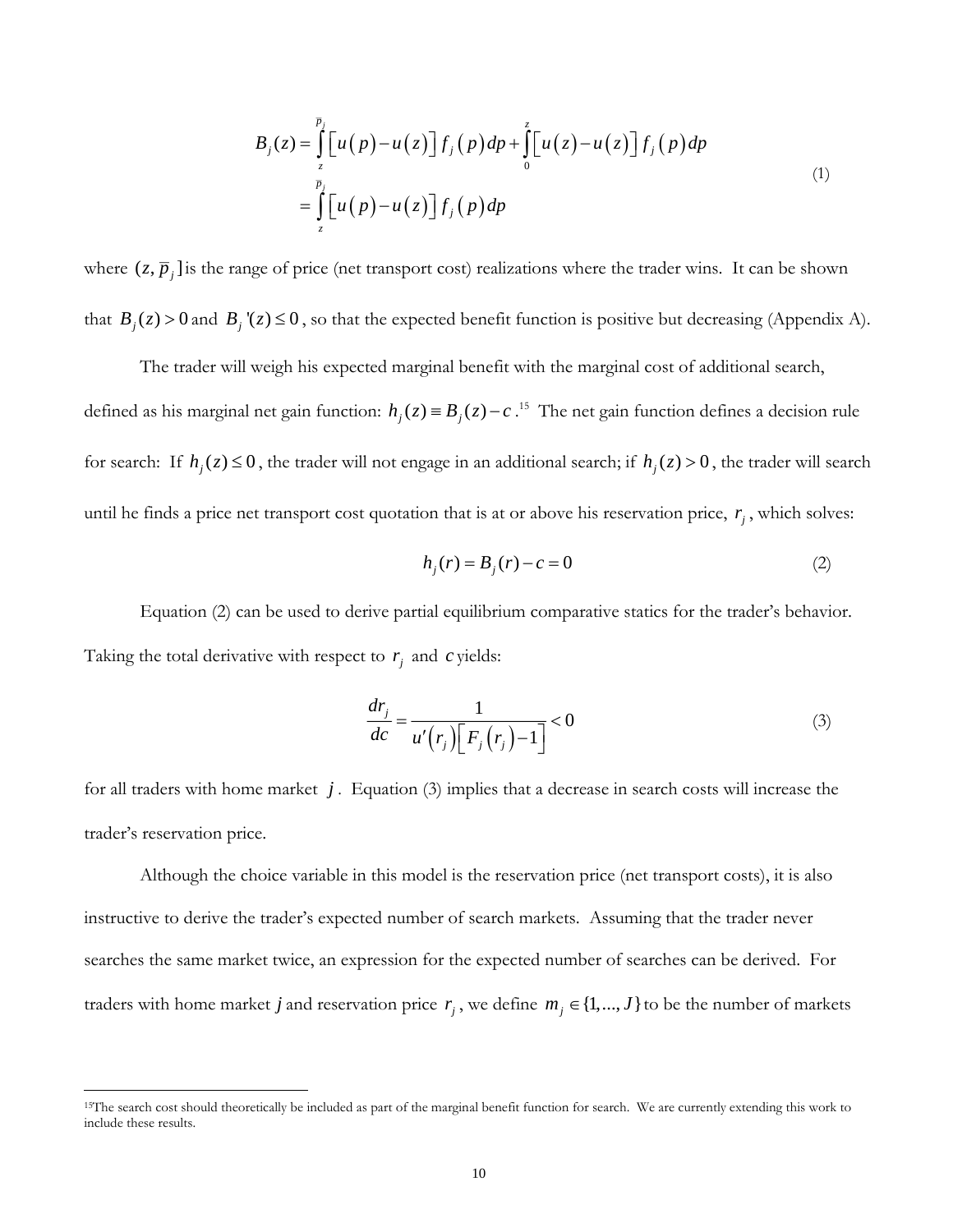$$
B_j(z) = \int_{z}^{\bar{p}_j} \left[ u(p) - u(z) \right] f_j(p) dp + \int_{0}^{z} \left[ u(z) - u(z) \right] f_j(p) dp
$$
  
= 
$$
\int_{z}^{\bar{p}_j} \left[ u(p) - u(z) \right] f_j(p) dp
$$
 (1)

where  $(z, \overline{p}_i)$  is the range of price (net transport cost) realizations where the trader wins. It can be shown that  $B_j(z) > 0$  and  $B_j'(z) \le 0$ , so that the expected benefit function is positive but decreasing (Appendix A).

The trader will weigh his expected marginal benefit with the marginal cost of additional search, defined as his marginal net gain function:  $h_j(z) = B_j(z) - c$ .<sup>15</sup> The net gain function defines a decision rule for search: If  $h_i(z) \le 0$ , the trader will not engage in an additional search; if  $h_i(z) > 0$ , the trader will search until he finds a price net transport cost quotation that is at or above his reservation price,  $r_i$ , which solves:

$$
h_j(r) = B_j(r) - c = 0
$$
 (2)

Equation (2) can be used to derive partial equilibrium comparative statics for the trader's behavior. Taking the total derivative with respect to  $r_i$  and *c* yields:

$$
\frac{dr_j}{dc} = \frac{1}{u'\left(r_j\right)\left[F_j\left(r_j\right) - 1\right]} < 0\tag{3}
$$

for all traders with home market *j* . Equation (3) implies that a decrease in search costs will increase the trader's reservation price.

Although the choice variable in this model is the reservation price (net transport costs), it is also instructive to derive the trader's expected number of search markets. Assuming that the trader never searches the same market twice, an expression for the expected number of searches can be derived. For traders with home market *j* and reservation price  $r_j$ , we define  $m_j \in \{1, ..., J\}$  to be the number of markets

<sup>&</sup>lt;sup>15</sup>The search cost should theoretically be included as part of the marginal benefit function for search. We are currently extending this work to include these results.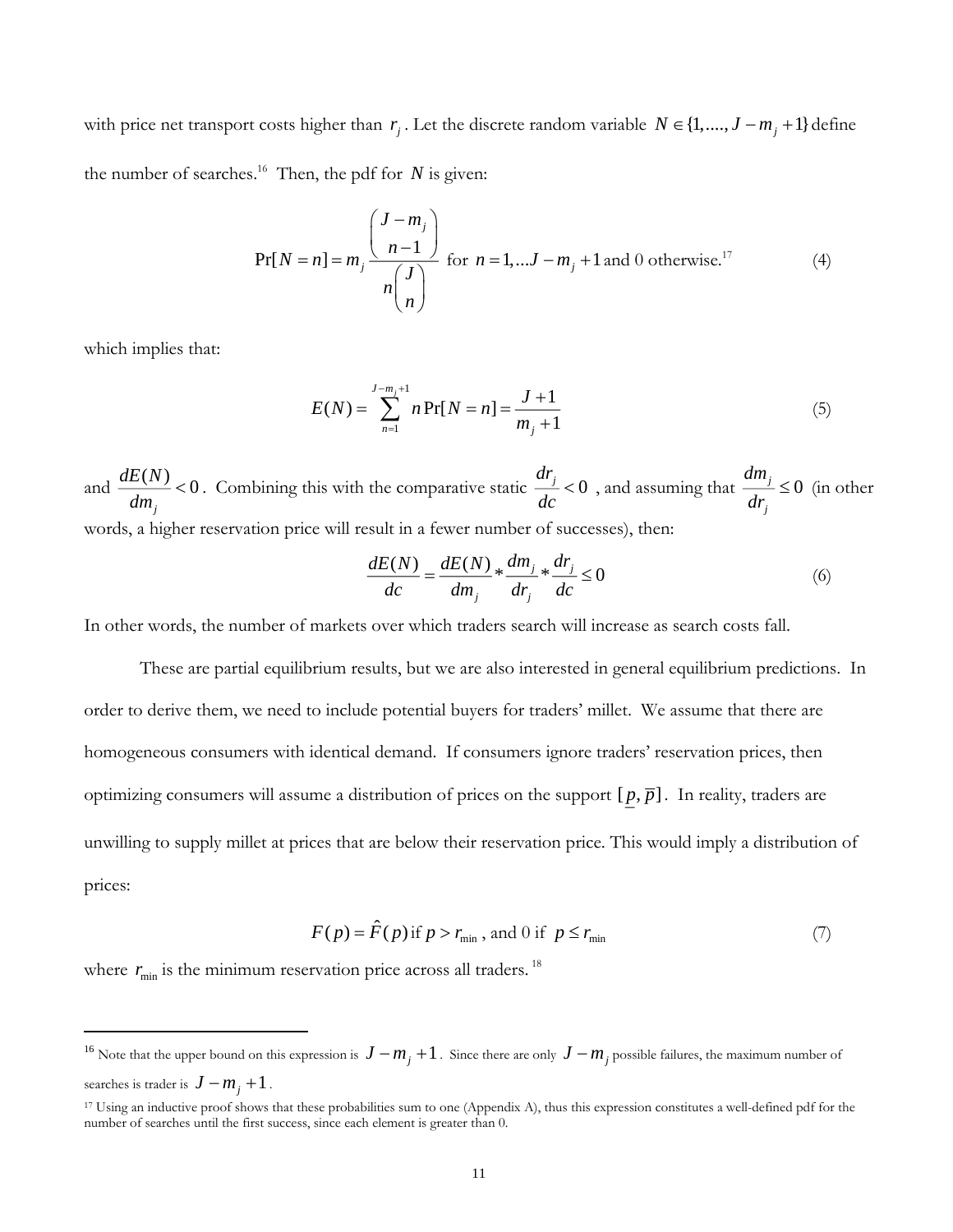with price net transport costs higher than  $r_j$ . Let the discrete random variable  $N \in \{1, ..., J - m_j + 1\}$  define the number of searches.<sup>16</sup> Then, the pdf for  $N$  is given:

$$
Pr[N = n] = m_j \frac{\binom{J - m_j}{n - 1}}{n \binom{J}{n}}
$$
 for  $n = 1,...J - m_j + 1$  and 0 otherwise.<sup>17</sup> (4)

which implies that:

 $\overline{a}$ 

$$
E(N) = \sum_{n=1}^{J-m_j+1} n \Pr[N = n] = \frac{J+1}{m_j+1}
$$
 (5)

and  $\frac{dE(N)}{1} < 0$ *j dE N dm*  $<$  0. Combining this with the comparative static  $\frac{dr_j}{dr}$   $<$  0 *dc*  $<$  0 , and assuming that  $\frac{am_j}{l}$   $\leq$  0 *j dm dr*  $\leq 0$  (in other words, a higher reservation price will result in a fewer number of successes), then:

$$
\frac{dE(N)}{dc} = \frac{dE(N)}{dm_j} \cdot \frac{dm_j}{dr_j} \cdot \frac{dr_j}{dc} \le 0
$$
\n<sup>(6)</sup>

In other words, the number of markets over which traders search will increase as search costs fall.

These are partial equilibrium results, but we are also interested in general equilibrium predictions. In order to derive them, we need to include potential buyers for traders' millet. We assume that there are homogeneous consumers with identical demand. If consumers ignore traders' reservation prices, then optimizing consumers will assume a distribution of prices on the support  $[p, \overline{p}]$ . In reality, traders are unwilling to supply millet at prices that are below their reservation price. This would imply a distribution of prices:

$$
F(p) = \hat{F}(p) \text{ if } p > r_{\min} \text{, and } 0 \text{ if } p \le r_{\min} \tag{7}
$$

where  $r_{\text{min}}$  is the minimum reservation price across all traders.<sup>18</sup>

<sup>&</sup>lt;sup>16</sup> Note that the upper bound on this expression is  $J - m_j + 1$ . Since there are only  $J - m_j$  possible failures, the maximum number of searches is trader is  $J - m_i + 1$ .

<sup>17</sup> Using an inductive proof shows that these probabilities sum to one (Appendix A), thus this expression constitutes a well-defined pdf for the number of searches until the first success, since each element is greater than 0.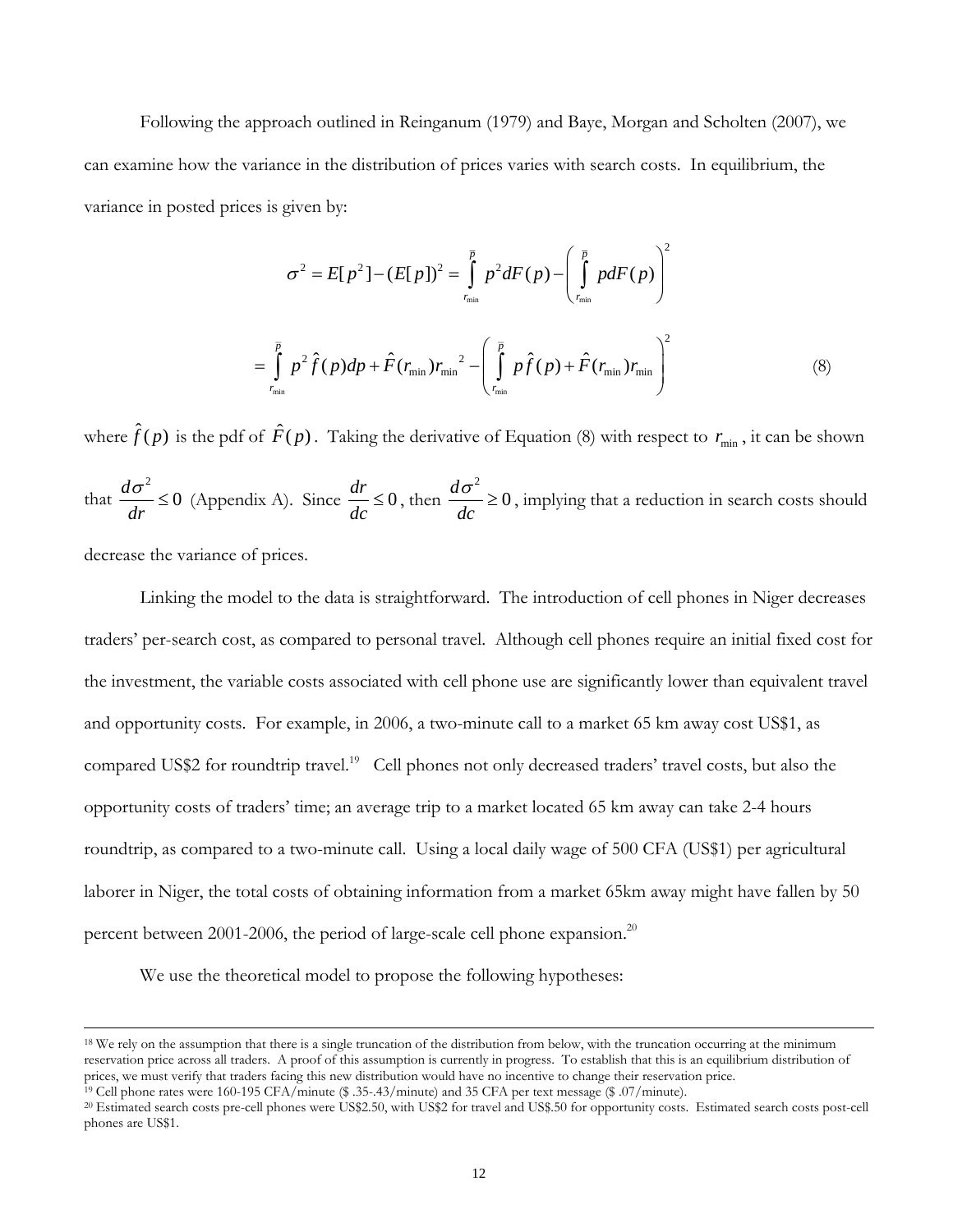Following the approach outlined in Reinganum (1979) and Baye, Morgan and Scholten (2007), we can examine how the variance in the distribution of prices varies with search costs. In equilibrium, the variance in posted prices is given by:

$$
\sigma^{2} = E[p^{2}] - (E[p])^{2} = \int_{r_{\min}}^{\overline{p}} p^{2} dF(p) - \left(\int_{r_{\min}}^{\overline{p}} p dF(p)\right)^{2}
$$

$$
= \int_{r_{\min}}^{\overline{p}} p^{2} \hat{f}(p) dp + \hat{F}(r_{\min}) r_{\min}^{2} - \left(\int_{r_{\min}}^{\overline{p}} p \hat{f}(p) + \hat{F}(r_{\min}) r_{\min}\right)^{2}
$$
(8)

where  $\hat{f}(p)$  is the pdf of  $\hat{F}(p)$ . Taking the derivative of Equation (8) with respect to  $r_{\min}$ , it can be shown

that  $\frac{d\sigma^2}{d\sigma^2} \leq 0$ *dr*  $\frac{\sigma^2}{4} \le 0$  (Appendix A). Since  $\frac{dr}{4} \le 0$ *dc*  $\leq 0$ , then  $\frac{d\sigma^2}{dt} \geq 0$ *dc*  $\frac{\sigma}{\sigma} \ge 0$ , implying that a reduction in search costs should

decrease the variance of prices.

 $\overline{a}$ 

Linking the model to the data is straightforward. The introduction of cell phones in Niger decreases traders' per-search cost, as compared to personal travel. Although cell phones require an initial fixed cost for the investment, the variable costs associated with cell phone use are significantly lower than equivalent travel and opportunity costs. For example, in 2006, a two-minute call to a market 65 km away cost US\$1, as compared US\$2 for roundtrip travel.<sup>19</sup> Cell phones not only decreased traders' travel costs, but also the opportunity costs of traders' time; an average trip to a market located 65 km away can take 2-4 hours roundtrip, as compared to a two-minute call. Using a local daily wage of 500 CFA (US\$1) per agricultural laborer in Niger, the total costs of obtaining information from a market 65km away might have fallen by 50 percent between 2001-2006, the period of large-scale cell phone expansion.<sup>20</sup>

We use the theoretical model to propose the following hypotheses:

<sup>&</sup>lt;sup>18</sup> We rely on the assumption that there is a single truncation of the distribution from below, with the truncation occurring at the minimum reservation price across all traders. A proof of this assumption is currently in progress. To establish that this is an equilibrium distribution of prices, we must verify that traders facing this new distribution would have no incentive to change their reservation price.

<sup>19</sup> Cell phone rates were 160-195 CFA/minute (\$ .35-.43/minute) and 35 CFA per text message (\$ .07/minute).

<sup>20</sup> Estimated search costs pre-cell phones were US\$2.50, with US\$2 for travel and US\$.50 for opportunity costs. Estimated search costs post-cell phones are US\$1.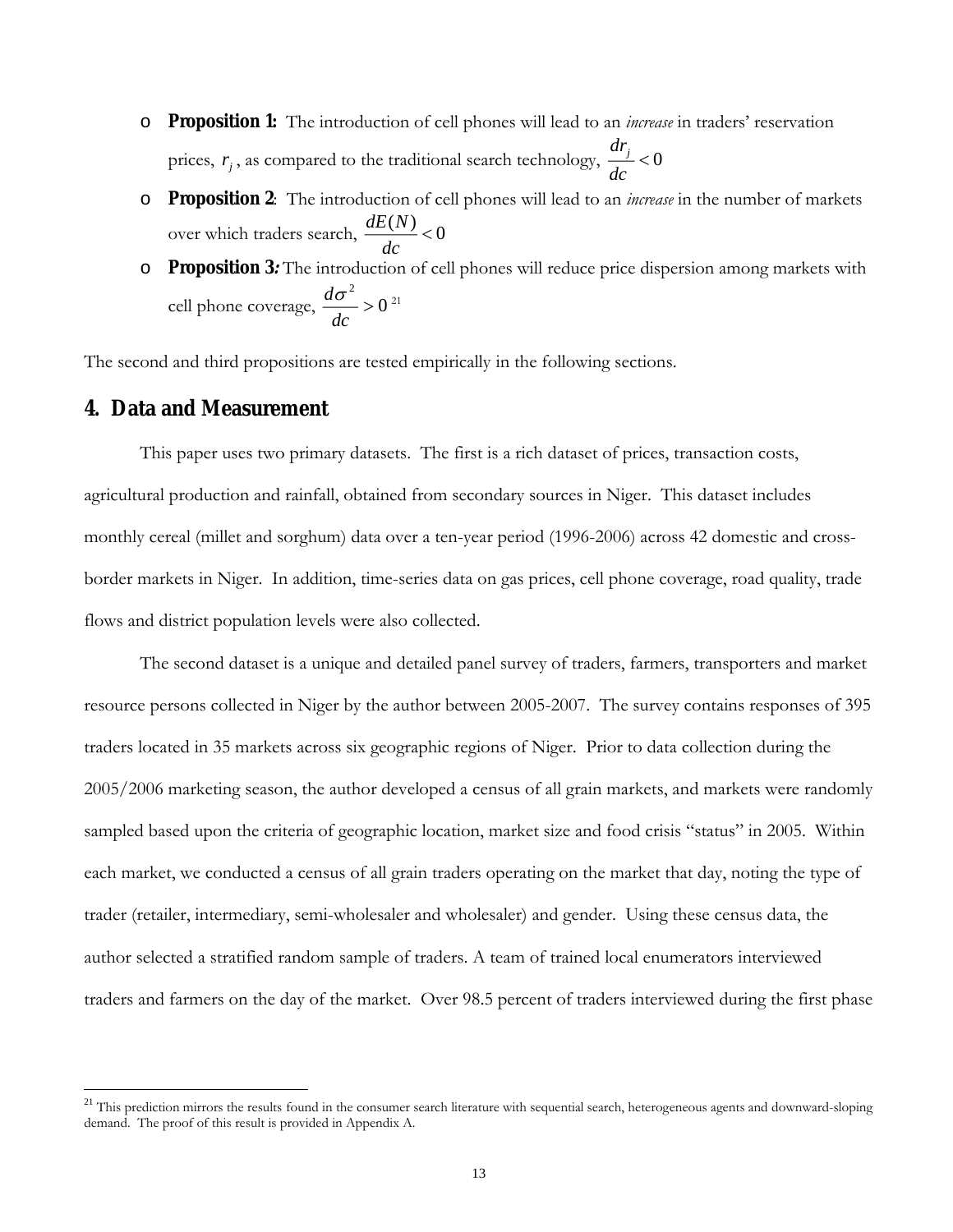- o **Proposition 1:** The introduction of cell phones will lead to an *increase* in traders' reservation prices,  $r_j$ , as compared to the traditional search technology,  $\frac{dr_j}{dc}$  < 0  $\lt$
- o **Proposition 2**: The introduction of cell phones will lead to an *increase* in the number of markets over which traders search,  $\frac{dE(N)}{dE(N)} < 0$ *dc*  $\lt$
- o **Proposition 3:** The introduction of cell phones will reduce price dispersion among markets with cell phone coverage,  $\frac{uv}{v} > 0$ 2  $>$ *dc*  $d\sigma^2$ <sub>21</sub>

The second and third propositions are tested empirically in the following sections.

#### **4. Data and Measurement**

 $\overline{a}$ 

This paper uses two primary datasets. The first is a rich dataset of prices, transaction costs, agricultural production and rainfall, obtained from secondary sources in Niger. This dataset includes monthly cereal (millet and sorghum) data over a ten-year period (1996-2006) across 42 domestic and crossborder markets in Niger. In addition, time-series data on gas prices, cell phone coverage, road quality, trade flows and district population levels were also collected.

The second dataset is a unique and detailed panel survey of traders, farmers, transporters and market resource persons collected in Niger by the author between 2005-2007. The survey contains responses of 395 traders located in 35 markets across six geographic regions of Niger. Prior to data collection during the 2005/2006 marketing season, the author developed a census of all grain markets, and markets were randomly sampled based upon the criteria of geographic location, market size and food crisis "status" in 2005. Within each market, we conducted a census of all grain traders operating on the market that day, noting the type of trader (retailer, intermediary, semi-wholesaler and wholesaler) and gender. Using these census data, the author selected a stratified random sample of traders. A team of trained local enumerators interviewed traders and farmers on the day of the market. Over 98.5 percent of traders interviewed during the first phase

<sup>&</sup>lt;sup>21</sup> This prediction mirrors the results found in the consumer search literature with sequential search, heterogeneous agents and downward-sloping demand. The proof of this result is provided in Appendix A.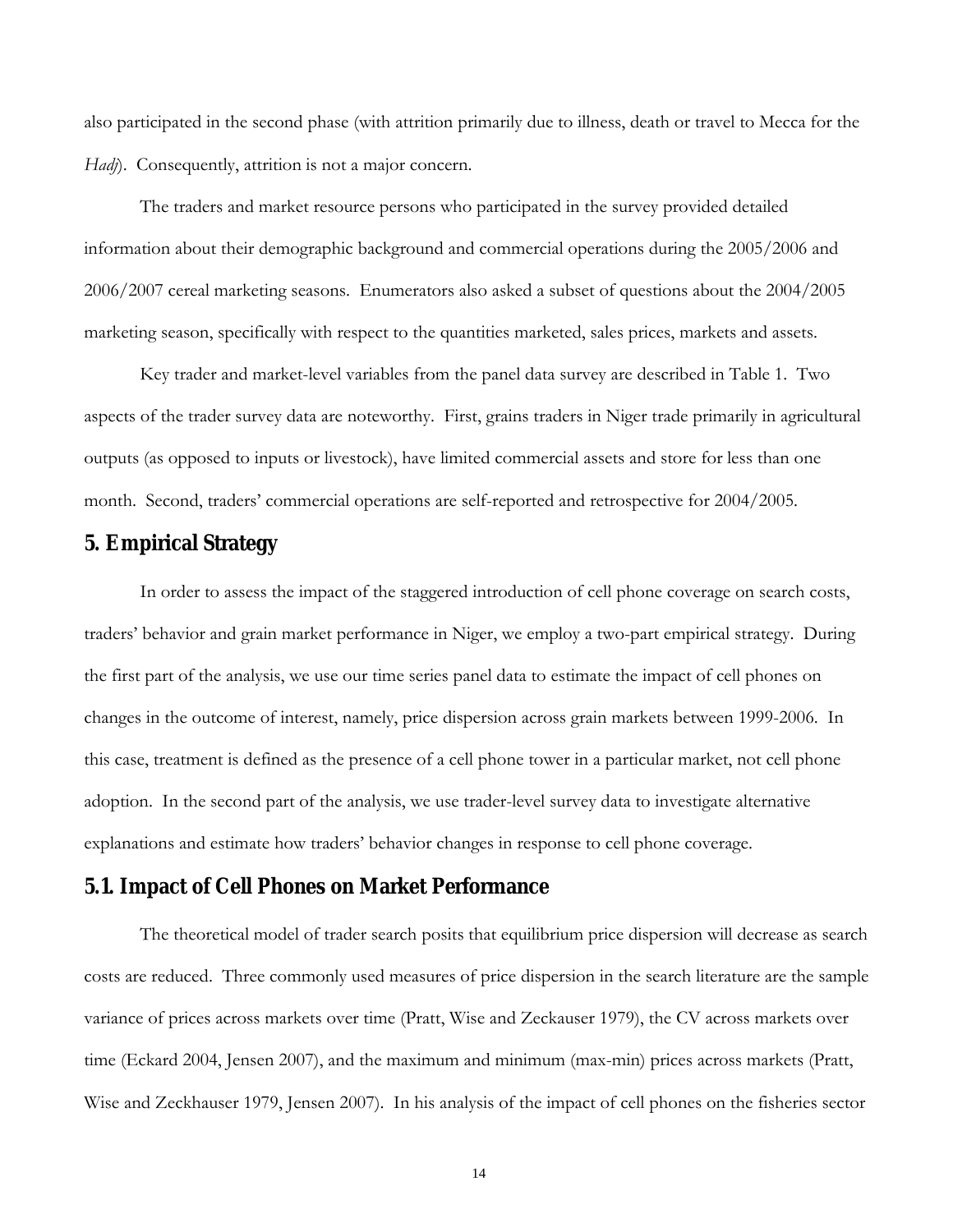also participated in the second phase (with attrition primarily due to illness, death or travel to Mecca for the *Hadj*). Consequently, attrition is not a major concern.

The traders and market resource persons who participated in the survey provided detailed information about their demographic background and commercial operations during the 2005/2006 and 2006/2007 cereal marketing seasons. Enumerators also asked a subset of questions about the 2004/2005 marketing season, specifically with respect to the quantities marketed, sales prices, markets and assets.

Key trader and market-level variables from the panel data survey are described in Table 1. Two aspects of the trader survey data are noteworthy. First, grains traders in Niger trade primarily in agricultural outputs (as opposed to inputs or livestock), have limited commercial assets and store for less than one month. Second, traders' commercial operations are self-reported and retrospective for 2004/2005.

## **5. Empirical Strategy**

In order to assess the impact of the staggered introduction of cell phone coverage on search costs, traders' behavior and grain market performance in Niger, we employ a two-part empirical strategy. During the first part of the analysis, we use our time series panel data to estimate the impact of cell phones on changes in the outcome of interest, namely, price dispersion across grain markets between 1999-2006. In this case, treatment is defined as the presence of a cell phone tower in a particular market, not cell phone adoption. In the second part of the analysis, we use trader-level survey data to investigate alternative explanations and estimate how traders' behavior changes in response to cell phone coverage.

# **5.1. Impact of Cell Phones on Market Performance**

The theoretical model of trader search posits that equilibrium price dispersion will decrease as search costs are reduced. Three commonly used measures of price dispersion in the search literature are the sample variance of prices across markets over time (Pratt, Wise and Zeckauser 1979), the CV across markets over time (Eckard 2004, Jensen 2007), and the maximum and minimum (max-min) prices across markets (Pratt, Wise and Zeckhauser 1979, Jensen 2007). In his analysis of the impact of cell phones on the fisheries sector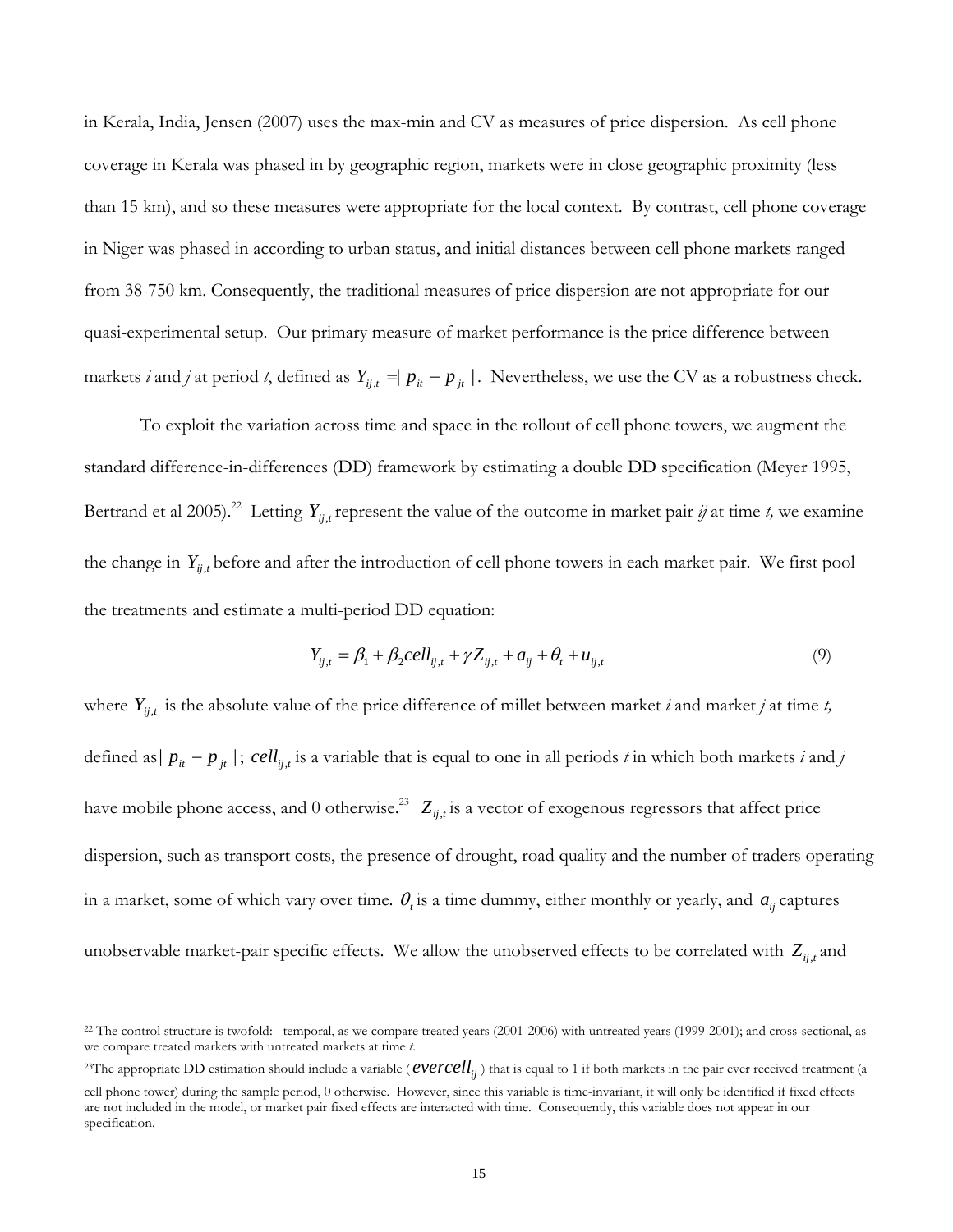in Kerala, India, Jensen (2007) uses the max-min and CV as measures of price dispersion. As cell phone coverage in Kerala was phased in by geographic region, markets were in close geographic proximity (less than 15 km), and so these measures were appropriate for the local context. By contrast, cell phone coverage in Niger was phased in according to urban status, and initial distances between cell phone markets ranged from 38-750 km. Consequently, the traditional measures of price dispersion are not appropriate for our quasi-experimental setup. Our primary measure of market performance is the price difference between markets *i* and *j* at period *t*, defined as  $Y_{ij,t} = | p_{it} - p_{jt} |$ . Nevertheless, we use the CV as a robustness check.

To exploit the variation across time and space in the rollout of cell phone towers, we augment the standard difference-in-differences (DD) framework by estimating a double DD specification (Meyer 1995, Bertrand et al 2005).<sup>22</sup> Letting  $Y_{ij,t}$  represent the value of the outcome in market pair *ij* at time *t*, we examine the change in  $Y_{ij,t}$  before and after the introduction of cell phone towers in each market pair. We first pool the treatments and estimate a multi-period DD equation:

$$
Y_{ij,t} = \beta_1 + \beta_2 cell_{ij,t} + \gamma Z_{ij,t} + a_{ij} + \theta_t + u_{ij,t}
$$
\n(9)

where  $Y_{i,j}$  is the absolute value of the price difference of millet between market *i* and market *j* at time *t*, defined as  $| p_{it} - p_{it} |$ ;  $cell_{ii,t}$  is a variable that is equal to one in all periods *t* in which both markets *i* and *j* have mobile phone access, and 0 otherwise.<sup>23</sup>  $Z_{ij,t}$  is a vector of exogenous regressors that affect price dispersion, such as transport costs, the presence of drought, road quality and the number of traders operating in a market, some of which vary over time.  $\theta_t$  is a time dummy, either monthly or yearly, and  $a_{ij}$  captures unobservable market-pair specific effects. We allow the unobserved effects to be correlated with  $Z_{ii,t}$  and

<sup>&</sup>lt;sup>22</sup> The control structure is twofold: temporal, as we compare treated years (2001-2006) with untreated years (1999-2001); and cross-sectional, as we compare treated markets with untreated markets at time *t*.

<sup>&</sup>lt;sup>23</sup>The appropriate DD estimation should include a variable (*evercell*<sub>ii</sub>) that is equal to 1 if both markets in the pair ever received treatment (a

cell phone tower) during the sample period, 0 otherwise. However, since this variable is time-invariant, it will only be identified if fixed effects are not included in the model, or market pair fixed effects are interacted with time. Consequently, this variable does not appear in our specification.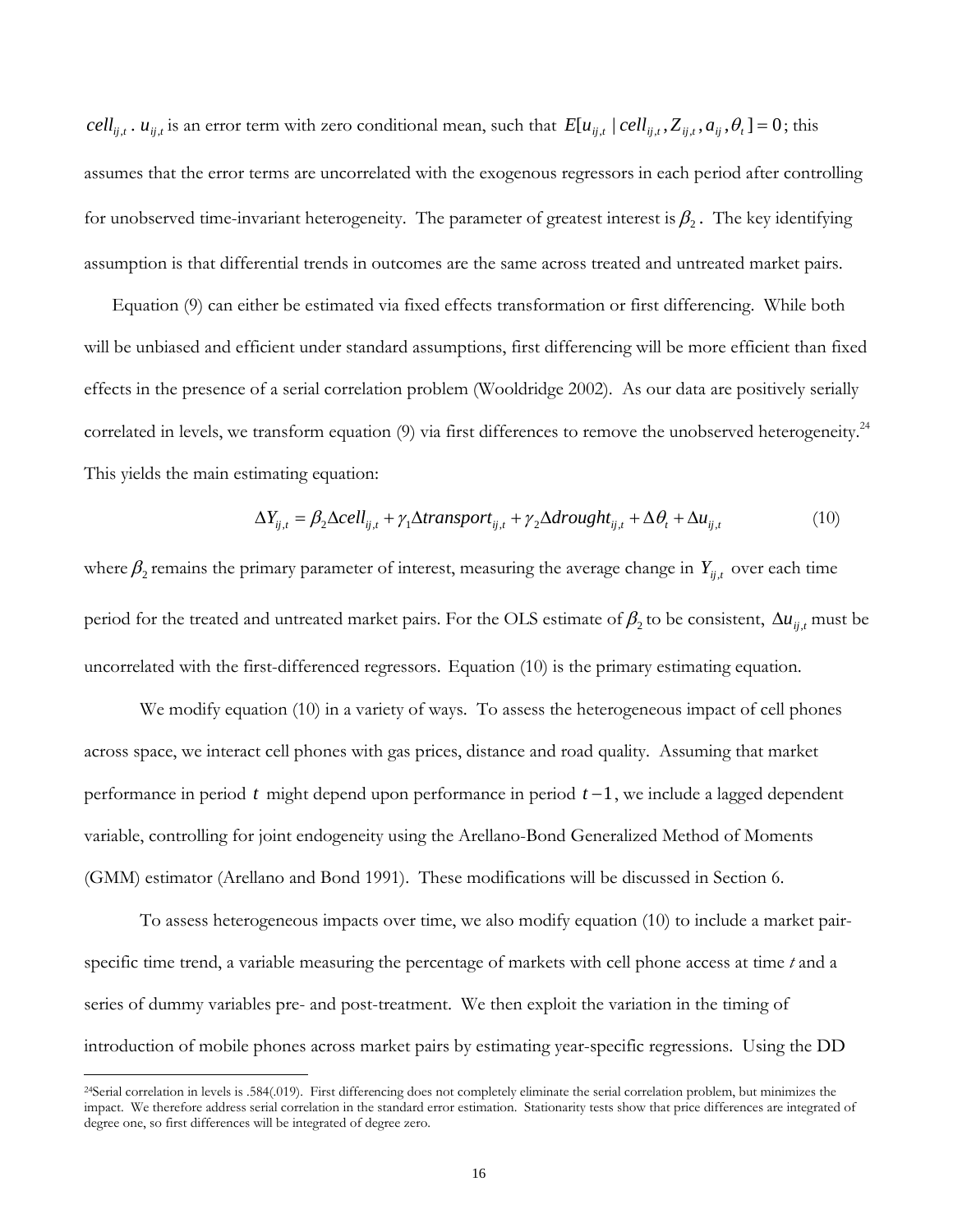cell<sub>ij,t</sub>.  $u_{ij,t}$  is an error term with zero conditional mean, such that  $E[u_{ij,t} | cell_{ij,t}, Z_{ij,t}, a_{ij}, \theta_t] = 0$ ; this assumes that the error terms are uncorrelated with the exogenous regressors in each period after controlling for unobserved time-invariant heterogeneity. The parameter of greatest interest is  $\beta_2$ . The key identifying assumption is that differential trends in outcomes are the same across treated and untreated market pairs.

Equation (9) can either be estimated via fixed effects transformation or first differencing. While both will be unbiased and efficient under standard assumptions, first differencing will be more efficient than fixed effects in the presence of a serial correlation problem (Wooldridge 2002). As our data are positively serially correlated in levels, we transform equation (9) via first differences to remove the unobserved heterogeneity.<sup>24</sup> This yields the main estimating equation:

$$
\Delta Y_{ij,t} = \beta_2 \Delta cell_{ij,t} + \gamma_1 \Delta transport_{ij,t} + \gamma_2 \Delta drought_{ij,t} + \Delta \theta_t + \Delta u_{ij,t}
$$
\n(10)

where  $\beta_2$  remains the primary parameter of interest, measuring the average change in  $Y_{ij,t}$  over each time period for the treated and untreated market pairs. For the OLS estimate of  $\beta_2$  to be consistent,  $\Delta u_{ij,t}$  must be uncorrelated with the first-differenced regressors. Equation (10) is the primary estimating equation.

We modify equation (10) in a variety of ways. To assess the heterogeneous impact of cell phones across space, we interact cell phones with gas prices, distance and road quality. Assuming that market performance in period t might depend upon performance in period  $t-1$ , we include a lagged dependent variable, controlling for joint endogeneity using the Arellano-Bond Generalized Method of Moments (GMM) estimator (Arellano and Bond 1991). These modifications will be discussed in Section 6.

To assess heterogeneous impacts over time, we also modify equation (10) to include a market pairspecific time trend, a variable measuring the percentage of markets with cell phone access at time *t* and a series of dummy variables pre- and post-treatment. We then exploit the variation in the timing of introduction of mobile phones across market pairs by estimating year-specific regressions. Using the DD

<sup>&</sup>lt;sup>24</sup>Serial correlation in levels is .584(.019). First differencing does not completely eliminate the serial correlation problem, but minimizes the impact. We therefore address serial correlation in the standard error estimation. Stationarity tests show that price differences are integrated of degree one, so first differences will be integrated of degree zero.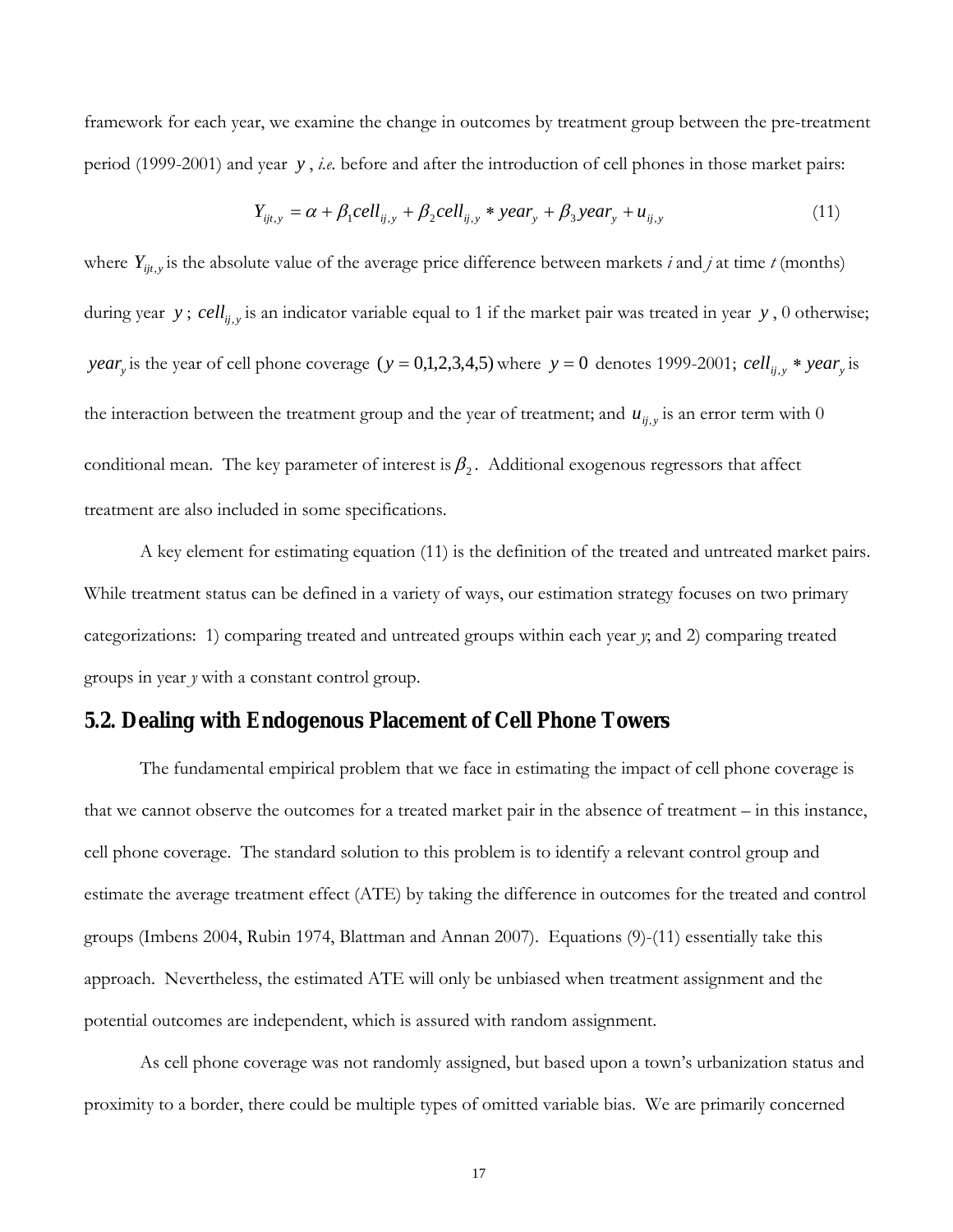framework for each year, we examine the change in outcomes by treatment group between the pre-treatment period (1999-2001) and year *y* , *i.e.* before and after the introduction of cell phones in those market pairs:

$$
Y_{ijt,y} = \alpha + \beta_1 cell_{ij,y} + \beta_2 cell_{ij,y} * year_y + \beta_3 year_y + u_{ij,y}
$$
(11)

where  $Y_{ijt}$  is the absolute value of the average price difference between markets *i* and *j* at time *t* (months) during year *y*;  $cell_{ij,y}$  is an indicator variable equal to 1 if the market pair was treated in year *y*, 0 otherwise; *year*<sub>y</sub> is the year of cell phone coverage ( $y = 0,1,2,3,4,5$ ) where  $y = 0$  denotes 1999-2001; *cell*<sub>*ij*,*y* \* *year*<sub>*y*</sub> is</sub> the interaction between the treatment group and the year of treatment; and  $u_{ij}$  is an error term with 0 conditional mean. The key parameter of interest is  $\beta_2$ . Additional exogenous regressors that affect treatment are also included in some specifications.

A key element for estimating equation (11) is the definition of the treated and untreated market pairs. While treatment status can be defined in a variety of ways, our estimation strategy focuses on two primary categorizations: 1) comparing treated and untreated groups within each year *y*; and 2) comparing treated groups in year *y* with a constant control group.

# **5.2. Dealing with Endogenous Placement of Cell Phone Towers**

The fundamental empirical problem that we face in estimating the impact of cell phone coverage is that we cannot observe the outcomes for a treated market pair in the absence of treatment – in this instance, cell phone coverage. The standard solution to this problem is to identify a relevant control group and estimate the average treatment effect (ATE) by taking the difference in outcomes for the treated and control groups (Imbens 2004, Rubin 1974, Blattman and Annan 2007). Equations (9)-(11) essentially take this approach. Nevertheless, the estimated ATE will only be unbiased when treatment assignment and the potential outcomes are independent, which is assured with random assignment.

As cell phone coverage was not randomly assigned, but based upon a town's urbanization status and proximity to a border, there could be multiple types of omitted variable bias. We are primarily concerned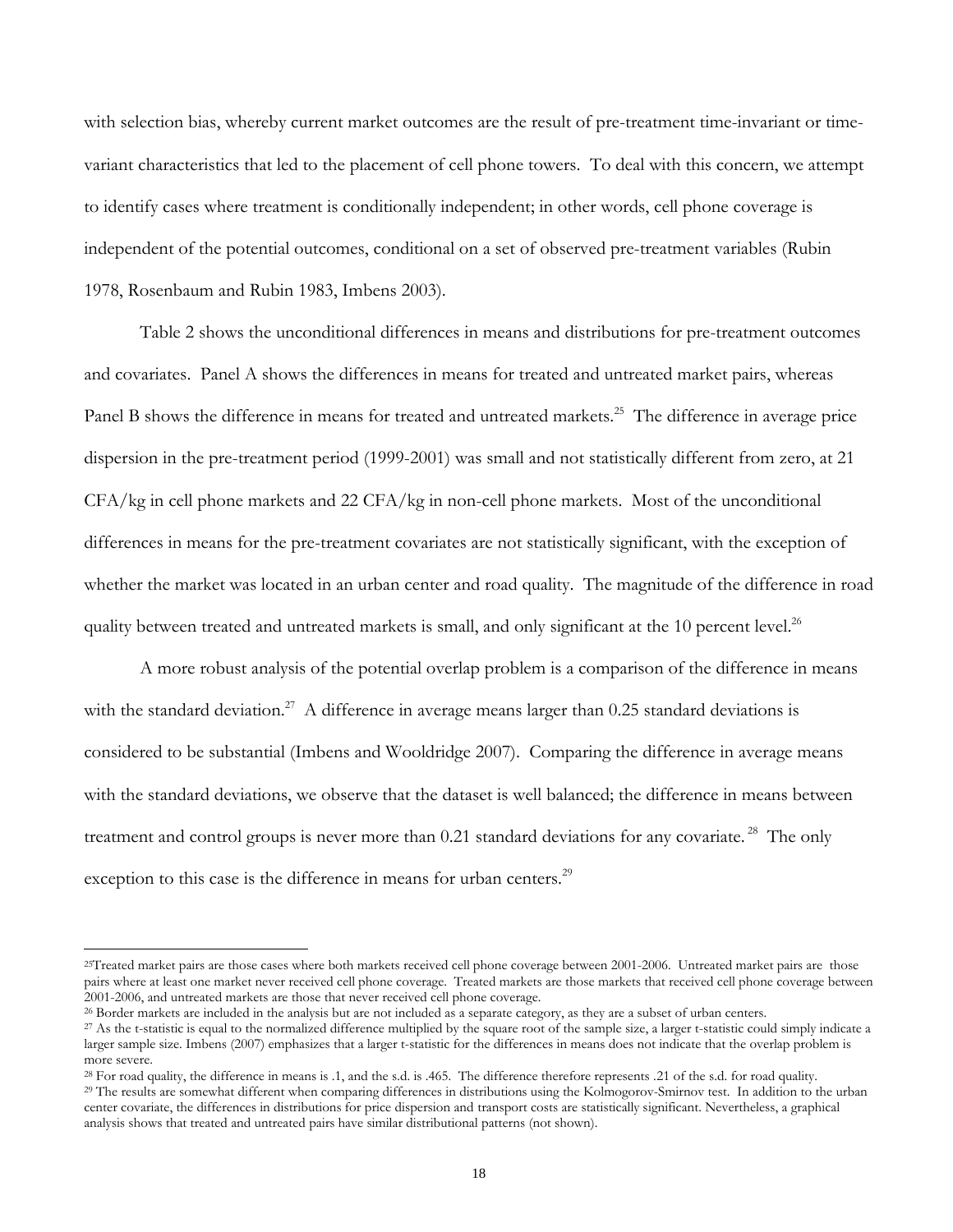with selection bias, whereby current market outcomes are the result of pre-treatment time-invariant or timevariant characteristics that led to the placement of cell phone towers. To deal with this concern, we attempt to identify cases where treatment is conditionally independent; in other words, cell phone coverage is independent of the potential outcomes, conditional on a set of observed pre-treatment variables (Rubin 1978, Rosenbaum and Rubin 1983, Imbens 2003).

Table 2 shows the unconditional differences in means and distributions for pre-treatment outcomes and covariates. Panel A shows the differences in means for treated and untreated market pairs, whereas Panel B shows the difference in means for treated and untreated markets.<sup>25</sup> The difference in average price dispersion in the pre-treatment period (1999-2001) was small and not statistically different from zero, at 21 CFA/kg in cell phone markets and 22 CFA/kg in non-cell phone markets. Most of the unconditional differences in means for the pre-treatment covariates are not statistically significant, with the exception of whether the market was located in an urban center and road quality. The magnitude of the difference in road quality between treated and untreated markets is small, and only significant at the 10 percent level.<sup>26</sup>

A more robust analysis of the potential overlap problem is a comparison of the difference in means with the standard deviation.<sup>27</sup> A difference in average means larger than 0.25 standard deviations is considered to be substantial (Imbens and Wooldridge 2007). Comparing the difference in average means with the standard deviations, we observe that the dataset is well balanced; the difference in means between treatment and control groups is never more than 0.21 standard deviations for any covariate.<sup>28</sup> The only exception to this case is the difference in means for urban centers.<sup>29</sup>

<sup>&</sup>lt;sup>25</sup>Treated market pairs are those cases where both markets received cell phone coverage between 2001-2006. Untreated market pairs are those pairs where at least one market never received cell phone coverage. Treated markets are those markets that received cell phone coverage between 2001-2006, and untreated markets are those that never received cell phone coverage.

<sup>&</sup>lt;sup>26</sup> Border markets are included in the analysis but are not included as a separate category, as they are a subset of urban centers.

<sup>27</sup> As the t-statistic is equal to the normalized difference multiplied by the square root of the sample size, a larger t-statistic could simply indicate a larger sample size. Imbens (2007) emphasizes that a larger t-statistic for the differences in means does not indicate that the overlap problem is more severe.

<sup>28</sup> For road quality, the difference in means is .1, and the s.d. is .465. The difference therefore represents .21 of the s.d. for road quality. <sup>29</sup> The results are somewhat different when comparing differences in distributions using the Kolmogorov-Smirnov test. In addition to the urban center covariate, the differences in distributions for price dispersion and transport costs are statistically significant. Nevertheless, a graphical analysis shows that treated and untreated pairs have similar distributional patterns (not shown).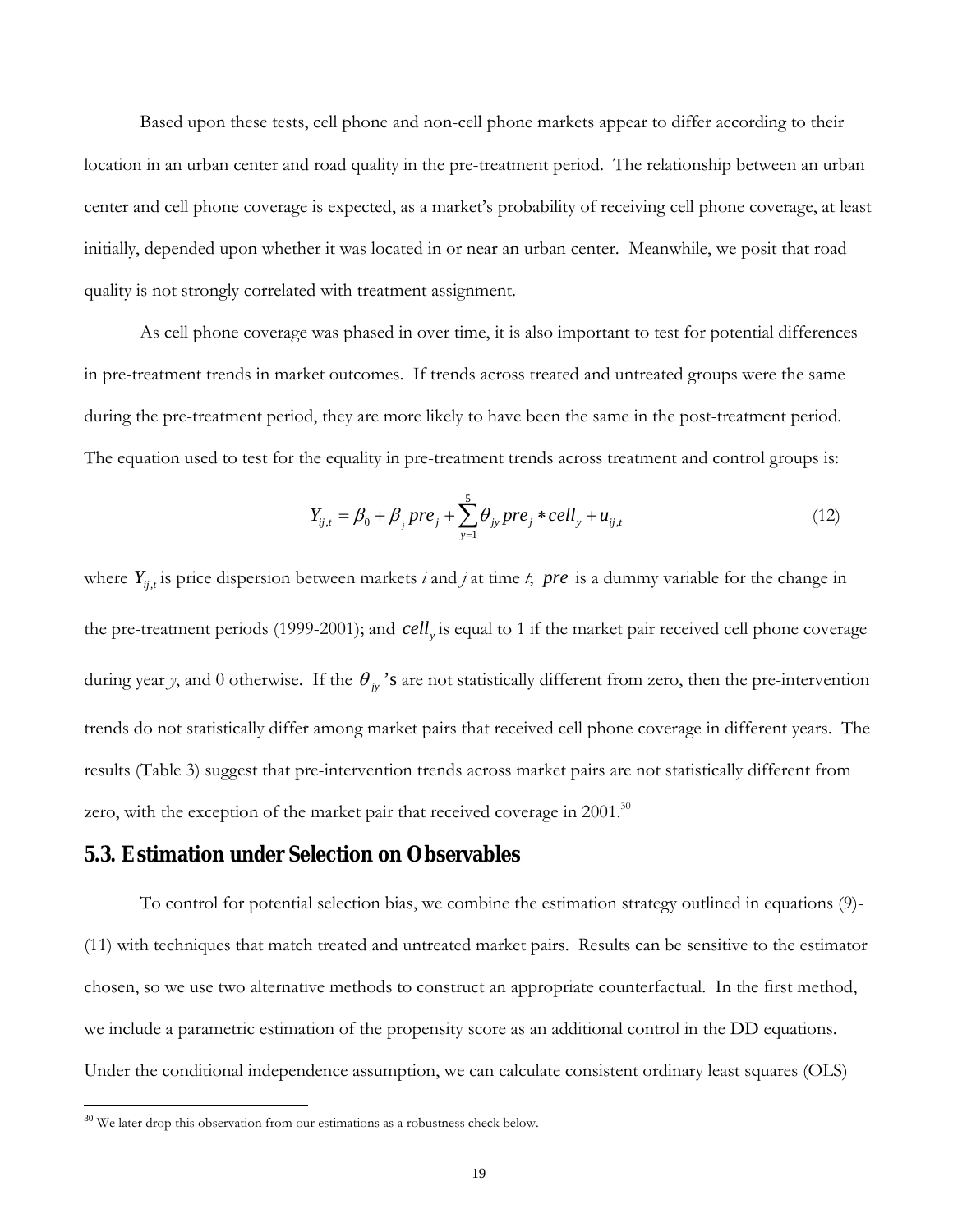Based upon these tests, cell phone and non-cell phone markets appear to differ according to their location in an urban center and road quality in the pre-treatment period. The relationship between an urban center and cell phone coverage is expected, as a market's probability of receiving cell phone coverage, at least initially, depended upon whether it was located in or near an urban center. Meanwhile, we posit that road quality is not strongly correlated with treatment assignment.

As cell phone coverage was phased in over time, it is also important to test for potential differences in pre-treatment trends in market outcomes. If trends across treated and untreated groups were the same during the pre-treatment period, they are more likely to have been the same in the post-treatment period. The equation used to test for the equality in pre-treatment trends across treatment and control groups is:

$$
Y_{ij,t} = \beta_0 + \beta_j pre_j + \sum_{y=1}^{5} \theta_{jy} pre_j * cell_y + u_{ij,t}
$$
 (12)

where  $Y_{ii}$ , is price dispersion between markets *i* and *j* at time *t*; *pre* is a dummy variable for the change in the pre-treatment periods (1999-2001); and *cell*<sub>y</sub> is equal to 1 if the market pair received cell phone coverage during year *y*, and 0 otherwise. If the  $\theta_{i}$  's are not statistically different from zero, then the pre-intervention trends do not statistically differ among market pairs that received cell phone coverage in different years. The results (Table 3) suggest that pre-intervention trends across market pairs are not statistically different from zero, with the exception of the market pair that received coverage in  $2001$ .<sup>30</sup>

#### **5.3. Estimation under Selection on Observables**

To control for potential selection bias, we combine the estimation strategy outlined in equations (9)- (11) with techniques that match treated and untreated market pairs. Results can be sensitive to the estimator chosen, so we use two alternative methods to construct an appropriate counterfactual. In the first method, we include a parametric estimation of the propensity score as an additional control in the DD equations. Under the conditional independence assumption, we can calculate consistent ordinary least squares (OLS)

 $30$  We later drop this observation from our estimations as a robustness check below.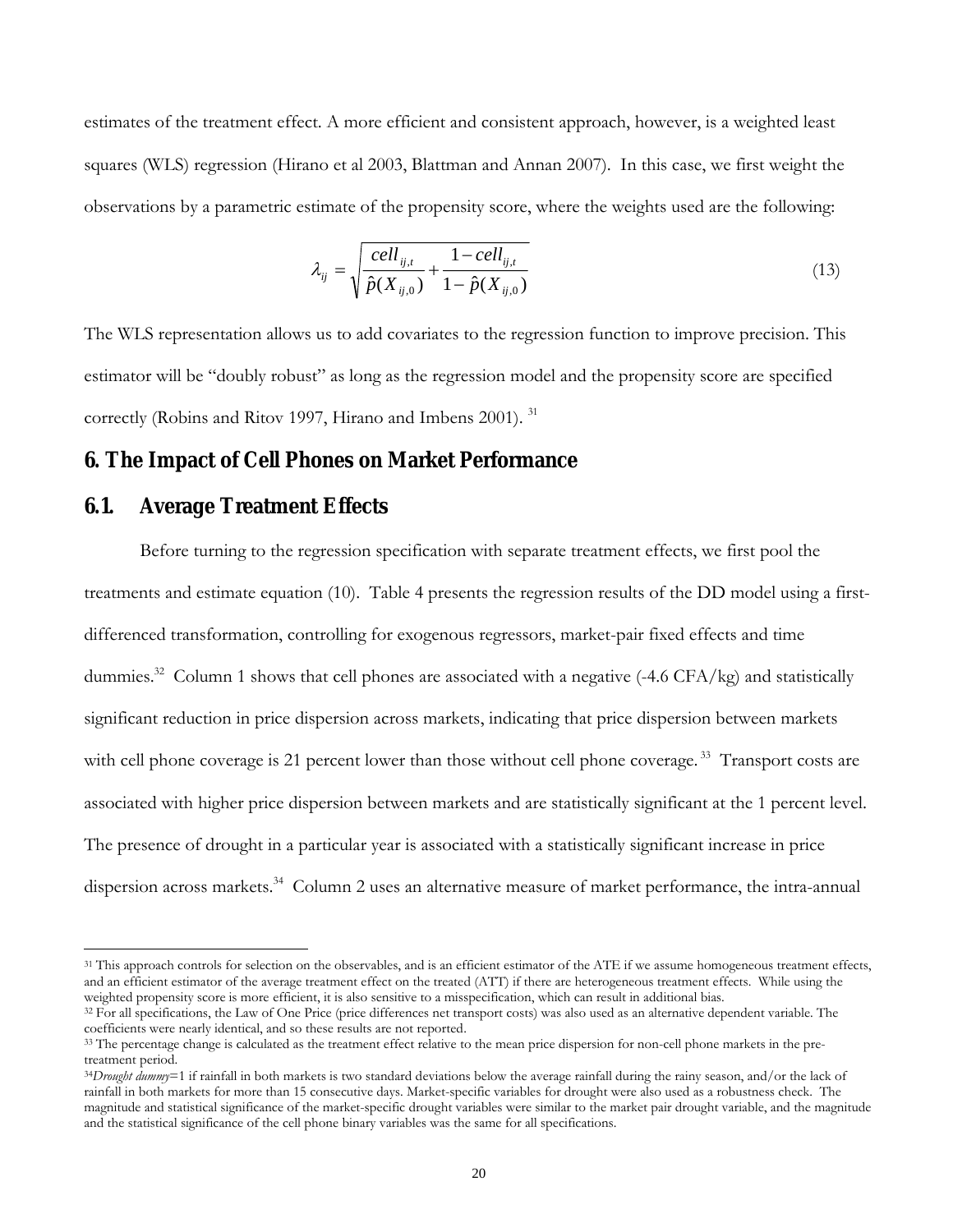estimates of the treatment effect. A more efficient and consistent approach, however, is a weighted least squares (WLS) regression (Hirano et al 2003, Blattman and Annan 2007). In this case, we first weight the observations by a parametric estimate of the propensity score, where the weights used are the following:

$$
\lambda_{ij} = \sqrt{\frac{cell_{ij,t}}{\hat{p}(X_{ij,0})} + \frac{1-cell_{ij,t}}{1 - \hat{p}(X_{ij,0})}}
$$
(13)

The WLS representation allows us to add covariates to the regression function to improve precision. This estimator will be "doubly robust" as long as the regression model and the propensity score are specified correctly (Robins and Ritov 1997, Hirano and Imbens 2001).<sup>31</sup>

## **6. The Impact of Cell Phones on Market Performance**

### **6.1. Average Treatment Effects**

 $\overline{a}$ 

Before turning to the regression specification with separate treatment effects, we first pool the treatments and estimate equation (10). Table 4 presents the regression results of the DD model using a firstdifferenced transformation, controlling for exogenous regressors, market-pair fixed effects and time dummies.<sup>32</sup> Column 1 shows that cell phones are associated with a negative  $(-4.6 \text{ CFA/kg})$  and statistically significant reduction in price dispersion across markets, indicating that price dispersion between markets with cell phone coverage is 21 percent lower than those without cell phone coverage.<sup>33</sup> Transport costs are associated with higher price dispersion between markets and are statistically significant at the 1 percent level. The presence of drought in a particular year is associated with a statistically significant increase in price dispersion across markets.<sup>34</sup> Column 2 uses an alternative measure of market performance, the intra-annual

<sup>&</sup>lt;sup>31</sup> This approach controls for selection on the observables, and is an efficient estimator of the ATE if we assume homogeneous treatment effects, and an efficient estimator of the average treatment effect on the treated (ATT) if there are heterogeneous treatment effects. While using the weighted propensity score is more efficient, it is also sensitive to a misspecification, which can result in additional bias.

<sup>&</sup>lt;sup>32</sup> For all specifications, the Law of One Price (price differences net transport costs) was also used as an alternative dependent variable. The coefficients were nearly identical, and so these results are not reported.

<sup>&</sup>lt;sup>33</sup> The percentage change is calculated as the treatment effect relative to the mean price dispersion for non-cell phone markets in the pretreatment period.

<sup>34</sup>*Drought dummy*=1 if rainfall in both markets is two standard deviations below the average rainfall during the rainy season, and/or the lack of rainfall in both markets for more than 15 consecutive days. Market-specific variables for drought were also used as a robustness check. The magnitude and statistical significance of the market-specific drought variables were similar to the market pair drought variable, and the magnitude and the statistical significance of the cell phone binary variables was the same for all specifications.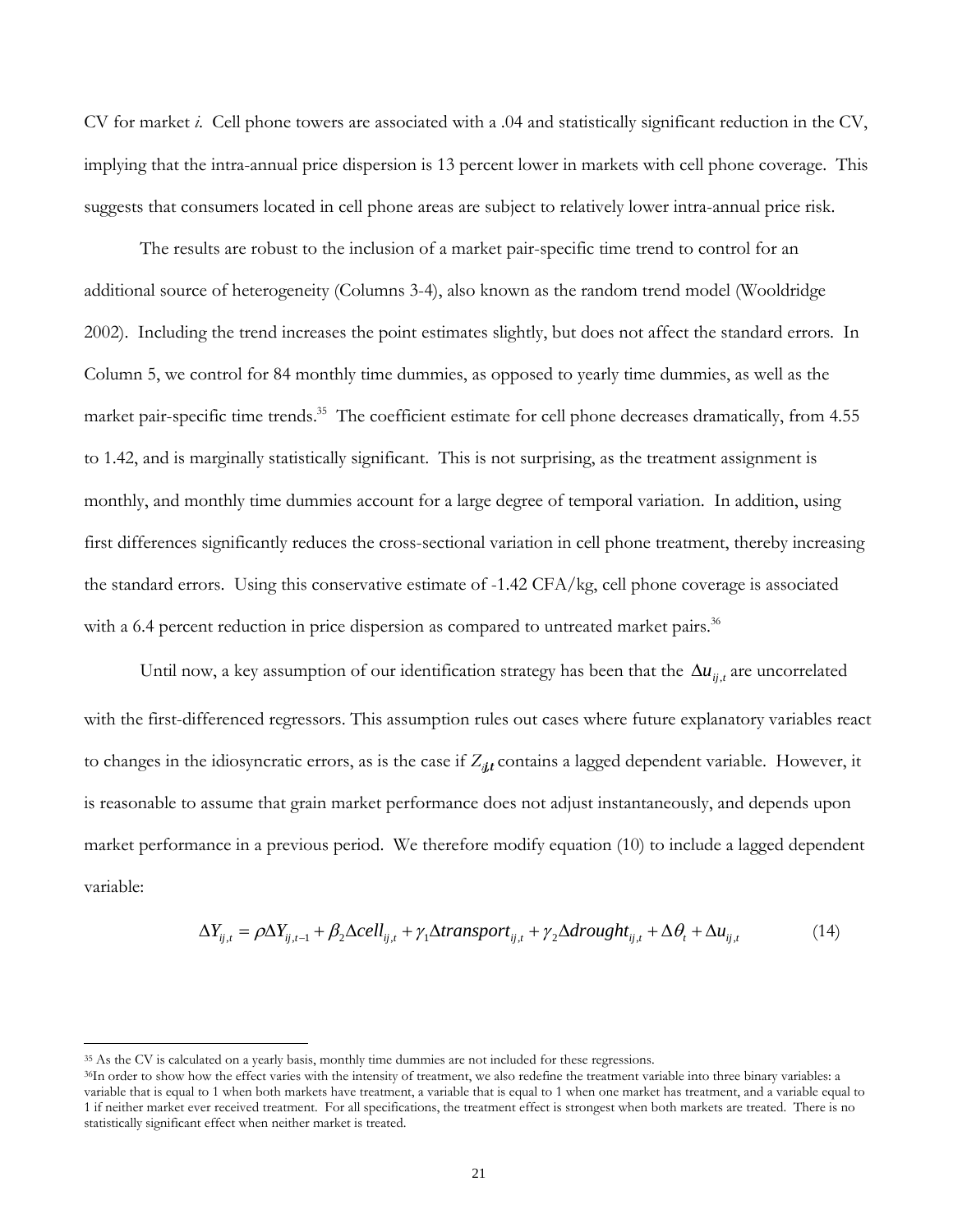CV for market *i*. Cell phone towers are associated with a .04 and statistically significant reduction in the CV, implying that the intra-annual price dispersion is 13 percent lower in markets with cell phone coverage. This suggests that consumers located in cell phone areas are subject to relatively lower intra-annual price risk.

The results are robust to the inclusion of a market pair-specific time trend to control for an additional source of heterogeneity (Columns 3-4), also known as the random trend model (Wooldridge 2002). Including the trend increases the point estimates slightly, but does not affect the standard errors. In Column 5, we control for 84 monthly time dummies, as opposed to yearly time dummies, as well as the market pair-specific time trends.<sup>35</sup> The coefficient estimate for cell phone decreases dramatically, from 4.55 to 1.42, and is marginally statistically significant. This is not surprising, as the treatment assignment is monthly, and monthly time dummies account for a large degree of temporal variation. In addition, using first differences significantly reduces the cross-sectional variation in cell phone treatment, thereby increasing the standard errors. Using this conservative estimate of -1.42 CFA/kg, cell phone coverage is associated with a 6.4 percent reduction in price dispersion as compared to untreated market pairs.<sup>36</sup>

Until now, a key assumption of our identification strategy has been that the  $\Delta u_{ii,t}$  are uncorrelated with the first-differenced regressors. This assumption rules out cases where future explanatory variables react to changes in the idiosyncratic errors, as is the case if  $Z_{it}$  contains a lagged dependent variable. However, it is reasonable to assume that grain market performance does not adjust instantaneously, and depends upon market performance in a previous period. We therefore modify equation (10) to include a lagged dependent variable:

$$
\Delta Y_{ij,t} = \rho \Delta Y_{ij,t-1} + \beta_2 \Delta cell_{ij,t} + \gamma_1 \Delta transport_{ij,t} + \gamma_2 \Delta drought_{ij,t} + \Delta \theta_t + \Delta u_{ij,t}
$$
(14)

<sup>&</sup>lt;sup>35</sup> As the CV is calculated on a yearly basis, monthly time dummies are not included for these regressions.

<sup>36</sup>In order to show how the effect varies with the intensity of treatment, we also redefine the treatment variable into three binary variables: a variable that is equal to 1 when both markets have treatment, a variable that is equal to 1 when one market has treatment, and a variable equal to 1 if neither market ever received treatment. For all specifications, the treatment effect is strongest when both markets are treated. There is no statistically significant effect when neither market is treated.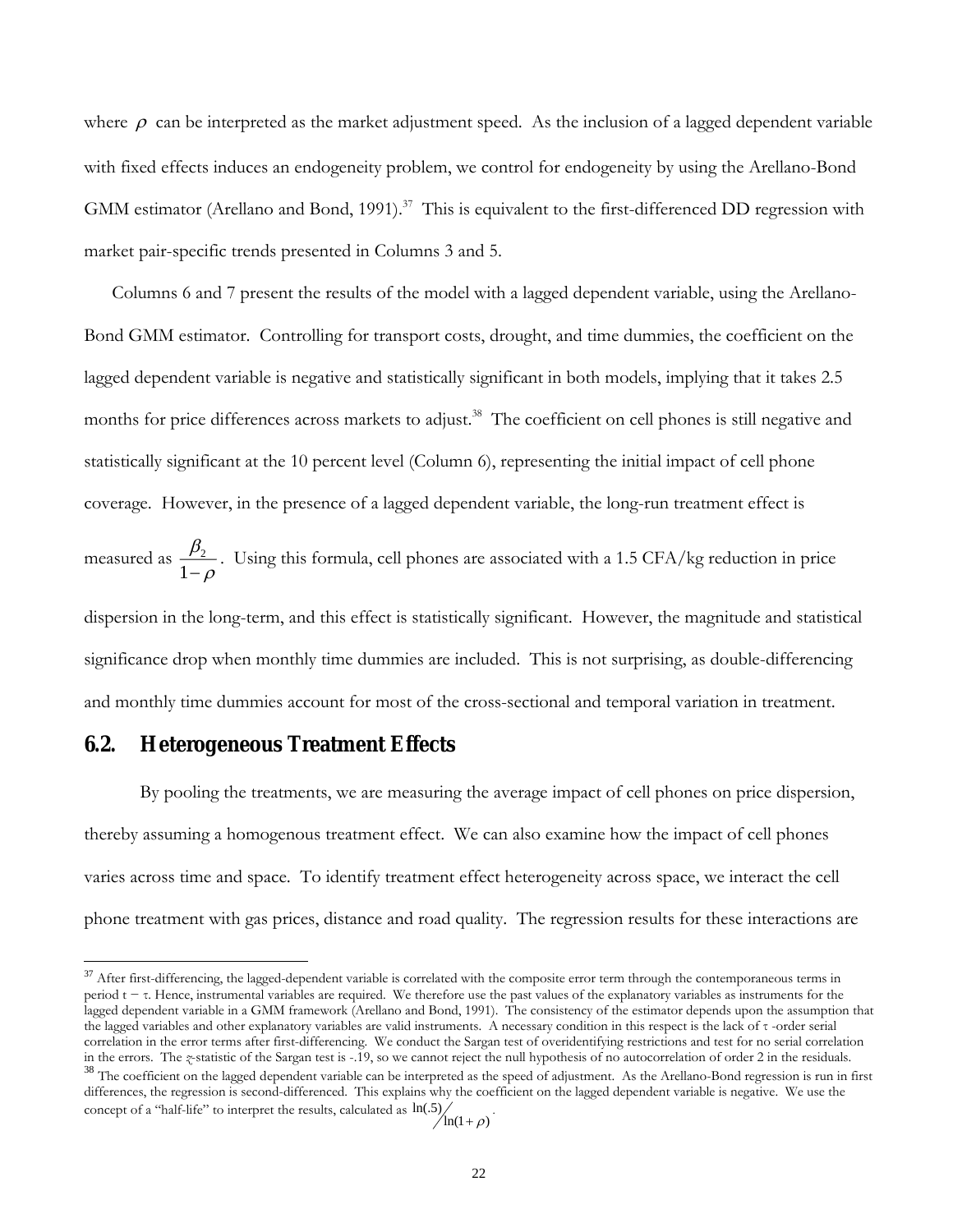where  $\rho$  can be interpreted as the market adjustment speed. As the inclusion of a lagged dependent variable with fixed effects induces an endogeneity problem, we control for endogeneity by using the Arellano-Bond GMM estimator (Arellano and Bond, 1991).<sup>37</sup> This is equivalent to the first-differenced DD regression with market pair-specific trends presented in Columns 3 and 5.

Columns 6 and 7 present the results of the model with a lagged dependent variable, using the Arellano-Bond GMM estimator. Controlling for transport costs, drought, and time dummies, the coefficient on the lagged dependent variable is negative and statistically significant in both models, implying that it takes 2.5 months for price differences across markets to adjust.<sup>38</sup> The coefficient on cell phones is still negative and statistically significant at the 10 percent level (Column 6), representing the initial impact of cell phone coverage. However, in the presence of a lagged dependent variable, the long-run treatment effect is

measured as  $\frac{P_2}{P_1}$ 1  $\beta_{\scriptscriptstyle 2}$  $-\rho$ . Using this formula, cell phones are associated with a 1.5 CFA/kg reduction in price

dispersion in the long-term, and this effect is statistically significant. However, the magnitude and statistical significance drop when monthly time dummies are included. This is not surprising, as double-differencing and monthly time dummies account for most of the cross-sectional and temporal variation in treatment.

#### **6.2. Heterogeneous Treatment Effects**

 $\overline{a}$ 

By pooling the treatments, we are measuring the average impact of cell phones on price dispersion, thereby assuming a homogenous treatment effect. We can also examine how the impact of cell phones varies across time and space. To identify treatment effect heterogeneity across space, we interact the cell phone treatment with gas prices, distance and road quality. The regression results for these interactions are

<sup>&</sup>lt;sup>37</sup> After first-differencing, the lagged-dependent variable is correlated with the composite error term through the contemporaneous terms in period t − τ. Hence, instrumental variables are required. We therefore use the past values of the explanatory variables as instruments for the lagged dependent variable in a GMM framework (Arellano and Bond, 1991). The consistency of the estimator depends upon the assumption that the lagged variables and other explanatory variables are valid instruments. A necessary condition in this respect is the lack of τ -order serial correlation in the error terms after first-differencing. We conduct the Sargan test of overidentifying restrictions and test for no serial correlation in the errors. The z-statistic of the Sargan test is -19, so we cannot <sup>38</sup> The coefficient on the lagged dependent variable can be interpreted as the speed of adjustment. As the Arellano-Bond regression is run in first differences, the regression is second-differenced. This explains why the coefficient on the lagged dependent variable is negative. We use the concept of a "half-life" to interpret the results, calculated as  $\ln(.5) / \ln(1 + \rho)$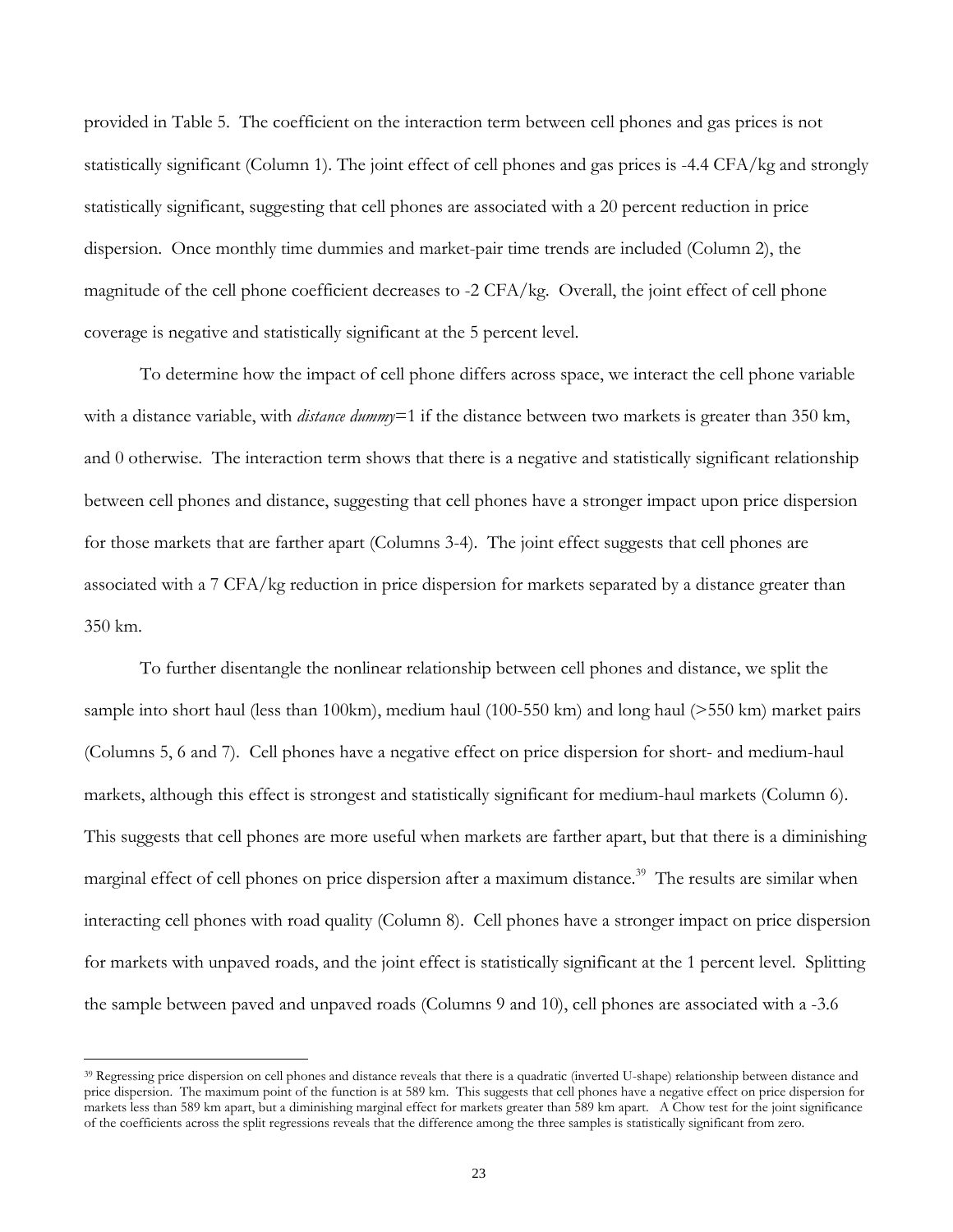provided in Table 5. The coefficient on the interaction term between cell phones and gas prices is not statistically significant (Column 1). The joint effect of cell phones and gas prices is -4.4 CFA/kg and strongly statistically significant, suggesting that cell phones are associated with a 20 percent reduction in price dispersion. Once monthly time dummies and market-pair time trends are included (Column 2), the magnitude of the cell phone coefficient decreases to -2 CFA/kg. Overall, the joint effect of cell phone coverage is negative and statistically significant at the 5 percent level.

To determine how the impact of cell phone differs across space, we interact the cell phone variable with a distance variable, with *distance dummy*=1 if the distance between two markets is greater than 350 km, and 0 otherwise. The interaction term shows that there is a negative and statistically significant relationship between cell phones and distance, suggesting that cell phones have a stronger impact upon price dispersion for those markets that are farther apart (Columns 3-4). The joint effect suggests that cell phones are associated with a 7 CFA/kg reduction in price dispersion for markets separated by a distance greater than 350 km.

To further disentangle the nonlinear relationship between cell phones and distance, we split the sample into short haul (less than 100km), medium haul (100-550 km) and long haul (>550 km) market pairs (Columns 5, 6 and 7). Cell phones have a negative effect on price dispersion for short- and medium-haul markets, although this effect is strongest and statistically significant for medium-haul markets (Column 6). This suggests that cell phones are more useful when markets are farther apart, but that there is a diminishing marginal effect of cell phones on price dispersion after a maximum distance.<sup>39</sup> The results are similar when interacting cell phones with road quality (Column 8). Cell phones have a stronger impact on price dispersion for markets with unpaved roads, and the joint effect is statistically significant at the 1 percent level. Splitting the sample between paved and unpaved roads (Columns 9 and 10), cell phones are associated with a -3.6

<sup>39</sup> Regressing price dispersion on cell phones and distance reveals that there is a quadratic (inverted U-shape) relationship between distance and price dispersion. The maximum point of the function is at 589 km. This suggests that cell phones have a negative effect on price dispersion for markets less than 589 km apart, but a diminishing marginal effect for markets greater than 589 km apart. A Chow test for the joint significance of the coefficients across the split regressions reveals that the difference among the three samples is statistically significant from zero.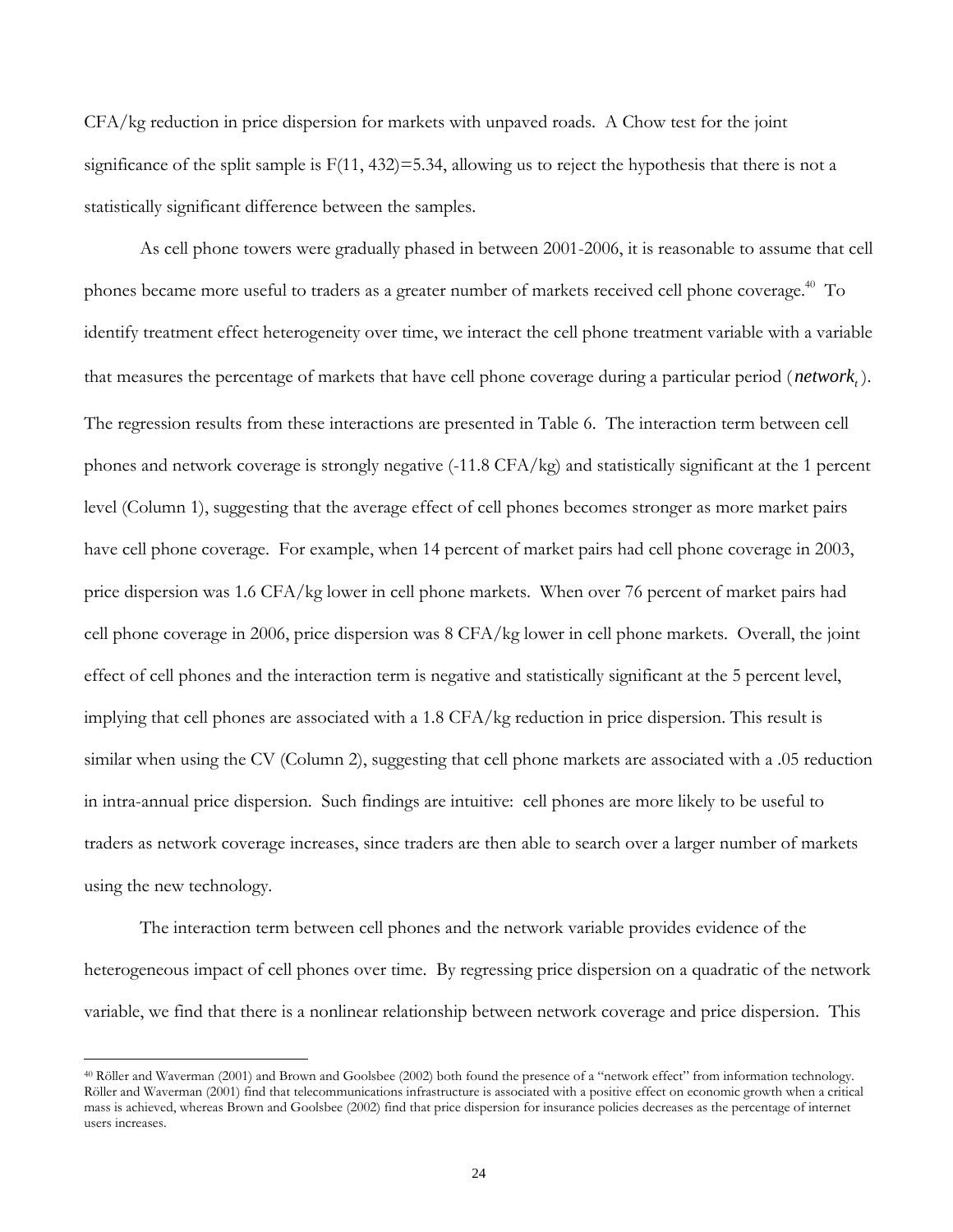CFA/kg reduction in price dispersion for markets with unpaved roads. A Chow test for the joint significance of the split sample is  $F(11, 432)=5.34$ , allowing us to reject the hypothesis that there is not a statistically significant difference between the samples.

As cell phone towers were gradually phased in between 2001-2006, it is reasonable to assume that cell phones became more useful to traders as a greater number of markets received cell phone coverage.<sup>40</sup> To identify treatment effect heterogeneity over time, we interact the cell phone treatment variable with a variable that measures the percentage of markets that have cell phone coverage during a particular period (*network*,). The regression results from these interactions are presented in Table 6. The interaction term between cell phones and network coverage is strongly negative (-11.8 CFA/kg) and statistically significant at the 1 percent level (Column 1), suggesting that the average effect of cell phones becomes stronger as more market pairs have cell phone coverage. For example, when 14 percent of market pairs had cell phone coverage in 2003, price dispersion was 1.6 CFA/kg lower in cell phone markets. When over 76 percent of market pairs had cell phone coverage in 2006, price dispersion was 8 CFA/kg lower in cell phone markets. Overall, the joint effect of cell phones and the interaction term is negative and statistically significant at the 5 percent level, implying that cell phones are associated with a 1.8 CFA/kg reduction in price dispersion. This result is similar when using the CV (Column 2), suggesting that cell phone markets are associated with a .05 reduction in intra-annual price dispersion. Such findings are intuitive: cell phones are more likely to be useful to traders as network coverage increases, since traders are then able to search over a larger number of markets using the new technology.

The interaction term between cell phones and the network variable provides evidence of the heterogeneous impact of cell phones over time. By regressing price dispersion on a quadratic of the network variable, we find that there is a nonlinear relationship between network coverage and price dispersion. This

<sup>40</sup> Röller and Waverman (2001) and Brown and Goolsbee (2002) both found the presence of a "network effect" from information technology. Röller and Waverman (2001) find that telecommunications infrastructure is associated with a positive effect on economic growth when a critical mass is achieved, whereas Brown and Goolsbee (2002) find that price dispersion for insurance policies decreases as the percentage of internet users increases.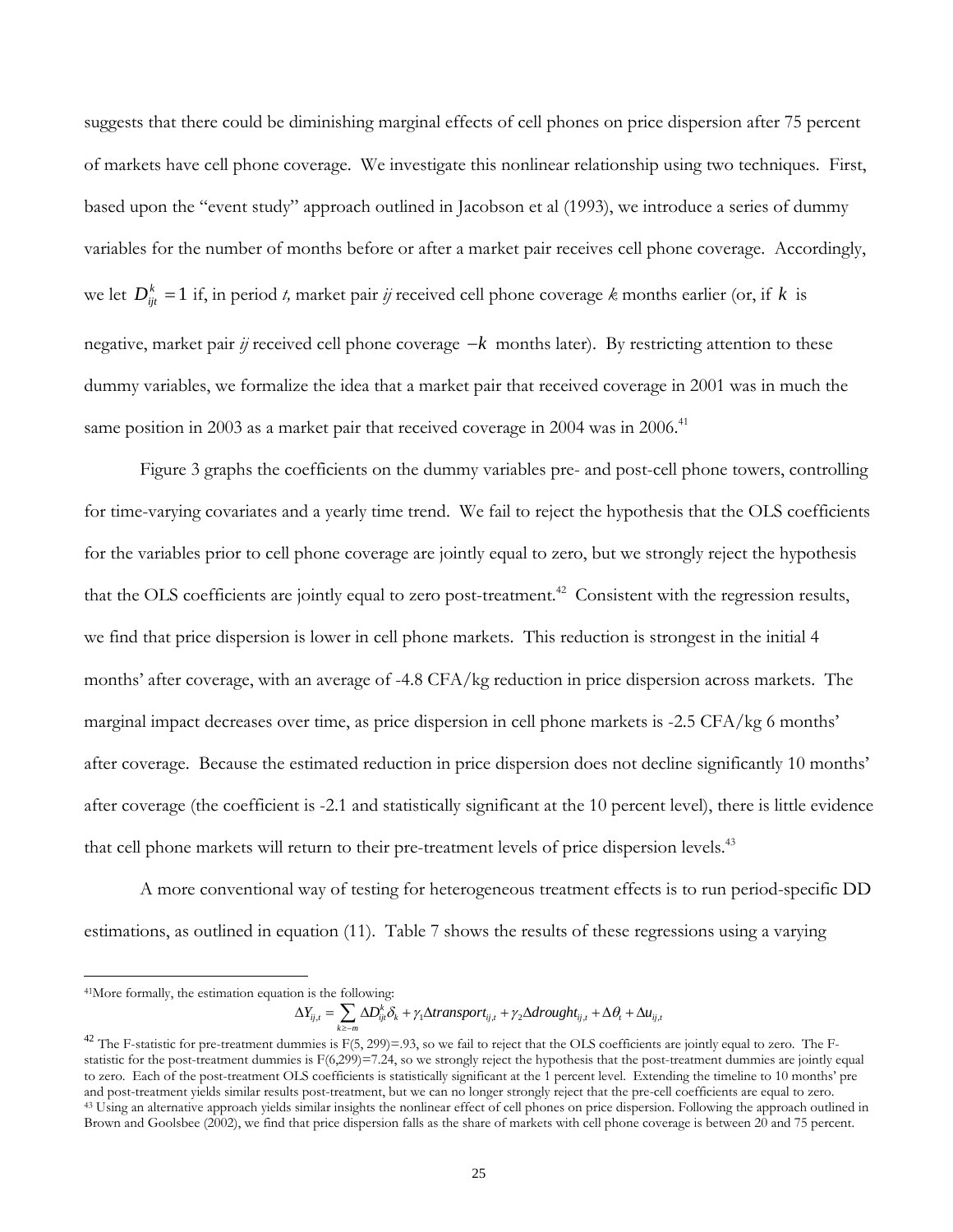suggests that there could be diminishing marginal effects of cell phones on price dispersion after 75 percent of markets have cell phone coverage. We investigate this nonlinear relationship using two techniques. First, based upon the "event study" approach outlined in Jacobson et al (1993), we introduce a series of dummy variables for the number of months before or after a market pair receives cell phone coverage. Accordingly, we let  $D_{ii}^k = 1$  if, in period *t*, market pair *ij* received cell phone coverage *k* months earlier (or, if *k* is negative, market pair *ij* received cell phone coverage  $-k$  months later). By restricting attention to these dummy variables, we formalize the idea that a market pair that received coverage in 2001 was in much the same position in 2003 as a market pair that received coverage in 2004 was in 2006.<sup>41</sup>

Figure 3 graphs the coefficients on the dummy variables pre- and post-cell phone towers, controlling for time-varying covariates and a yearly time trend. We fail to reject the hypothesis that the OLS coefficients for the variables prior to cell phone coverage are jointly equal to zero, but we strongly reject the hypothesis that the OLS coefficients are jointly equal to zero post-treatment.<sup>42</sup> Consistent with the regression results, we find that price dispersion is lower in cell phone markets. This reduction is strongest in the initial 4 months' after coverage, with an average of -4.8 CFA/kg reduction in price dispersion across markets. The marginal impact decreases over time, as price dispersion in cell phone markets is -2.5 CFA/kg 6 months' after coverage. Because the estimated reduction in price dispersion does not decline significantly 10 months' after coverage (the coefficient is -2.1 and statistically significant at the 10 percent level), there is little evidence that cell phone markets will return to their pre-treatment levels of price dispersion levels.<sup>43</sup>

A more conventional way of testing for heterogeneous treatment effects is to run period-specific DD estimations, as outlined in equation (11). Table 7 shows the results of these regressions using a varying

$$
\Delta Y_{ij,t} = \sum_{k \ge -m} \Delta D_{ij}^k \delta_k + \gamma_1 \Delta transport_{ij,t} + \gamma_2 \Delta drought_{ij,t} + \Delta \theta_t + \Delta u_{ij,t}
$$

<sup>41</sup>More formally, the estimation equation is the following:

<sup>&</sup>lt;sup>42</sup> The F-statistic for pre-treatment dummies is  $F(5, 299) = .93$ , so we fail to reject that the OLS coefficients are jointly equal to zero. The Fstatistic for the post-treatment dummies is F(6,299)=7.24, so we strongly reject the hypothesis that the post-treatment dummies are jointly equal to zero. Each of the post-treatment OLS coefficients is statistically significant at the 1 percent level. Extending the timeline to 10 months' pre and post-treatment yields similar results post-treatment, but we can no longer strongly reject that the pre-cell coefficients are equal to zero. 43 Using an alternative approach yields similar insights the nonlinear effect of cell phones on price dispersion. Following the approach outlined in Brown and Goolsbee (2002), we find that price dispersion falls as the share of markets with cell phone coverage is between 20 and 75 percent.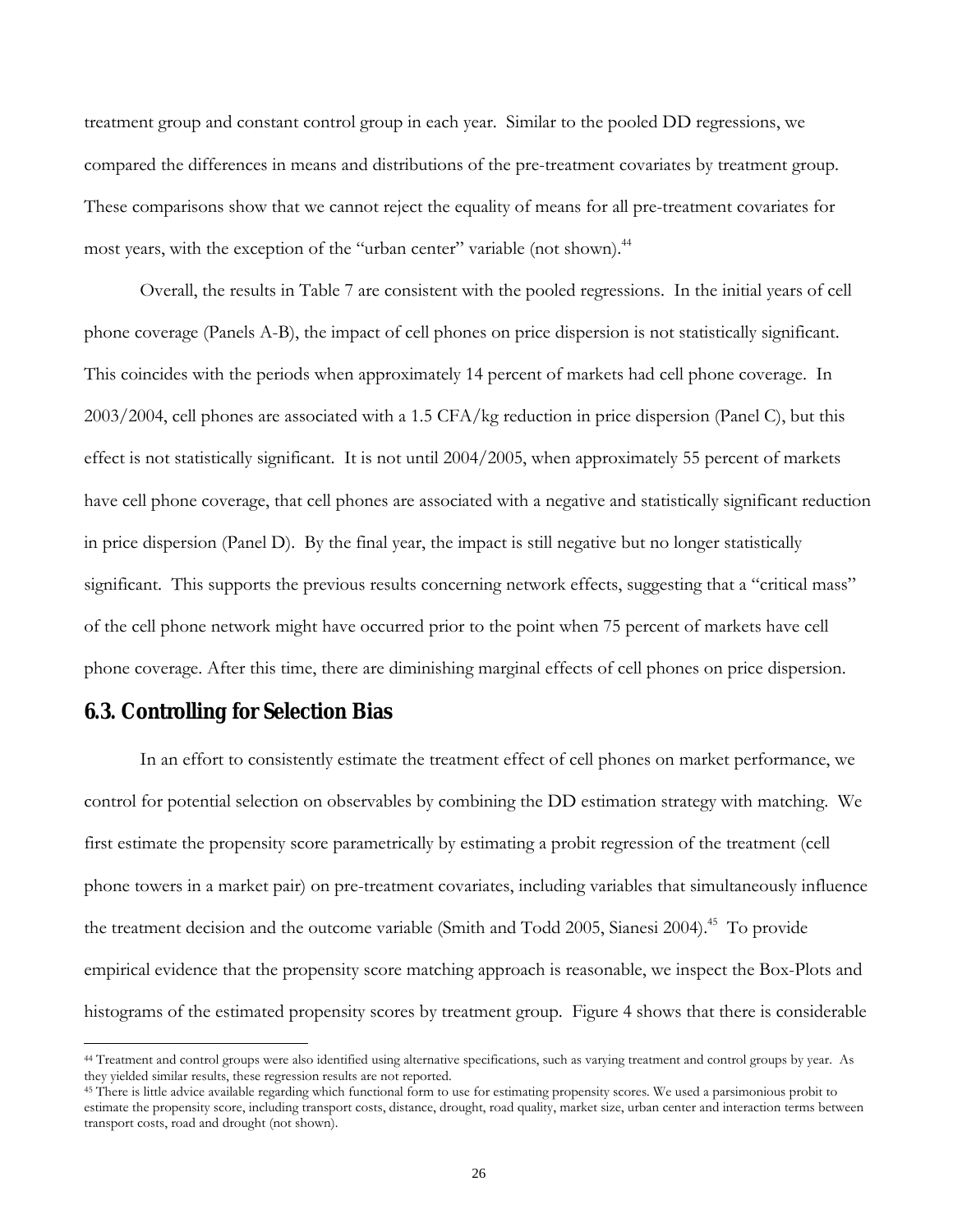treatment group and constant control group in each year. Similar to the pooled DD regressions, we compared the differences in means and distributions of the pre-treatment covariates by treatment group. These comparisons show that we cannot reject the equality of means for all pre-treatment covariates for most years, with the exception of the "urban center" variable (not shown).<sup>44</sup>

Overall, the results in Table 7 are consistent with the pooled regressions. In the initial years of cell phone coverage (Panels A-B), the impact of cell phones on price dispersion is not statistically significant. This coincides with the periods when approximately 14 percent of markets had cell phone coverage. In 2003/2004, cell phones are associated with a 1.5 CFA/kg reduction in price dispersion (Panel C), but this effect is not statistically significant. It is not until 2004/2005, when approximately 55 percent of markets have cell phone coverage, that cell phones are associated with a negative and statistically significant reduction in price dispersion (Panel D). By the final year, the impact is still negative but no longer statistically significant. This supports the previous results concerning network effects, suggesting that a "critical mass" of the cell phone network might have occurred prior to the point when 75 percent of markets have cell phone coverage. After this time, there are diminishing marginal effects of cell phones on price dispersion.

### **6.3. Controlling for Selection Bias**

 $\overline{a}$ 

In an effort to consistently estimate the treatment effect of cell phones on market performance, we control for potential selection on observables by combining the DD estimation strategy with matching. We first estimate the propensity score parametrically by estimating a probit regression of the treatment (cell phone towers in a market pair) on pre-treatment covariates, including variables that simultaneously influence the treatment decision and the outcome variable (Smith and Todd 2005, Sianesi 2004).<sup>45</sup> To provide empirical evidence that the propensity score matching approach is reasonable, we inspect the Box-Plots and histograms of the estimated propensity scores by treatment group. Figure 4 shows that there is considerable

<sup>44</sup> Treatment and control groups were also identified using alternative specifications, such as varying treatment and control groups by year. As they yielded similar results, these regression results are not reported.

<sup>45</sup> There is little advice available regarding which functional form to use for estimating propensity scores. We used a parsimonious probit to estimate the propensity score, including transport costs, distance, drought, road quality, market size, urban center and interaction terms between transport costs, road and drought (not shown).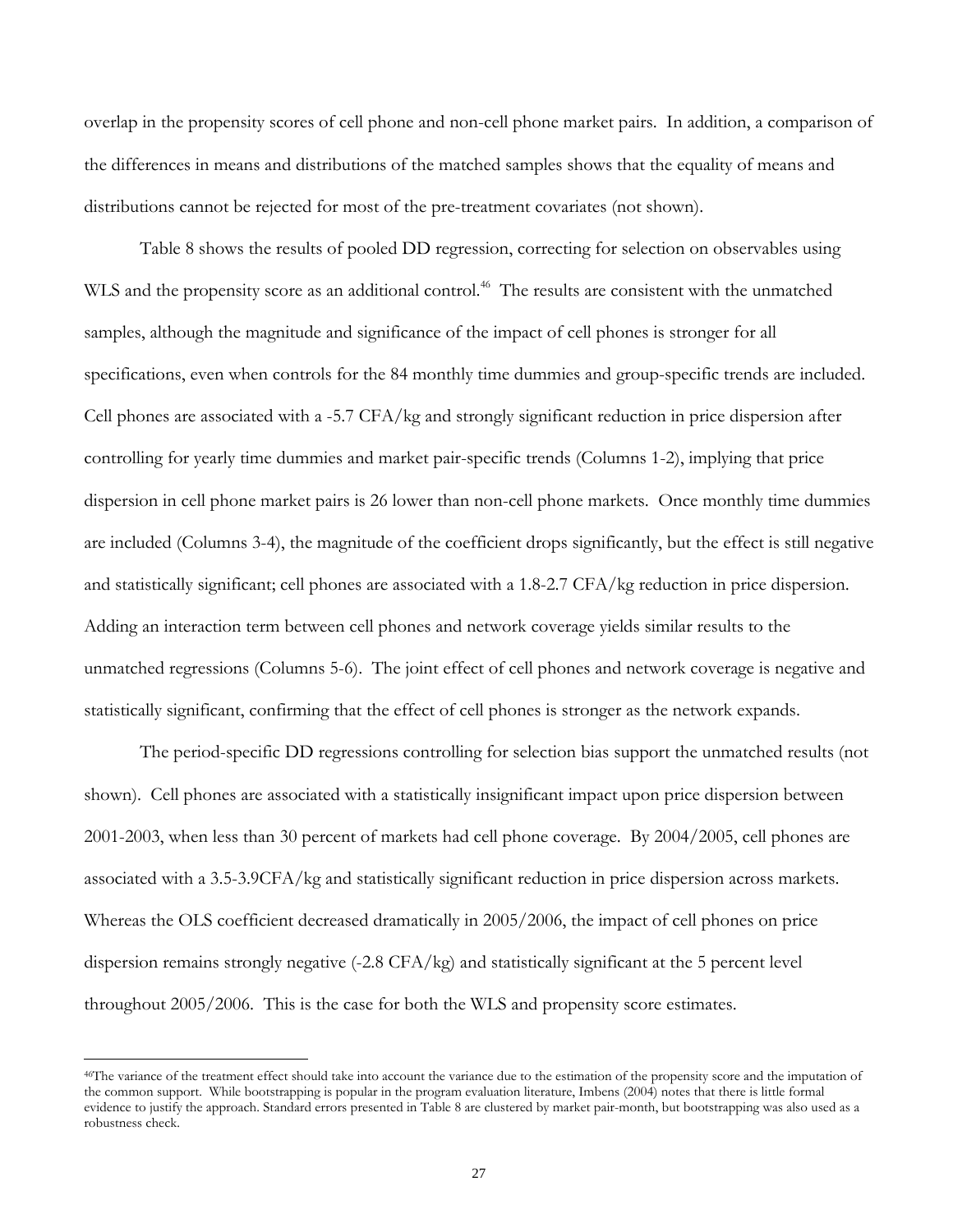overlap in the propensity scores of cell phone and non-cell phone market pairs. In addition, a comparison of the differences in means and distributions of the matched samples shows that the equality of means and distributions cannot be rejected for most of the pre-treatment covariates (not shown).

Table 8 shows the results of pooled DD regression, correcting for selection on observables using WLS and the propensity score as an additional control.<sup>46</sup> The results are consistent with the unmatched samples, although the magnitude and significance of the impact of cell phones is stronger for all specifications, even when controls for the 84 monthly time dummies and group-specific trends are included. Cell phones are associated with a -5.7 CFA/kg and strongly significant reduction in price dispersion after controlling for yearly time dummies and market pair-specific trends (Columns 1-2), implying that price dispersion in cell phone market pairs is 26 lower than non-cell phone markets. Once monthly time dummies are included (Columns 3-4), the magnitude of the coefficient drops significantly, but the effect is still negative and statistically significant; cell phones are associated with a 1.8-2.7 CFA/kg reduction in price dispersion. Adding an interaction term between cell phones and network coverage yields similar results to the unmatched regressions (Columns 5-6). The joint effect of cell phones and network coverage is negative and statistically significant, confirming that the effect of cell phones is stronger as the network expands.

The period-specific DD regressions controlling for selection bias support the unmatched results (not shown). Cell phones are associated with a statistically insignificant impact upon price dispersion between 2001-2003, when less than 30 percent of markets had cell phone coverage. By 2004/2005, cell phones are associated with a 3.5-3.9CFA/kg and statistically significant reduction in price dispersion across markets. Whereas the OLS coefficient decreased dramatically in 2005/2006, the impact of cell phones on price dispersion remains strongly negative (-2.8 CFA/kg) and statistically significant at the 5 percent level throughout 2005/2006. This is the case for both the WLS and propensity score estimates.

<sup>46</sup>The variance of the treatment effect should take into account the variance due to the estimation of the propensity score and the imputation of the common support. While bootstrapping is popular in the program evaluation literature, Imbens (2004) notes that there is little formal evidence to justify the approach. Standard errors presented in Table 8 are clustered by market pair-month, but bootstrapping was also used as a robustness check.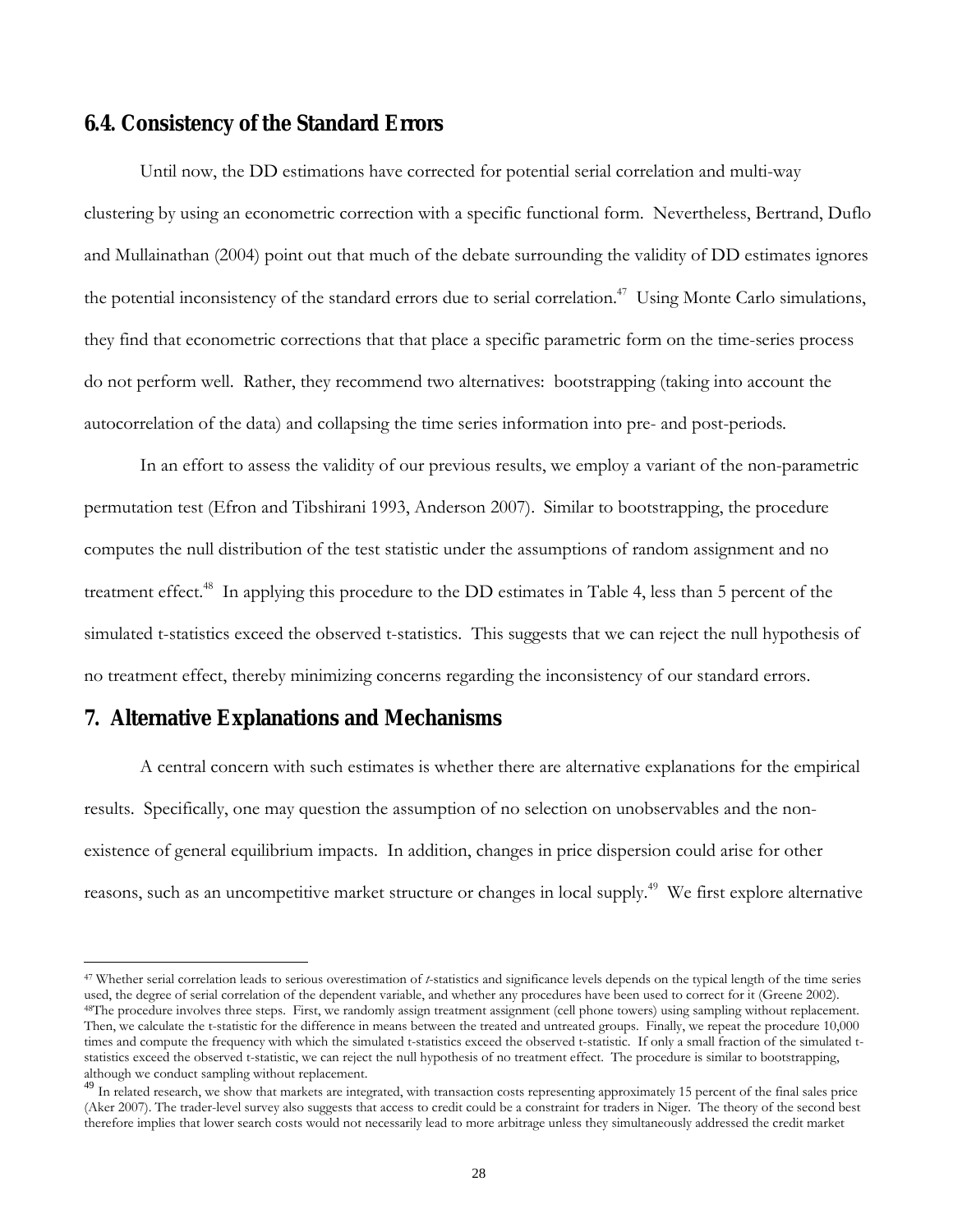# **6.4. Consistency of the Standard Errors**

Until now, the DD estimations have corrected for potential serial correlation and multi-way clustering by using an econometric correction with a specific functional form. Nevertheless, Bertrand, Duflo and Mullainathan (2004) point out that much of the debate surrounding the validity of DD estimates ignores the potential inconsistency of the standard errors due to serial correlation.<sup>47</sup> Using Monte Carlo simulations, they find that econometric corrections that that place a specific parametric form on the time-series process do not perform well. Rather, they recommend two alternatives: bootstrapping (taking into account the autocorrelation of the data) and collapsing the time series information into pre- and post-periods.

In an effort to assess the validity of our previous results, we employ a variant of the non-parametric permutation test (Efron and Tibshirani 1993, Anderson 2007). Similar to bootstrapping, the procedure computes the null distribution of the test statistic under the assumptions of random assignment and no treatment effect.<sup>48</sup> In applying this procedure to the DD estimates in Table 4, less than 5 percent of the simulated t-statistics exceed the observed t-statistics. This suggests that we can reject the null hypothesis of no treatment effect, thereby minimizing concerns regarding the inconsistency of our standard errors.

# **7. Alternative Explanations and Mechanisms**

 $\overline{a}$ 

A central concern with such estimates is whether there are alternative explanations for the empirical results. Specifically, one may question the assumption of no selection on unobservables and the nonexistence of general equilibrium impacts. In addition, changes in price dispersion could arise for other reasons, such as an uncompetitive market structure or changes in local supply.<sup>49</sup> We first explore alternative

<sup>47</sup> Whether serial correlation leads to serious overestimation of *t*-statistics and significance levels depends on the typical length of the time series used, the degree of serial correlation of the dependent variable, and whether any procedures have been used to correct for it (Greene 2002). 48The procedure involves three steps. First, we randomly assign treatment assignment (cell phone towers) using sampling without replacement. Then, we calculate the t-statistic for the difference in means between the treated and untreated groups. Finally, we repeat the procedure 10,000 times and compute the frequency with which the simulated t-statistics exceed the observed t-statistic. If only a small fraction of the simulated tstatistics exceed the observed t-statistic, we can reject the null hypothesis of no treatment effect. The procedure is similar to bootstrapping, although we conduct sampling without replacement.

<sup>&</sup>lt;sup>49</sup> In related research, we show that markets are integrated, with transaction costs representing approximately 15 percent of the final sales price (Aker 2007). The trader-level survey also suggests that access to credit could be a constraint for traders in Niger. The theory of the second best therefore implies that lower search costs would not necessarily lead to more arbitrage unless they simultaneously addressed the credit market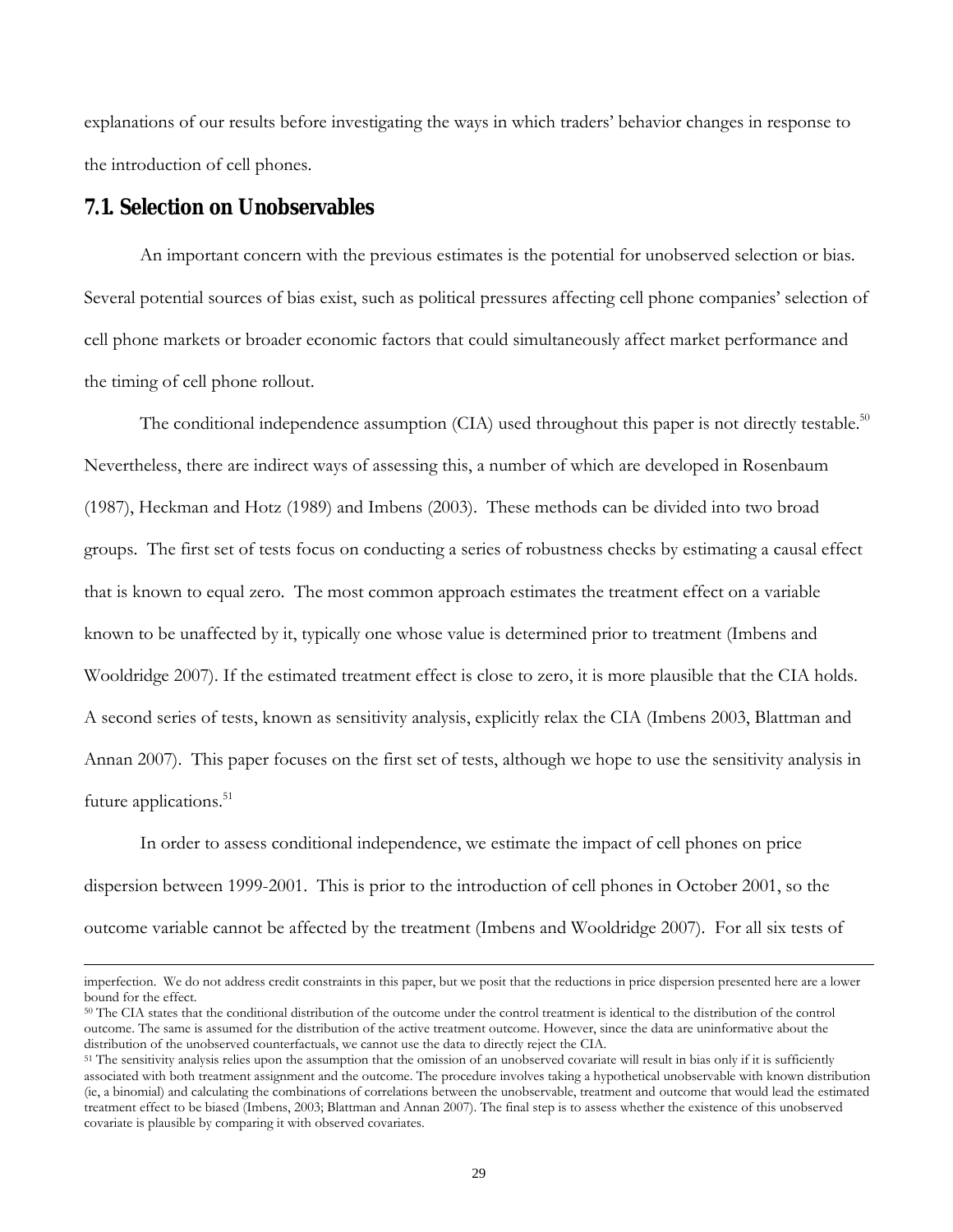explanations of our results before investigating the ways in which traders' behavior changes in response to the introduction of cell phones.

# **7.1. Selection on Unobservables**

 $\overline{a}$ 

An important concern with the previous estimates is the potential for unobserved selection or bias. Several potential sources of bias exist, such as political pressures affecting cell phone companies' selection of cell phone markets or broader economic factors that could simultaneously affect market performance and the timing of cell phone rollout.

The conditional independence assumption (CIA) used throughout this paper is not directly testable.<sup>50</sup> Nevertheless, there are indirect ways of assessing this, a number of which are developed in Rosenbaum (1987), Heckman and Hotz (1989) and Imbens (2003). These methods can be divided into two broad groups. The first set of tests focus on conducting a series of robustness checks by estimating a causal effect that is known to equal zero. The most common approach estimates the treatment effect on a variable known to be unaffected by it, typically one whose value is determined prior to treatment (Imbens and Wooldridge 2007). If the estimated treatment effect is close to zero, it is more plausible that the CIA holds. A second series of tests, known as sensitivity analysis, explicitly relax the CIA (Imbens 2003, Blattman and Annan 2007). This paper focuses on the first set of tests, although we hope to use the sensitivity analysis in future applications.<sup>51</sup>

In order to assess conditional independence, we estimate the impact of cell phones on price dispersion between 1999-2001. This is prior to the introduction of cell phones in October 2001, so the outcome variable cannot be affected by the treatment (Imbens and Wooldridge 2007). For all six tests of

imperfection. We do not address credit constraints in this paper, but we posit that the reductions in price dispersion presented here are a lower bound for the effect.<br><sup>50</sup> The CIA states that the conditional distribution of the outcome under the control treatment is identical to the distribution of the control

outcome. The same is assumed for the distribution of the active treatment outcome. However, since the data are uninformative about the distribution of the unobserved counterfactuals, we cannot use the data to directly reject the CIA.

<sup>51</sup> The sensitivity analysis relies upon the assumption that the omission of an unobserved covariate will result in bias only if it is sufficiently associated with both treatment assignment and the outcome. The procedure involves taking a hypothetical unobservable with known distribution (ie, a binomial) and calculating the combinations of correlations between the unobservable, treatment and outcome that would lead the estimated treatment effect to be biased (Imbens, 2003; Blattman and Annan 2007). The final step is to assess whether the existence of this unobserved covariate is plausible by comparing it with observed covariates.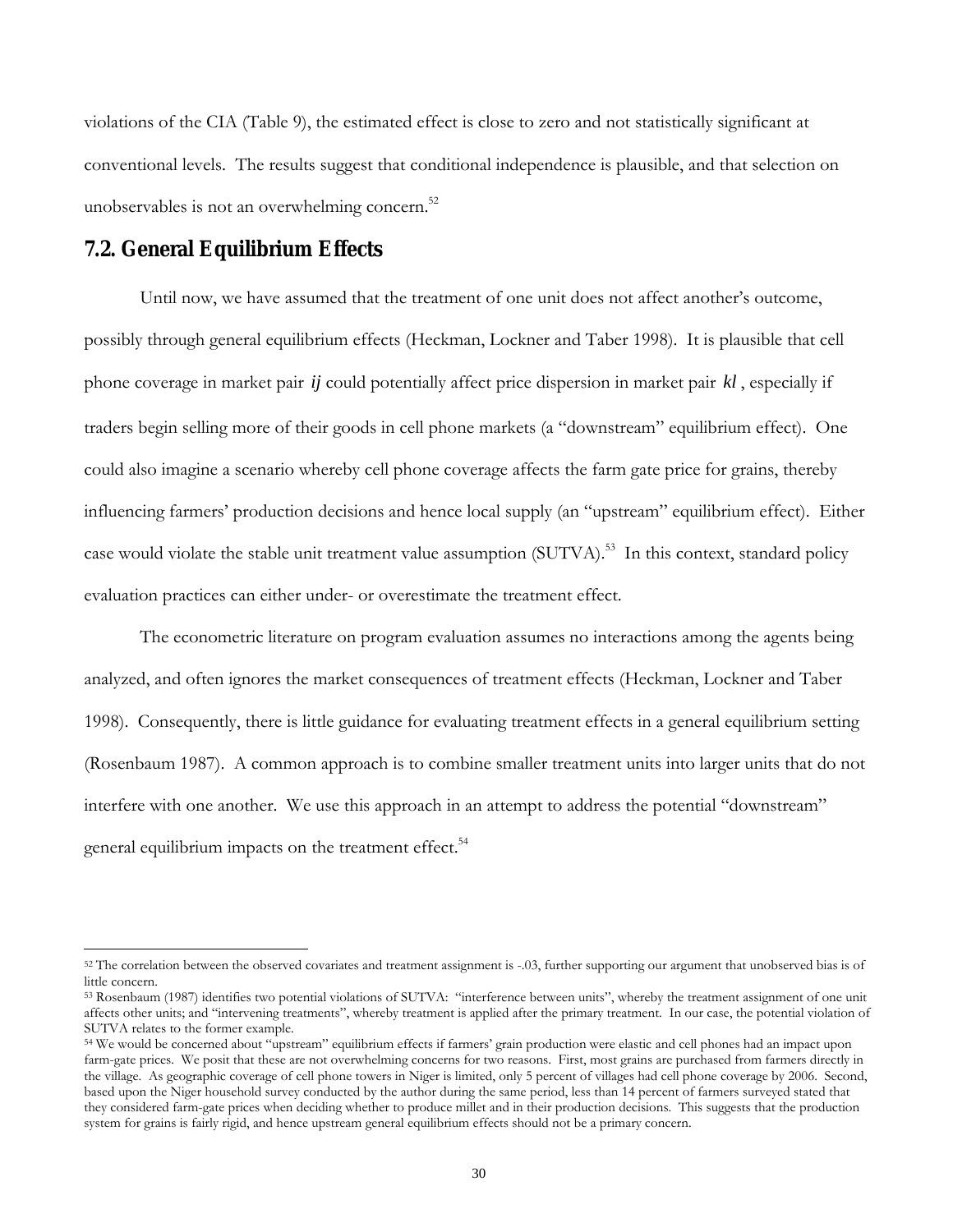violations of the CIA (Table 9), the estimated effect is close to zero and not statistically significant at conventional levels. The results suggest that conditional independence is plausible, and that selection on unobservables is not an overwhelming concern.<sup>52</sup>

### **7.2. General Equilibrium Effects**

 $\overline{a}$ 

Until now, we have assumed that the treatment of one unit does not affect another's outcome, possibly through general equilibrium effects (Heckman, Lockner and Taber 1998). It is plausible that cell phone coverage in market pair *ij* could potentially affect price dispersion in market pair *kl* , especially if traders begin selling more of their goods in cell phone markets (a "downstream" equilibrium effect). One could also imagine a scenario whereby cell phone coverage affects the farm gate price for grains, thereby influencing farmers' production decisions and hence local supply (an "upstream" equilibrium effect). Either case would violate the stable unit treatment value assumption (SUTVA).<sup>53</sup> In this context, standard policy evaluation practices can either under- or overestimate the treatment effect.

The econometric literature on program evaluation assumes no interactions among the agents being analyzed, and often ignores the market consequences of treatment effects (Heckman, Lockner and Taber 1998). Consequently, there is little guidance for evaluating treatment effects in a general equilibrium setting (Rosenbaum 1987). A common approach is to combine smaller treatment units into larger units that do not interfere with one another. We use this approach in an attempt to address the potential "downstream" general equilibrium impacts on the treatment effect.<sup>54</sup>

<sup>52</sup> The correlation between the observed covariates and treatment assignment is -.03, further supporting our argument that unobserved bias is of little concern.

<sup>53</sup> Rosenbaum (1987) identifies two potential violations of SUTVA: "interference between units", whereby the treatment assignment of one unit affects other units; and "intervening treatments", whereby treatment is applied after the primary treatment. In our case, the potential violation of SUTVA relates to the former example.

<sup>54</sup> We would be concerned about "upstream" equilibrium effects if farmers' grain production were elastic and cell phones had an impact upon farm-gate prices. We posit that these are not overwhelming concerns for two reasons. First, most grains are purchased from farmers directly in the village. As geographic coverage of cell phone towers in Niger is limited, only 5 percent of villages had cell phone coverage by 2006. Second, based upon the Niger household survey conducted by the author during the same period, less than 14 percent of farmers surveyed stated that they considered farm-gate prices when deciding whether to produce millet and in their production decisions. This suggests that the production system for grains is fairly rigid, and hence upstream general equilibrium effects should not be a primary concern.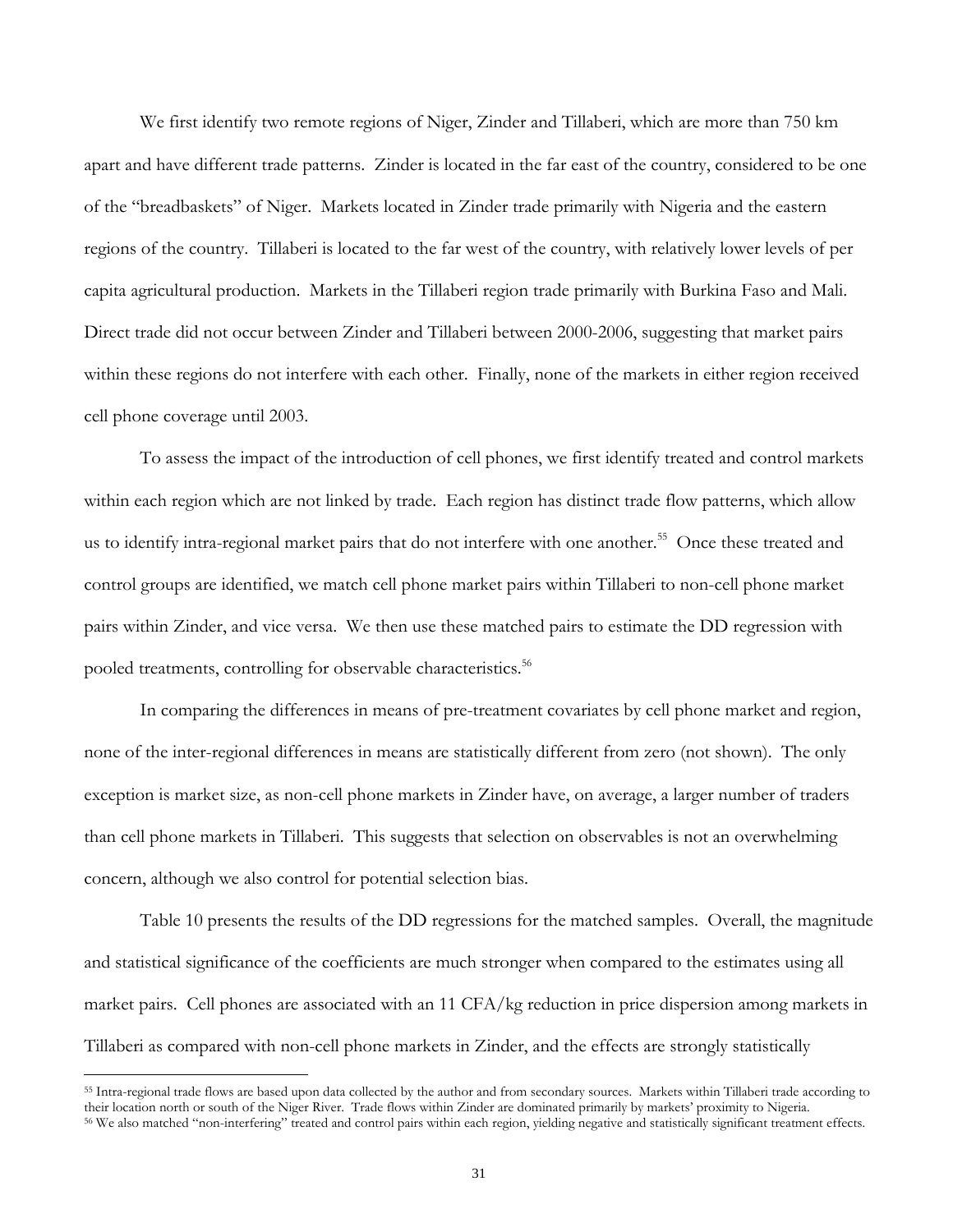We first identify two remote regions of Niger, Zinder and Tillaberi, which are more than 750 km apart and have different trade patterns. Zinder is located in the far east of the country, considered to be one of the "breadbaskets" of Niger. Markets located in Zinder trade primarily with Nigeria and the eastern regions of the country. Tillaberi is located to the far west of the country, with relatively lower levels of per capita agricultural production. Markets in the Tillaberi region trade primarily with Burkina Faso and Mali. Direct trade did not occur between Zinder and Tillaberi between 2000-2006, suggesting that market pairs within these regions do not interfere with each other. Finally, none of the markets in either region received cell phone coverage until 2003.

To assess the impact of the introduction of cell phones, we first identify treated and control markets within each region which are not linked by trade. Each region has distinct trade flow patterns, which allow us to identify intra-regional market pairs that do not interfere with one another.<sup>55</sup> Once these treated and control groups are identified, we match cell phone market pairs within Tillaberi to non-cell phone market pairs within Zinder, and vice versa. We then use these matched pairs to estimate the DD regression with pooled treatments, controlling for observable characteristics.<sup>56</sup>

In comparing the differences in means of pre-treatment covariates by cell phone market and region, none of the inter-regional differences in means are statistically different from zero (not shown). The only exception is market size, as non-cell phone markets in Zinder have, on average, a larger number of traders than cell phone markets in Tillaberi. This suggests that selection on observables is not an overwhelming concern, although we also control for potential selection bias.

Table 10 presents the results of the DD regressions for the matched samples. Overall, the magnitude and statistical significance of the coefficients are much stronger when compared to the estimates using all market pairs. Cell phones are associated with an 11 CFA/kg reduction in price dispersion among markets in Tillaberi as compared with non-cell phone markets in Zinder, and the effects are strongly statistically

<sup>55</sup> Intra-regional trade flows are based upon data collected by the author and from secondary sources. Markets within Tillaberi trade according to their location north or south of the Niger River. Trade flows within Zinder are dominated primarily by markets' proximity to Nigeria. 56 We also matched "non-interfering" treated and control pairs within each region, yielding negative and statistically significant treatment effects.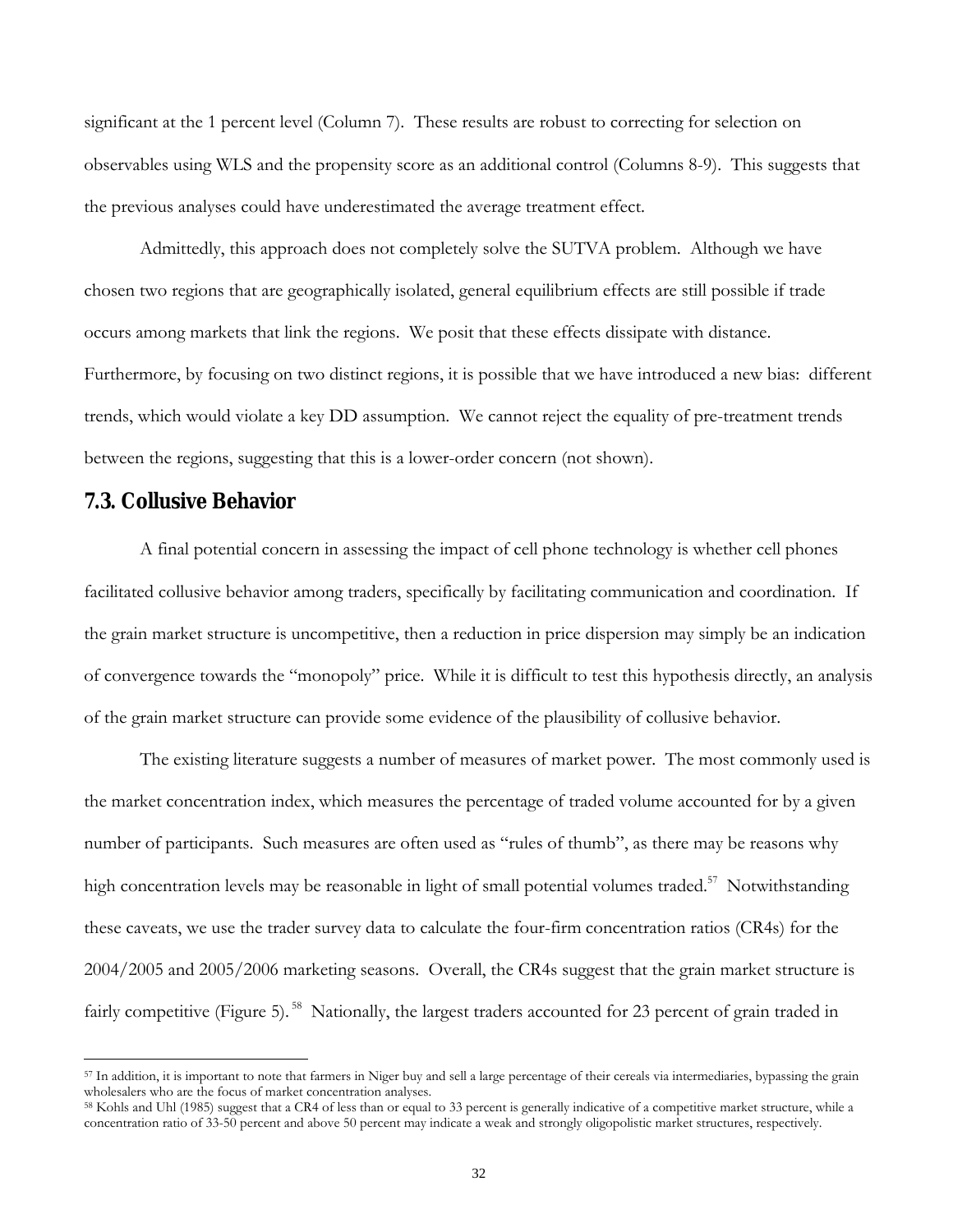significant at the 1 percent level (Column 7). These results are robust to correcting for selection on observables using WLS and the propensity score as an additional control (Columns 8-9). This suggests that the previous analyses could have underestimated the average treatment effect.

Admittedly, this approach does not completely solve the SUTVA problem. Although we have chosen two regions that are geographically isolated, general equilibrium effects are still possible if trade occurs among markets that link the regions. We posit that these effects dissipate with distance. Furthermore, by focusing on two distinct regions, it is possible that we have introduced a new bias: different trends, which would violate a key DD assumption. We cannot reject the equality of pre-treatment trends between the regions, suggesting that this is a lower-order concern (not shown).

### **7.3. Collusive Behavior**

 $\overline{a}$ 

A final potential concern in assessing the impact of cell phone technology is whether cell phones facilitated collusive behavior among traders, specifically by facilitating communication and coordination. If the grain market structure is uncompetitive, then a reduction in price dispersion may simply be an indication of convergence towards the "monopoly" price. While it is difficult to test this hypothesis directly, an analysis of the grain market structure can provide some evidence of the plausibility of collusive behavior.

The existing literature suggests a number of measures of market power. The most commonly used is the market concentration index, which measures the percentage of traded volume accounted for by a given number of participants. Such measures are often used as "rules of thumb", as there may be reasons why high concentration levels may be reasonable in light of small potential volumes traded.<sup>57</sup> Notwithstanding these caveats, we use the trader survey data to calculate the four-firm concentration ratios (CR4s) for the 2004/2005 and 2005/2006 marketing seasons. Overall, the CR4s suggest that the grain market structure is fairly competitive (Figure 5).<sup>58</sup> Nationally, the largest traders accounted for 23 percent of grain traded in

<sup>57</sup> In addition, it is important to note that farmers in Niger buy and sell a large percentage of their cereals via intermediaries, bypassing the grain wholesalers who are the focus of market concentration analyses.<br><sup>58</sup> Kohls and Uhl (1985) suggest that a CR4 of less than or equal to 33 percent is generally indicative of a competitive market structure, while a

concentration ratio of 33-50 percent and above 50 percent may indicate a weak and strongly oligopolistic market structures, respectively.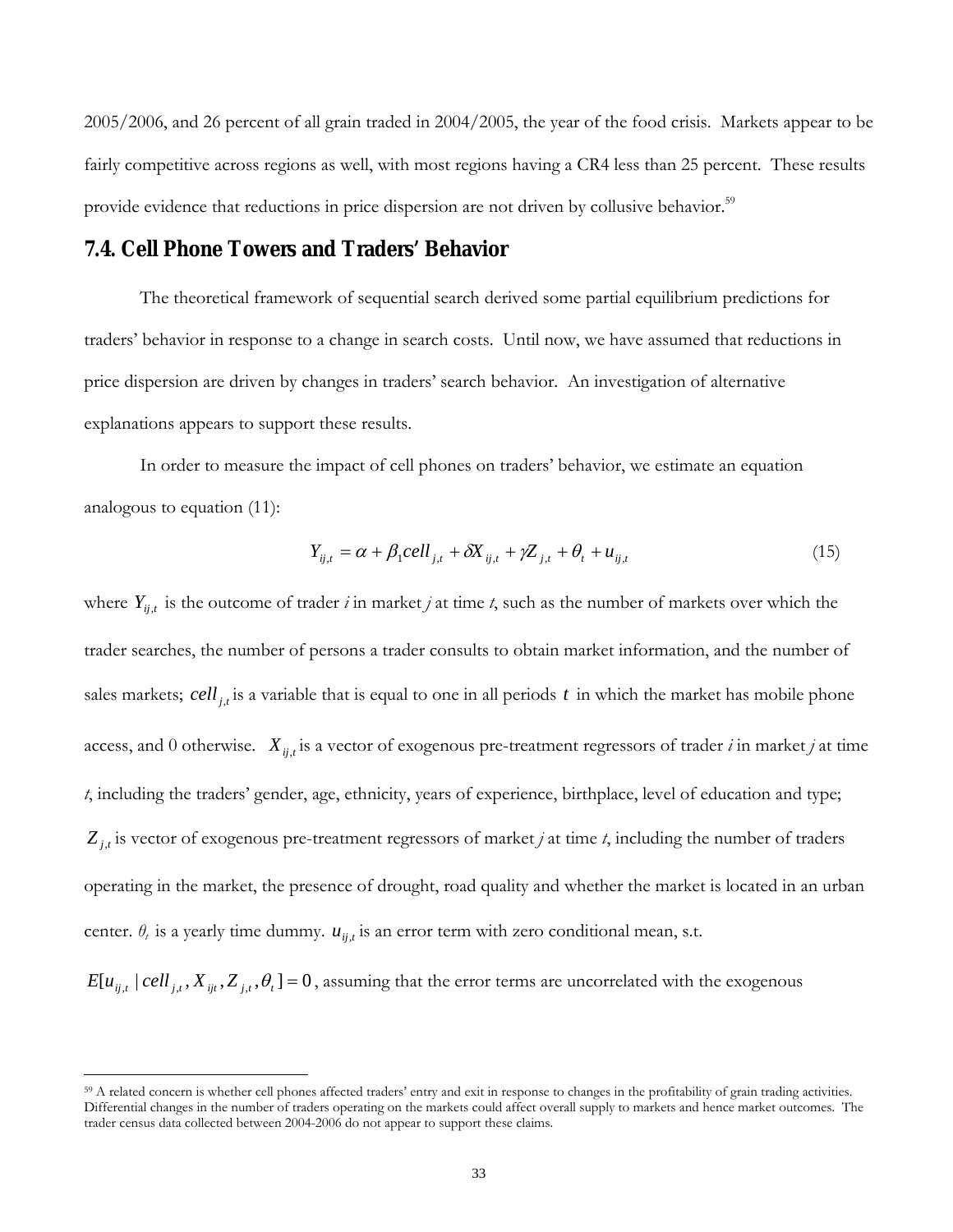2005/2006, and 26 percent of all grain traded in 2004/2005, the year of the food crisis. Markets appear to be fairly competitive across regions as well, with most regions having a CR4 less than 25 percent. These results provide evidence that reductions in price dispersion are not driven by collusive behavior.<sup>59</sup>

# **7.4. Cell Phone Towers and Traders' Behavior**

 $\overline{a}$ 

The theoretical framework of sequential search derived some partial equilibrium predictions for traders' behavior in response to a change in search costs. Until now, we have assumed that reductions in price dispersion are driven by changes in traders' search behavior. An investigation of alternative explanations appears to support these results.

In order to measure the impact of cell phones on traders' behavior, we estimate an equation analogous to equation (11):

$$
Y_{ij,t} = \alpha + \beta_1 cell_{j,t} + \delta X_{ij,t} + \gamma Z_{j,t} + \theta_t + u_{ij,t}
$$
\n(15)

where  $Y_{i,j}$  is the outcome of trader *i* in market *j* at time *t*, such as the number of markets over which the trader searches, the number of persons a trader consults to obtain market information, and the number of sales markets;  $cell_{i,t}$  is a variable that is equal to one in all periods  $t$  in which the market has mobile phone access, and 0 otherwise.  $X_{ij,t}$  is a vector of exogenous pre-treatment regressors of trader *i* in market *j* at time *t*, including the traders' gender, age, ethnicity, years of experience, birthplace, level of education and type;  $Z_{i,t}$  is vector of exogenous pre-treatment regressors of market *j* at time *t*, including the number of traders operating in the market, the presence of drought, road quality and whether the market is located in an urban center.  $\theta_t$  is a yearly time dummy.  $u_{i,t}$  is an error term with zero conditional mean, s.t.  $E[u_{ij,t} | cell_{i,t}, X_{ijt}, Z_{j,t}, \theta_t] = 0$ , assuming that the error terms are uncorrelated with the exogenous

<sup>&</sup>lt;sup>59</sup> A related concern is whether cell phones affected traders' entry and exit in response to changes in the profitability of grain trading activities. Differential changes in the number of traders operating on the markets could affect overall supply to markets and hence market outcomes. The trader census data collected between 2004-2006 do not appear to support these claims.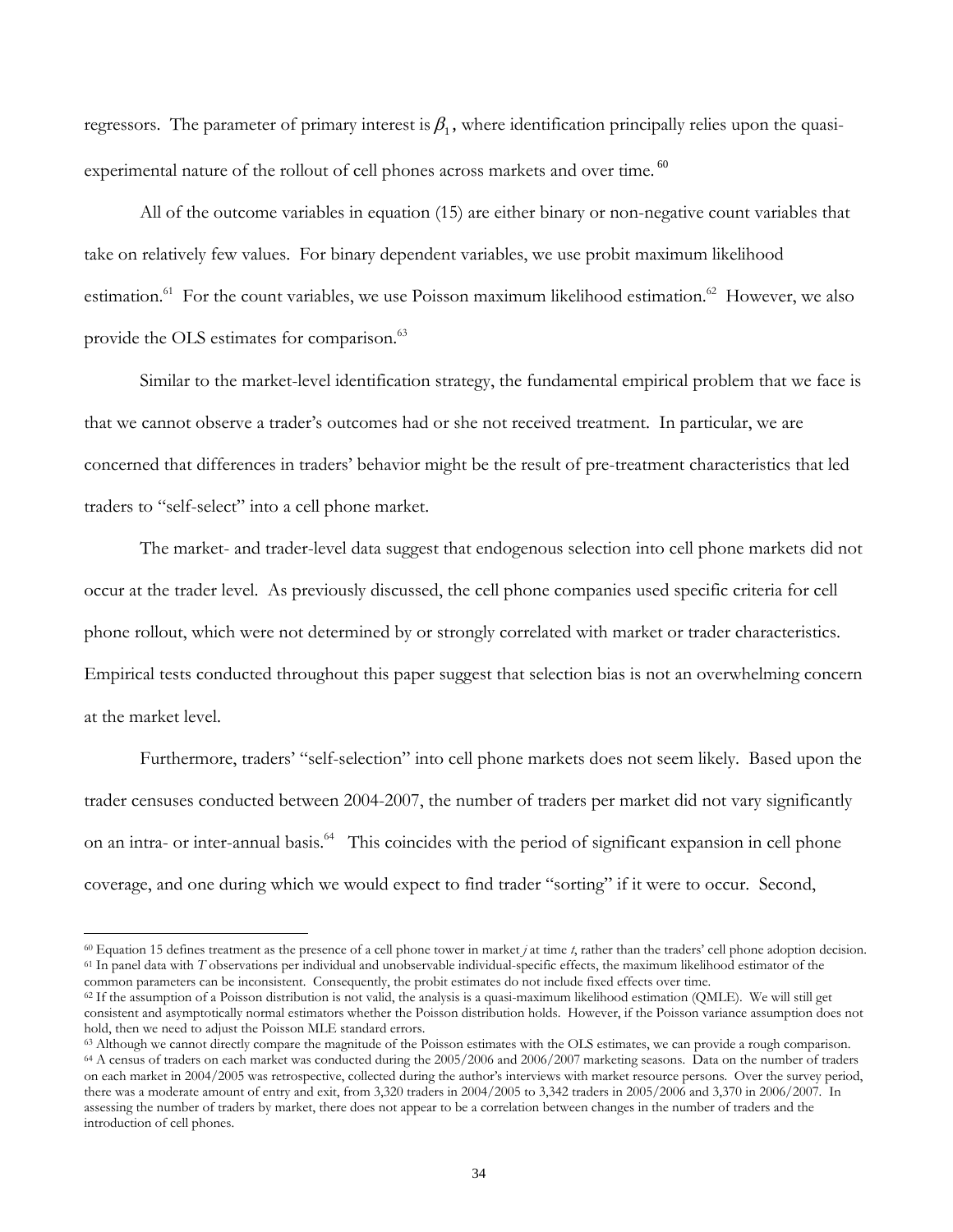regressors. The parameter of primary interest is  $\beta_1$ , where identification principally relies upon the quasiexperimental nature of the rollout of cell phones across markets and over time. <sup>60</sup>

All of the outcome variables in equation (15) are either binary or non-negative count variables that take on relatively few values. For binary dependent variables, we use probit maximum likelihood estimation.<sup>61</sup> For the count variables, we use Poisson maximum likelihood estimation.<sup>62</sup> However, we also provide the OLS estimates for comparison.<sup>63</sup>

Similar to the market-level identification strategy, the fundamental empirical problem that we face is that we cannot observe a trader's outcomes had or she not received treatment. In particular, we are concerned that differences in traders' behavior might be the result of pre-treatment characteristics that led traders to "self-select" into a cell phone market.

The market- and trader-level data suggest that endogenous selection into cell phone markets did not occur at the trader level. As previously discussed, the cell phone companies used specific criteria for cell phone rollout, which were not determined by or strongly correlated with market or trader characteristics. Empirical tests conducted throughout this paper suggest that selection bias is not an overwhelming concern at the market level.

Furthermore, traders' "self-selection" into cell phone markets does not seem likely. Based upon the trader censuses conducted between 2004-2007, the number of traders per market did not vary significantly on an intra- or inter-annual basis.<sup>64</sup> This coincides with the period of significant expansion in cell phone coverage, and one during which we would expect to find trader "sorting" if it were to occur. Second,

 $^{60}$  Equation 15 defines treatment as the presence of a cell phone tower in market *j* at time *t*, rather than the traders' cell phone adoption decision.<br><sup>61</sup> In panel data with *T* observations per individual and unob common parameters can be inconsistent. Consequently, the probit estimates do not include fixed effects over time.

 $62$  If the assumption of a Poisson distribution is not valid, the analysis is a quasi-maximum likelihood estimation (QMLE). We will still get consistent and asymptotically normal estimators whether the Poisson distribution holds. However, if the Poisson variance assumption does not hold, then we need to adjust the Poisson MLE standard errors.

<sup>&</sup>lt;sup>63</sup> Although we cannot directly compare the magnitude of the Poisson estimates with the OLS estimates, we can provide a rough comparison. <sup>64</sup> A census of traders on each market was conducted during the 2005/2006 and 2006/2007 marketing seasons. Data on the number of traders on each market in 2004/2005 was retrospective, collected during the author's interviews with market resource persons. Over the survey period, there was a moderate amount of entry and exit, from 3,320 traders in 2004/2005 to 3,342 traders in 2005/2006 and 3,370 in 2006/2007. In assessing the number of traders by market, there does not appear to be a correlation between changes in the number of traders and the introduction of cell phones.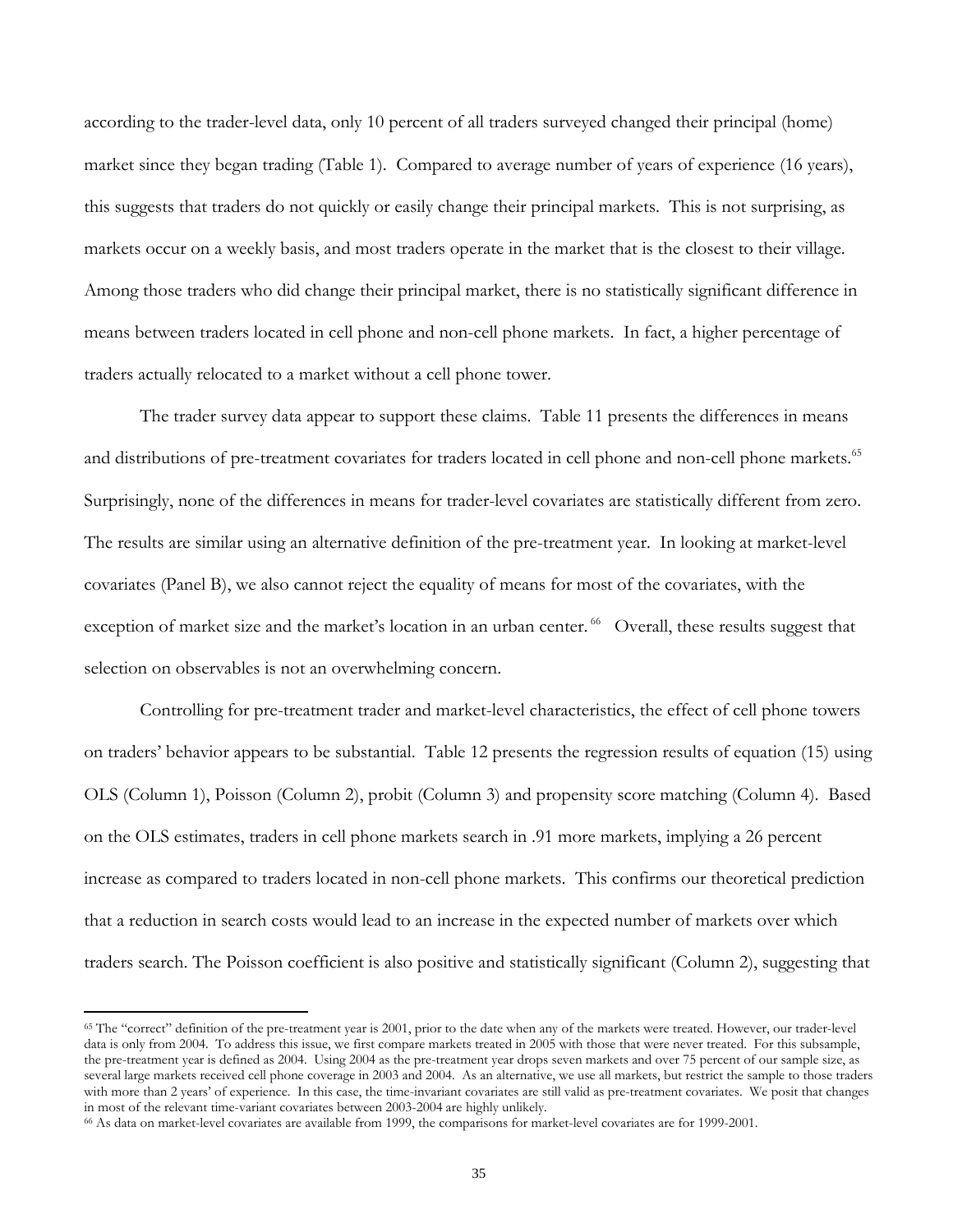according to the trader-level data, only 10 percent of all traders surveyed changed their principal (home) market since they began trading (Table 1). Compared to average number of years of experience (16 years), this suggests that traders do not quickly or easily change their principal markets. This is not surprising, as markets occur on a weekly basis, and most traders operate in the market that is the closest to their village. Among those traders who did change their principal market, there is no statistically significant difference in means between traders located in cell phone and non-cell phone markets. In fact, a higher percentage of traders actually relocated to a market without a cell phone tower.

The trader survey data appear to support these claims. Table 11 presents the differences in means and distributions of pre-treatment covariates for traders located in cell phone and non-cell phone markets.<sup>65</sup> Surprisingly, none of the differences in means for trader-level covariates are statistically different from zero. The results are similar using an alternative definition of the pre-treatment year. In looking at market-level covariates (Panel B), we also cannot reject the equality of means for most of the covariates, with the exception of market size and the market's location in an urban center.<sup>66</sup> Overall, these results suggest that selection on observables is not an overwhelming concern.

Controlling for pre-treatment trader and market-level characteristics, the effect of cell phone towers on traders' behavior appears to be substantial. Table 12 presents the regression results of equation (15) using OLS (Column 1), Poisson (Column 2), probit (Column 3) and propensity score matching (Column 4). Based on the OLS estimates, traders in cell phone markets search in .91 more markets, implying a 26 percent increase as compared to traders located in non-cell phone markets. This confirms our theoretical prediction that a reduction in search costs would lead to an increase in the expected number of markets over which traders search. The Poisson coefficient is also positive and statistically significant (Column 2), suggesting that

<sup>65</sup> The "correct" definition of the pre-treatment year is 2001, prior to the date when any of the markets were treated. However, our trader-level data is only from 2004. To address this issue, we first compare markets treated in 2005 with those that were never treated. For this subsample, the pre-treatment year is defined as 2004. Using 2004 as the pre-treatment year drops seven markets and over 75 percent of our sample size, as several large markets received cell phone coverage in 2003 and 2004. As an alternative, we use all markets, but restrict the sample to those traders with more than 2 years' of experience. In this case, the time-invariant covariates are still valid as pre-treatment covariates. We posit that changes in most of the relevant time-variant covariates between 2003-2004 are highly unlikely.

<sup>66</sup> As data on market-level covariates are available from 1999, the comparisons for market-level covariates are for 1999-2001.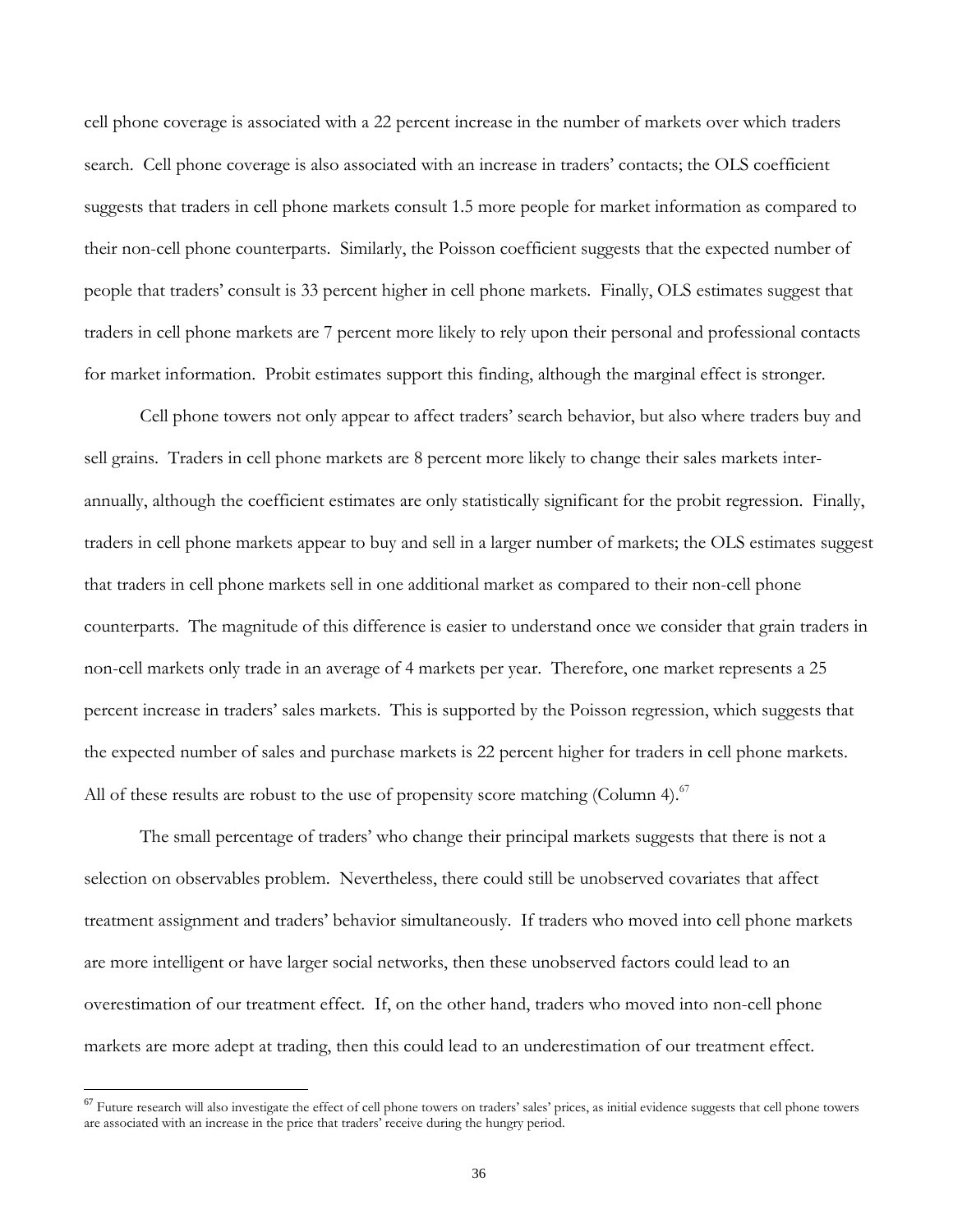cell phone coverage is associated with a 22 percent increase in the number of markets over which traders search. Cell phone coverage is also associated with an increase in traders' contacts; the OLS coefficient suggests that traders in cell phone markets consult 1.5 more people for market information as compared to their non-cell phone counterparts. Similarly, the Poisson coefficient suggests that the expected number of people that traders' consult is 33 percent higher in cell phone markets. Finally, OLS estimates suggest that traders in cell phone markets are 7 percent more likely to rely upon their personal and professional contacts for market information. Probit estimates support this finding, although the marginal effect is stronger.

Cell phone towers not only appear to affect traders' search behavior, but also where traders buy and sell grains. Traders in cell phone markets are 8 percent more likely to change their sales markets interannually, although the coefficient estimates are only statistically significant for the probit regression. Finally, traders in cell phone markets appear to buy and sell in a larger number of markets; the OLS estimates suggest that traders in cell phone markets sell in one additional market as compared to their non-cell phone counterparts. The magnitude of this difference is easier to understand once we consider that grain traders in non-cell markets only trade in an average of 4 markets per year. Therefore, one market represents a 25 percent increase in traders' sales markets. This is supported by the Poisson regression, which suggests that the expected number of sales and purchase markets is 22 percent higher for traders in cell phone markets. All of these results are robust to the use of propensity score matching (Column 4).<sup>67</sup>

The small percentage of traders' who change their principal markets suggests that there is not a selection on observables problem. Nevertheless, there could still be unobserved covariates that affect treatment assignment and traders' behavior simultaneously. If traders who moved into cell phone markets are more intelligent or have larger social networks, then these unobserved factors could lead to an overestimation of our treatment effect. If, on the other hand, traders who moved into non-cell phone markets are more adept at trading, then this could lead to an underestimation of our treatment effect.

<sup>&</sup>lt;sup>67</sup> Future research will also investigate the effect of cell phone towers on traders' sales' prices, as initial evidence suggests that cell phone towers are associated with an increase in the price that traders' receive during the hungry period.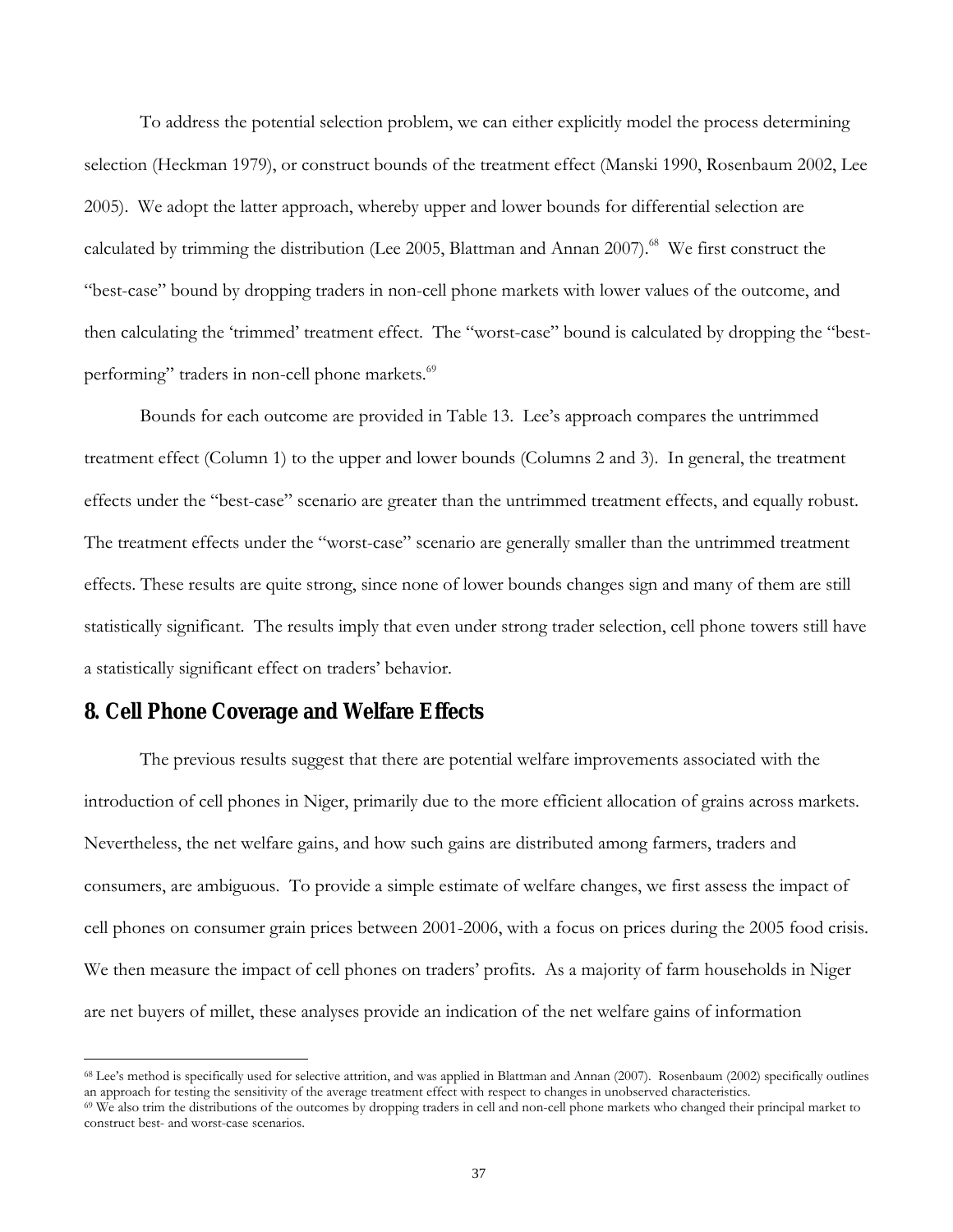To address the potential selection problem, we can either explicitly model the process determining selection (Heckman 1979), or construct bounds of the treatment effect (Manski 1990, Rosenbaum 2002, Lee 2005). We adopt the latter approach, whereby upper and lower bounds for differential selection are calculated by trimming the distribution (Lee 2005, Blattman and Annan 2007).<sup>68</sup> We first construct the "best-case" bound by dropping traders in non-cell phone markets with lower values of the outcome, and then calculating the 'trimmed' treatment effect. The "worst-case" bound is calculated by dropping the "bestperforming" traders in non-cell phone markets.<sup>69</sup>

Bounds for each outcome are provided in Table 13. Lee's approach compares the untrimmed treatment effect (Column 1) to the upper and lower bounds (Columns 2 and 3). In general, the treatment effects under the "best-case" scenario are greater than the untrimmed treatment effects, and equally robust. The treatment effects under the "worst-case" scenario are generally smaller than the untrimmed treatment effects. These results are quite strong, since none of lower bounds changes sign and many of them are still statistically significant. The results imply that even under strong trader selection, cell phone towers still have a statistically significant effect on traders' behavior.

### **8. Cell Phone Coverage and Welfare Effects**

 $\overline{a}$ 

The previous results suggest that there are potential welfare improvements associated with the introduction of cell phones in Niger, primarily due to the more efficient allocation of grains across markets. Nevertheless, the net welfare gains, and how such gains are distributed among farmers, traders and consumers, are ambiguous. To provide a simple estimate of welfare changes, we first assess the impact of cell phones on consumer grain prices between 2001-2006, with a focus on prices during the 2005 food crisis. We then measure the impact of cell phones on traders' profits. As a majority of farm households in Niger are net buyers of millet, these analyses provide an indication of the net welfare gains of information

<sup>68</sup> Lee's method is specifically used for selective attrition, and was applied in Blattman and Annan (2007). Rosenbaum (2002) specifically outlines an approach for testing the sensitivity of the average treatment effect with respect to changes in unobserved characteristics.

<sup>&</sup>lt;sup>69</sup> We also trim the distributions of the outcomes by dropping traders in cell and non-cell phone markets who changed their principal market to construct best- and worst-case scenarios.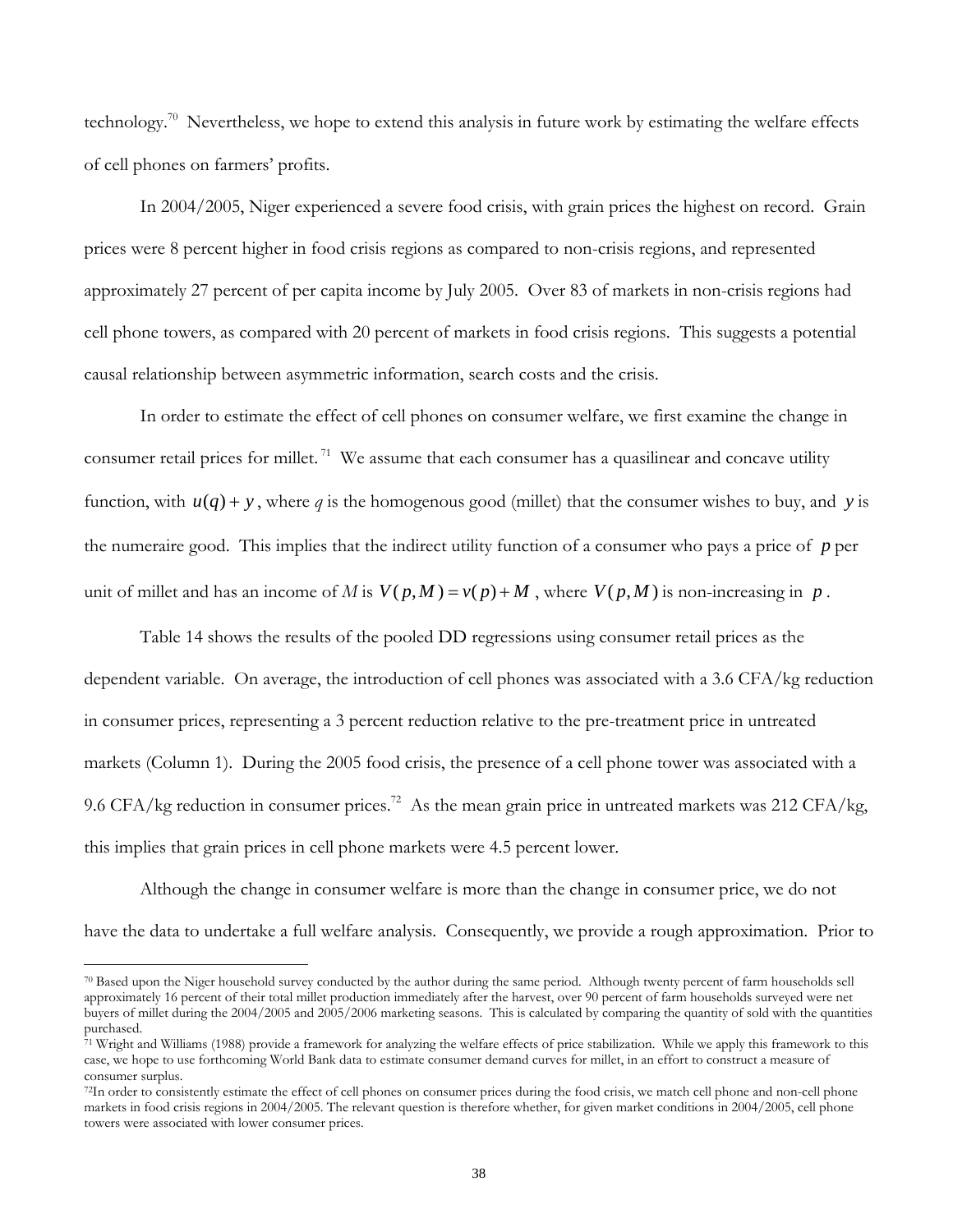technology.<sup>70</sup> Nevertheless, we hope to extend this analysis in future work by estimating the welfare effects of cell phones on farmers' profits.

In 2004/2005, Niger experienced a severe food crisis, with grain prices the highest on record. Grain prices were 8 percent higher in food crisis regions as compared to non-crisis regions, and represented approximately 27 percent of per capita income by July 2005. Over 83 of markets in non-crisis regions had cell phone towers, as compared with 20 percent of markets in food crisis regions. This suggests a potential causal relationship between asymmetric information, search costs and the crisis.

In order to estimate the effect of cell phones on consumer welfare, we first examine the change in consumer retail prices for millet.<sup>71</sup> We assume that each consumer has a quasilinear and concave utility function, with  $u(q) + y$ , where *q* is the homogenous good (millet) that the consumer wishes to buy, and *y* is the numeraire good. This implies that the indirect utility function of a consumer who pays a price of *p* per unit of millet and has an income of *M* is  $V(p,M) = v(p) + M$ , where  $V(p,M)$  is non-increasing in p.

Table 14 shows the results of the pooled DD regressions using consumer retail prices as the dependent variable. On average, the introduction of cell phones was associated with a 3.6 CFA/kg reduction in consumer prices, representing a 3 percent reduction relative to the pre-treatment price in untreated markets (Column 1). During the 2005 food crisis, the presence of a cell phone tower was associated with a 9.6 CFA/kg reduction in consumer prices.<sup>72</sup> As the mean grain price in untreated markets was 212 CFA/kg, this implies that grain prices in cell phone markets were 4.5 percent lower.

Although the change in consumer welfare is more than the change in consumer price, we do not have the data to undertake a full welfare analysis. Consequently, we provide a rough approximation. Prior to

 $70$  Based upon the Niger household survey conducted by the author during the same period. Although twenty percent of farm households sell approximately 16 percent of their total millet production immediately after the harvest, over 90 percent of farm households surveyed were net buyers of millet during the 2004/2005 and 2005/2006 marketing seasons. This is calculated by comparing the quantity of sold with the quantities purchased.

 $^{71}$  Wright and Williams (1988) provide a framework for analyzing the welfare effects of price stabilization. While we apply this framework to this case, we hope to use forthcoming World Bank data to estimate consumer demand curves for millet, in an effort to construct a measure of consumer surplus.

<sup>72</sup>In order to consistently estimate the effect of cell phones on consumer prices during the food crisis, we match cell phone and non-cell phone markets in food crisis regions in 2004/2005. The relevant question is therefore whether, for given market conditions in 2004/2005, cell phone towers were associated with lower consumer prices.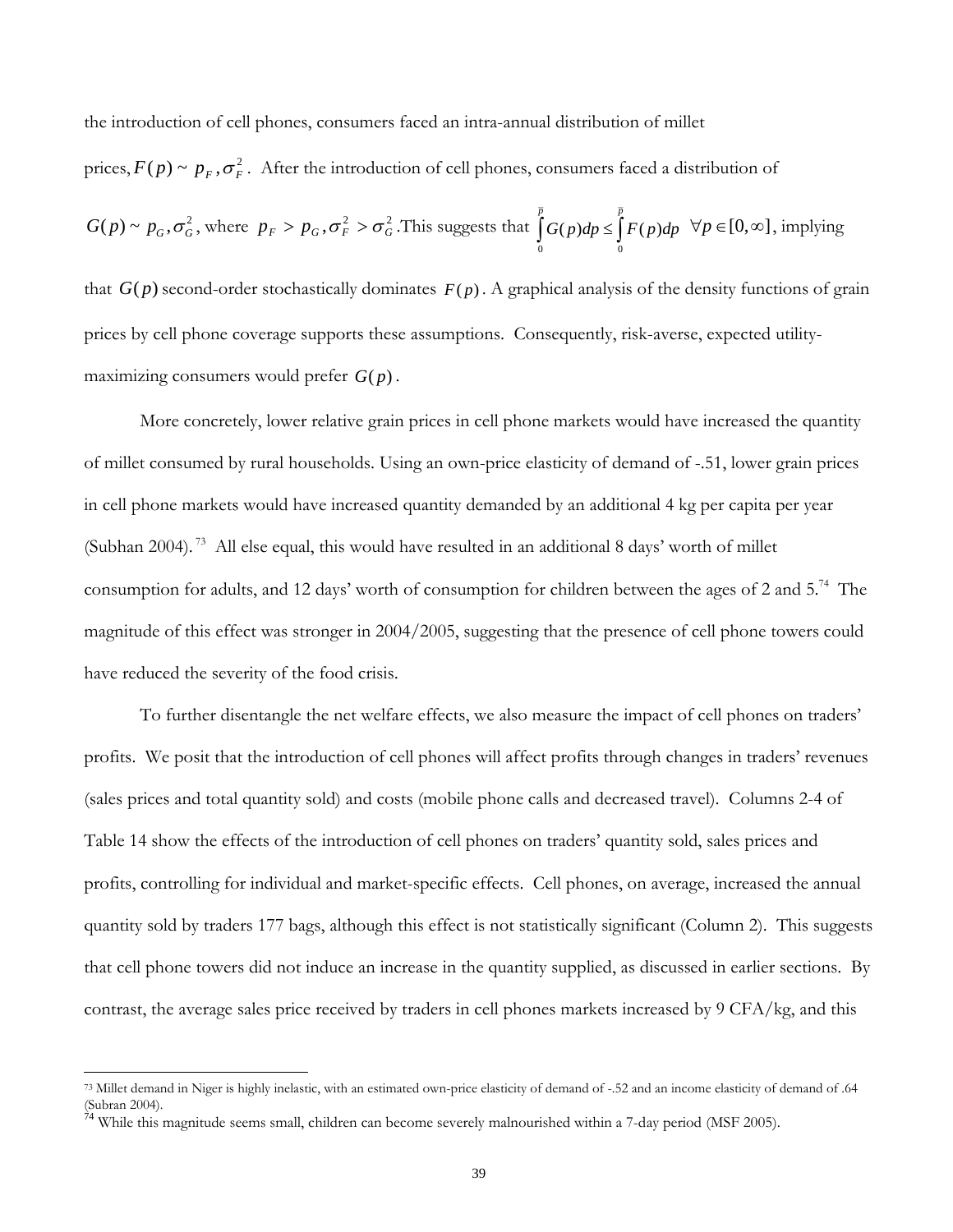the introduction of cell phones, consumers faced an intra-annual distribution of millet

prices,  $F(p) \sim p_F$ ,  $\sigma_F^2$ . After the introduction of cell phones, consumers faced a distribution of

$$
G(p) \sim p_G, \sigma_G^2
$$
, where  $p_F > p_G, \sigma_F^2 > \sigma_G^2$ . This suggests that 
$$
\int_0^{\overline{p}} G(p) dp \le \int_0^{\overline{p}} F(p) dp \quad \forall p \in [0, \infty]
$$
, implying

that  $G(p)$  second-order stochastically dominates  $F(p)$ . A graphical analysis of the density functions of grain prices by cell phone coverage supports these assumptions. Consequently, risk-averse, expected utilitymaximizing consumers would prefer  $G(p)$ .

More concretely, lower relative grain prices in cell phone markets would have increased the quantity of millet consumed by rural households. Using an own-price elasticity of demand of -.51, lower grain prices in cell phone markets would have increased quantity demanded by an additional 4 kg per capita per year (Subhan 2004).<sup>73</sup> All else equal, this would have resulted in an additional 8 days' worth of millet consumption for adults, and 12 days' worth of consumption for children between the ages of 2 and 5.<sup>74</sup> The magnitude of this effect was stronger in 2004/2005, suggesting that the presence of cell phone towers could have reduced the severity of the food crisis.

To further disentangle the net welfare effects, we also measure the impact of cell phones on traders' profits. We posit that the introduction of cell phones will affect profits through changes in traders' revenues (sales prices and total quantity sold) and costs (mobile phone calls and decreased travel). Columns 2-4 of Table 14 show the effects of the introduction of cell phones on traders' quantity sold, sales prices and profits, controlling for individual and market-specific effects. Cell phones, on average, increased the annual quantity sold by traders 177 bags, although this effect is not statistically significant (Column 2). This suggests that cell phone towers did not induce an increase in the quantity supplied, as discussed in earlier sections. By contrast, the average sales price received by traders in cell phones markets increased by 9 CFA/kg, and this

<sup>73</sup> Millet demand in Niger is highly inelastic, with an estimated own-price elasticity of demand of -.52 and an income elasticity of demand of .64 (Subran 2004).

 $\hat{7}^4$  While this magnitude seems small, children can become severely malnourished within a 7-day period (MSF 2005).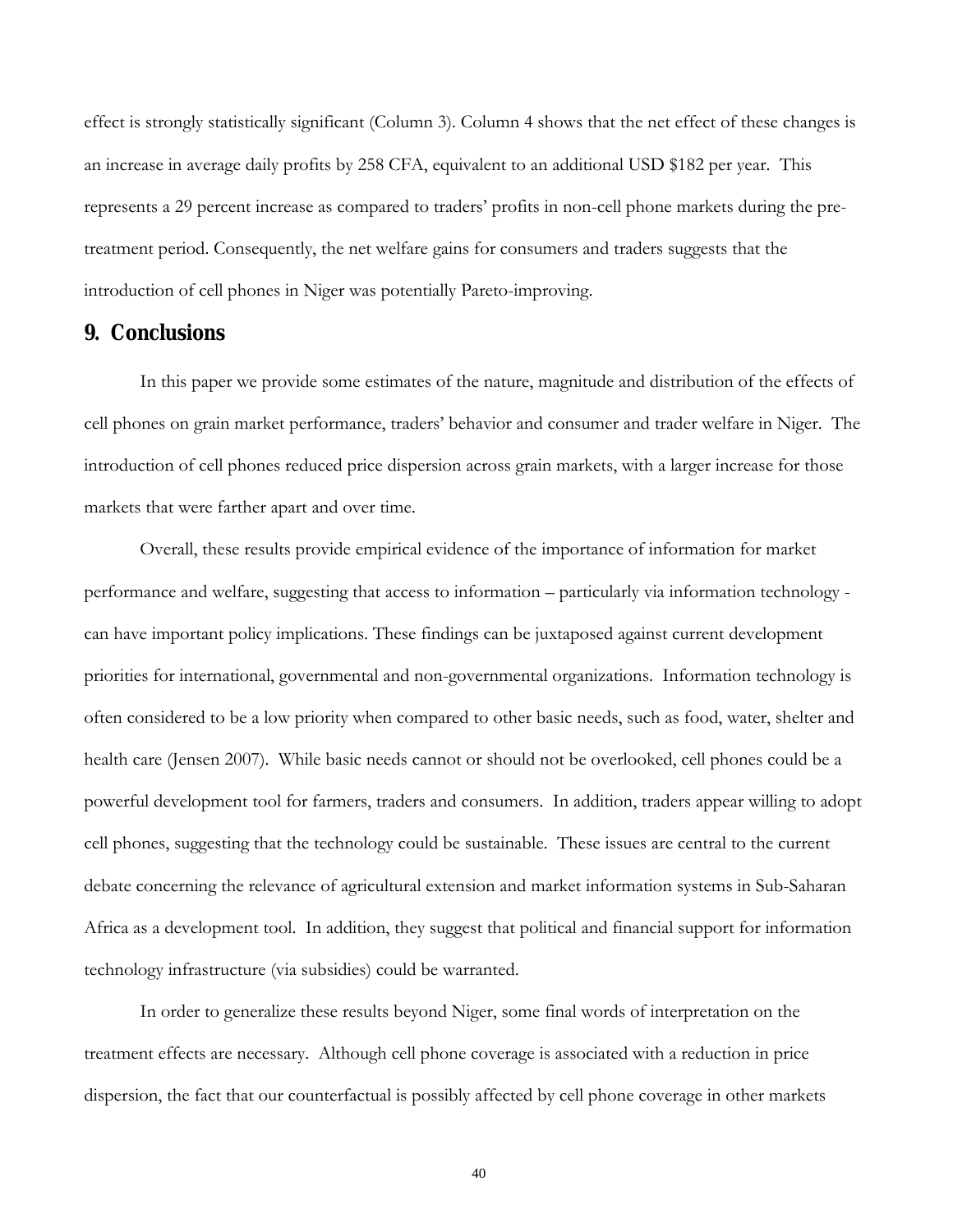effect is strongly statistically significant (Column 3). Column 4 shows that the net effect of these changes is an increase in average daily profits by 258 CFA, equivalent to an additional USD \$182 per year. This represents a 29 percent increase as compared to traders' profits in non-cell phone markets during the pretreatment period. Consequently, the net welfare gains for consumers and traders suggests that the introduction of cell phones in Niger was potentially Pareto-improving.

## **9. Conclusions**

In this paper we provide some estimates of the nature, magnitude and distribution of the effects of cell phones on grain market performance, traders' behavior and consumer and trader welfare in Niger. The introduction of cell phones reduced price dispersion across grain markets, with a larger increase for those markets that were farther apart and over time.

Overall, these results provide empirical evidence of the importance of information for market performance and welfare, suggesting that access to information – particularly via information technology can have important policy implications. These findings can be juxtaposed against current development priorities for international, governmental and non-governmental organizations. Information technology is often considered to be a low priority when compared to other basic needs, such as food, water, shelter and health care (Jensen 2007). While basic needs cannot or should not be overlooked, cell phones could be a powerful development tool for farmers, traders and consumers. In addition, traders appear willing to adopt cell phones, suggesting that the technology could be sustainable. These issues are central to the current debate concerning the relevance of agricultural extension and market information systems in Sub-Saharan Africa as a development tool. In addition, they suggest that political and financial support for information technology infrastructure (via subsidies) could be warranted.

In order to generalize these results beyond Niger, some final words of interpretation on the treatment effects are necessary. Although cell phone coverage is associated with a reduction in price dispersion, the fact that our counterfactual is possibly affected by cell phone coverage in other markets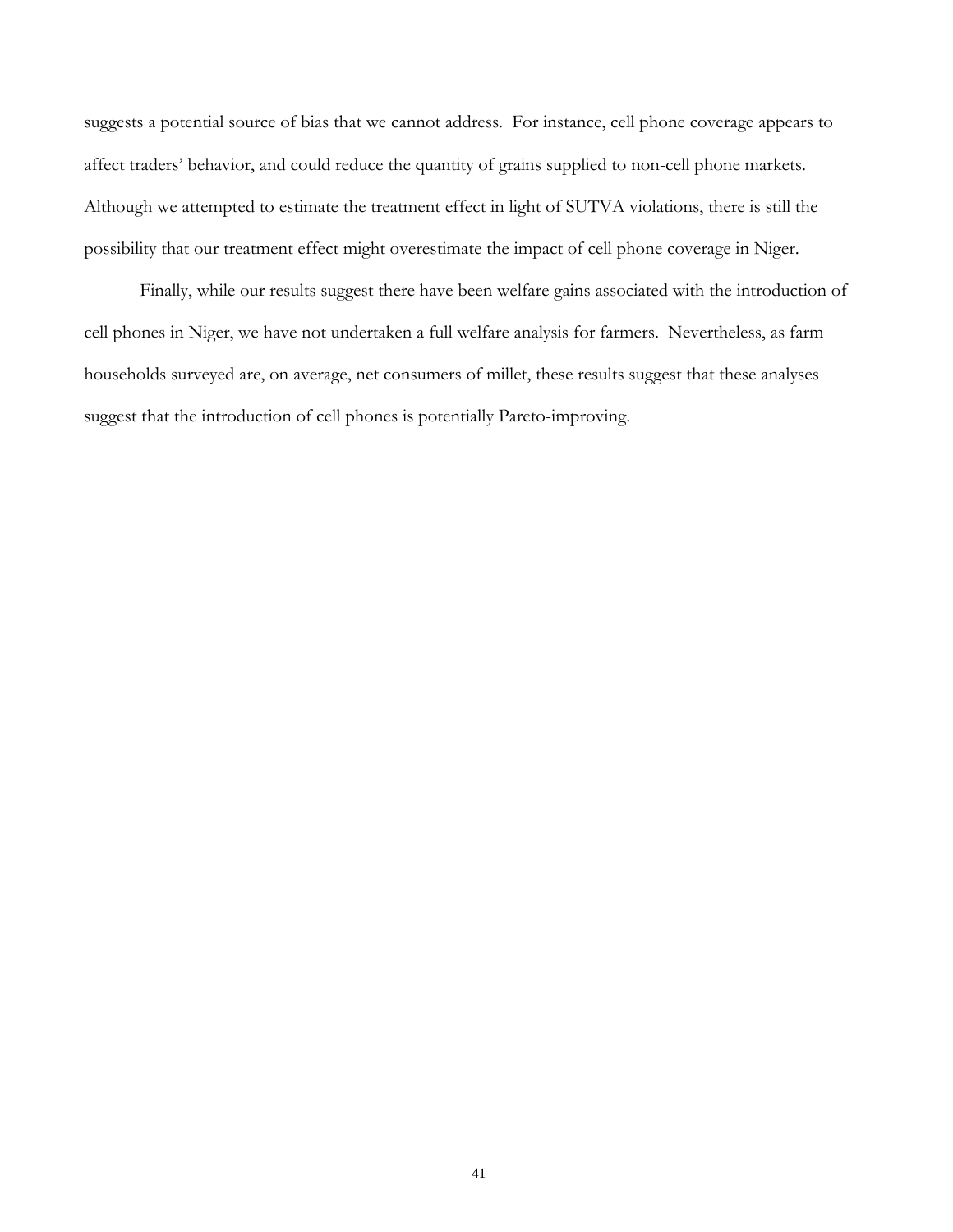suggests a potential source of bias that we cannot address. For instance, cell phone coverage appears to affect traders' behavior, and could reduce the quantity of grains supplied to non-cell phone markets. Although we attempted to estimate the treatment effect in light of SUTVA violations, there is still the possibility that our treatment effect might overestimate the impact of cell phone coverage in Niger.

Finally, while our results suggest there have been welfare gains associated with the introduction of cell phones in Niger, we have not undertaken a full welfare analysis for farmers. Nevertheless, as farm households surveyed are, on average, net consumers of millet, these results suggest that these analyses suggest that the introduction of cell phones is potentially Pareto-improving.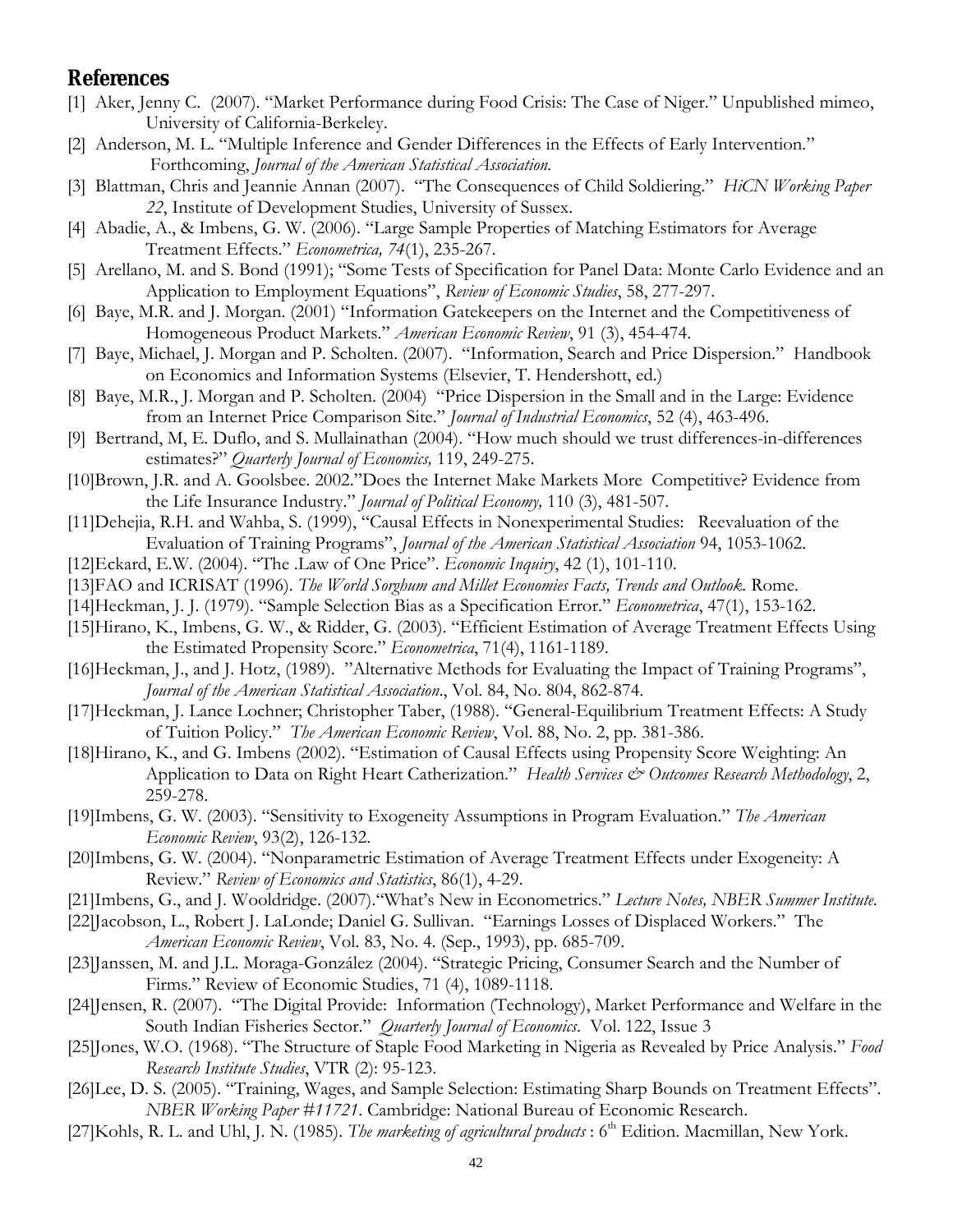# **References**

- [1] Aker, Jenny C. (2007). "Market Performance during Food Crisis: The Case of Niger." Unpublished mimeo, University of California-Berkeley.
- [2] Anderson, M. L. "Multiple Inference and Gender Differences in the Effects of Early Intervention*.*" Forthcoming, *Journal of the American Statistical Association.*
- [3] Blattman, Chris and Jeannie Annan (2007). "The Consequences of Child Soldiering." *HiCN Working Paper 22*, Institute of Development Studies, University of Sussex.
- [4] Abadie, A., & Imbens, G. W. (2006). "Large Sample Properties of Matching Estimators for Average Treatment Effects." *Econometrica, 74*(1), 235-267.
- [5] Arellano, M. and S. Bond (1991); "Some Tests of Specification for Panel Data: Monte Carlo Evidence and an Application to Employment Equations", *Review of Economic Studies*, 58, 277-297.
- [6] Baye, M.R. and J. Morgan. (2001) "Information Gatekeepers on the Internet and the Competitiveness of Homogeneous Product Markets." *American Economic Review*, 91 (3), 454-474.
- [7] Baye, Michael, J. Morgan and P. Scholten. (2007). "Information, Search and Price Dispersion." Handbook on Economics and Information Systems (Elsevier, T. Hendershott, ed.)
- [8] Baye, M.R., J. Morgan and P. Scholten. (2004) "Price Dispersion in the Small and in the Large: Evidence from an Internet Price Comparison Site." *Journal of Industrial Economics*, 52 (4), 463-496.
- [9] Bertrand, M, E. Duflo, and S. Mullainathan (2004). "How much should we trust differences-in-differences estimates?" *Quarterly Journal of Economics,* 119, 249-275.
- [10]Brown, J.R. and A. Goolsbee. 2002."Does the Internet Make Markets More Competitive? Evidence from the Life Insurance Industry." *Journal of Political Economy,* 110 (3), 481-507.
- [11]Dehejia, R.H. and Wahba, S. (1999), "Causal Effects in Nonexperimental Studies: Reevaluation of the Evaluation of Training Programs", *Journal of the American Statistical Association* 94, 1053-1062.
- [12]Eckard, E.W. (2004). "The .Law of One Price". *Economic Inquiry*, 42 (1), 101-110.
- [13]FAO and ICRISAT (1996). *The World Sorghum and Millet Economies Facts, Trends and Outlook.* Rome.
- [14]Heckman, J. J. (1979). "Sample Selection Bias as a Specification Error." *Econometrica*, 47(1), 153-162.
- [15]Hirano, K., Imbens, G. W., & Ridder, G. (2003). "Efficient Estimation of Average Treatment Effects Using the Estimated Propensity Score." *Econometrica*, 71(4), 1161-1189.
- [16]Heckman, J., and J. Hotz, (1989). "Alternative Methods for Evaluating the Impact of Training Programs", *Journal of the American Statistical Association*., Vol. 84, No. 804, 862-874.
- [17]Heckman, J. Lance Lochner; Christopher Taber, (1988). "General-Equilibrium Treatment Effects: A Study of Tuition Policy." *The American Economic Review*, Vol. 88, No. 2, pp. 381-386.
- [18]Hirano, K., and G. Imbens (2002). "Estimation of Causal Effects using Propensity Score Weighting: An Application to Data on Right Heart Catherization." *Health Services & Outcomes Research Methodology*, 2, 259-278.
- [19]Imbens, G. W. (2003). "Sensitivity to Exogeneity Assumptions in Program Evaluation." *The American Economic Review*, 93(2), 126-132.
- [20]Imbens, G. W. (2004). "Nonparametric Estimation of Average Treatment Effects under Exogeneity: A Review." *Review of Economics and Statistics*, 86(1), 4-29.
- [21]Imbens, G., and J. Wooldridge. (2007)."What's New in Econometrics." *Lecture Notes, NBER Summer Institute*.
- [22]Jacobson, L., Robert J. LaLonde; Daniel G. Sullivan. "Earnings Losses of Displaced Workers." The *American Economic Review*, Vol. 83, No. 4. (Sep., 1993), pp. 685-709.
- [23]Janssen, M. and J.L. Moraga-González (2004). "Strategic Pricing, Consumer Search and the Number of Firms." Review of Economic Studies, 71 (4), 1089-1118.
- [24]Jensen, R. (2007). "The Digital Provide: Information (Technology), Market Performance and Welfare in the South Indian Fisheries Sector." *Quarterly Journal of Economics*. Vol. 122, Issue 3
- [25]Jones, W.O. (1968). "The Structure of Staple Food Marketing in Nigeria as Revealed by Price Analysis." *Food Research Institute Studies*, VTR (2): 95-123.
- [26]Lee, D. S. (2005). "Training, Wages, and Sample Selection: Estimating Sharp Bounds on Treatment Effects". *NBER Working Paper #11721*. Cambridge: National Bureau of Economic Research.
- [27] Kohls, R. L. and Uhl, J. N. (1985). *The marketing of agricultural products* : 6<sup>th</sup> Edition. Macmillan, New York.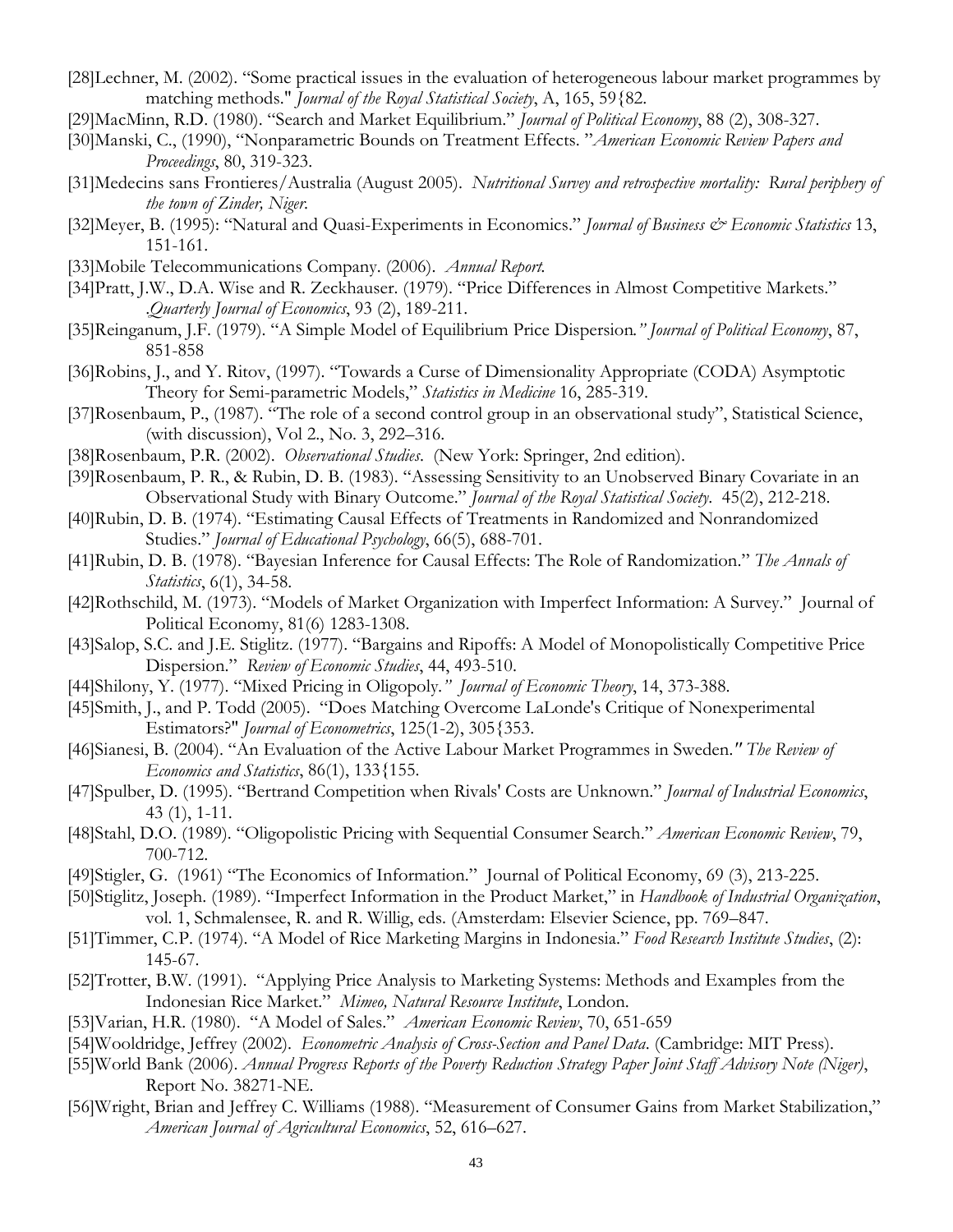- [28]Lechner, M. (2002). "Some practical issues in the evaluation of heterogeneous labour market programmes by matching methods." *Journal of the Royal Statistical Society*, A, 165, 59{82.
- [29]MacMinn, R.D. (1980). "Search and Market Equilibrium." *Journal of Political Economy*, 88 (2), 308-327.
- [30]Manski, C., (1990), "Nonparametric Bounds on Treatment Effects. "*American Economic Review Papers and Proceedings*, 80, 319-323.
- [31]Medecins sans Frontieres/Australia (August 2005). *Nutritional Survey and retrospective mortality: Rural periphery of the town of Zinder, Niger*.
- [32]Meyer, B. (1995): "Natural and Quasi-Experiments in Economics." *Journal of Business & Economic Statistics* 13, 151-161.
- [33]Mobile Telecommunications Company. (2006). *Annual Report.*
- [34]Pratt, J.W., D.A. Wise and R. Zeckhauser. (1979). "Price Differences in Almost Competitive Markets." .*Quarterly Journal of Economics*, 93 (2), 189-211.
- [35]Reinganum, J.F. (1979). "A Simple Model of Equilibrium Price Dispersion*." Journal of Political Economy*, 87, 851-858
- [36]Robins, J., and Y. Ritov, (1997). "Towards a Curse of Dimensionality Appropriate (CODA) Asymptotic Theory for Semi-parametric Models," *Statistics in Medicine* 16, 285-319.
- [37]Rosenbaum, P., (1987). "The role of a second control group in an observational study", Statistical Science, (with discussion), Vol 2., No. 3, 292–316.
- [38]Rosenbaum, P.R. (2002). *Observational Studies*. (New York: Springer, 2nd edition).
- [39]Rosenbaum, P. R., & Rubin, D. B. (1983). "Assessing Sensitivity to an Unobserved Binary Covariate in an Observational Study with Binary Outcome." *Journal of the Royal Statistical Society*. 45(2), 212-218.
- [40]Rubin, D. B. (1974). "Estimating Causal Effects of Treatments in Randomized and Nonrandomized Studies." *Journal of Educational Psychology*, 66(5), 688-701.
- [41]Rubin, D. B. (1978). "Bayesian Inference for Causal Effects: The Role of Randomization." *The Annals of Statistics*, 6(1), 34-58.
- [42]Rothschild, M. (1973). "Models of Market Organization with Imperfect Information: A Survey." Journal of Political Economy, 81(6) 1283-1308.
- [43]Salop, S.C. and J.E. Stiglitz. (1977). "Bargains and Ripoffs: A Model of Monopolistically Competitive Price Dispersion." *Review of Economic Studies*, 44, 493-510.
- [44]Shilony, Y. (1977). "Mixed Pricing in Oligopoly*." Journal of Economic Theory*, 14, 373-388.
- [45]Smith, J., and P. Todd (2005). "Does Matching Overcome LaLonde's Critique of Nonexperimental Estimators?" *Journal of Econometrics*, 125(1-2), 305{353.
- [46]Sianesi, B. (2004). "An Evaluation of the Active Labour Market Programmes in Sweden*." The Review of Economics and Statistics*, 86(1), 133{155.
- [47]Spulber, D. (1995). "Bertrand Competition when Rivals' Costs are Unknown." *Journal of Industrial Economics*, 43 (1), 1-11.
- [48]Stahl, D.O. (1989). "Oligopolistic Pricing with Sequential Consumer Search." *American Economic Review*, 79, 700-712.
- [49]Stigler, G. (1961) "The Economics of Information." Journal of Political Economy, 69 (3), 213-225.
- [50]Stiglitz, Joseph. (1989). "Imperfect Information in the Product Market," in *Handbook of Industrial Organization*, vol. 1, Schmalensee, R. and R. Willig, eds. (Amsterdam: Elsevier Science, pp. 769–847.
- [51]Timmer, C.P. (1974). "A Model of Rice Marketing Margins in Indonesia." *Food Research Institute Studies*, (2): 145-67.
- [52]Trotter, B.W. (1991). "Applying Price Analysis to Marketing Systems: Methods and Examples from the Indonesian Rice Market." *Mimeo, Natural Resource Institute*, London.
- [53]Varian, H.R. (1980). "A Model of Sales." *American Economic Review*, 70, 651-659
- [54]Wooldridge, Jeffrey (2002). *Econometric Analysis of Cross-Section and Panel Data*. (Cambridge: MIT Press).
- [55]World Bank (2006). *Annual Progress Reports of the Poverty Reduction Strategy Paper Joint Staff Advisory Note (Niger)*, Report No. 38271-NE.
- [56]Wright, Brian and Jeffrey C. Williams (1988). "Measurement of Consumer Gains from Market Stabilization," *American Journal of Agricultural Economics*, 52, 616–627.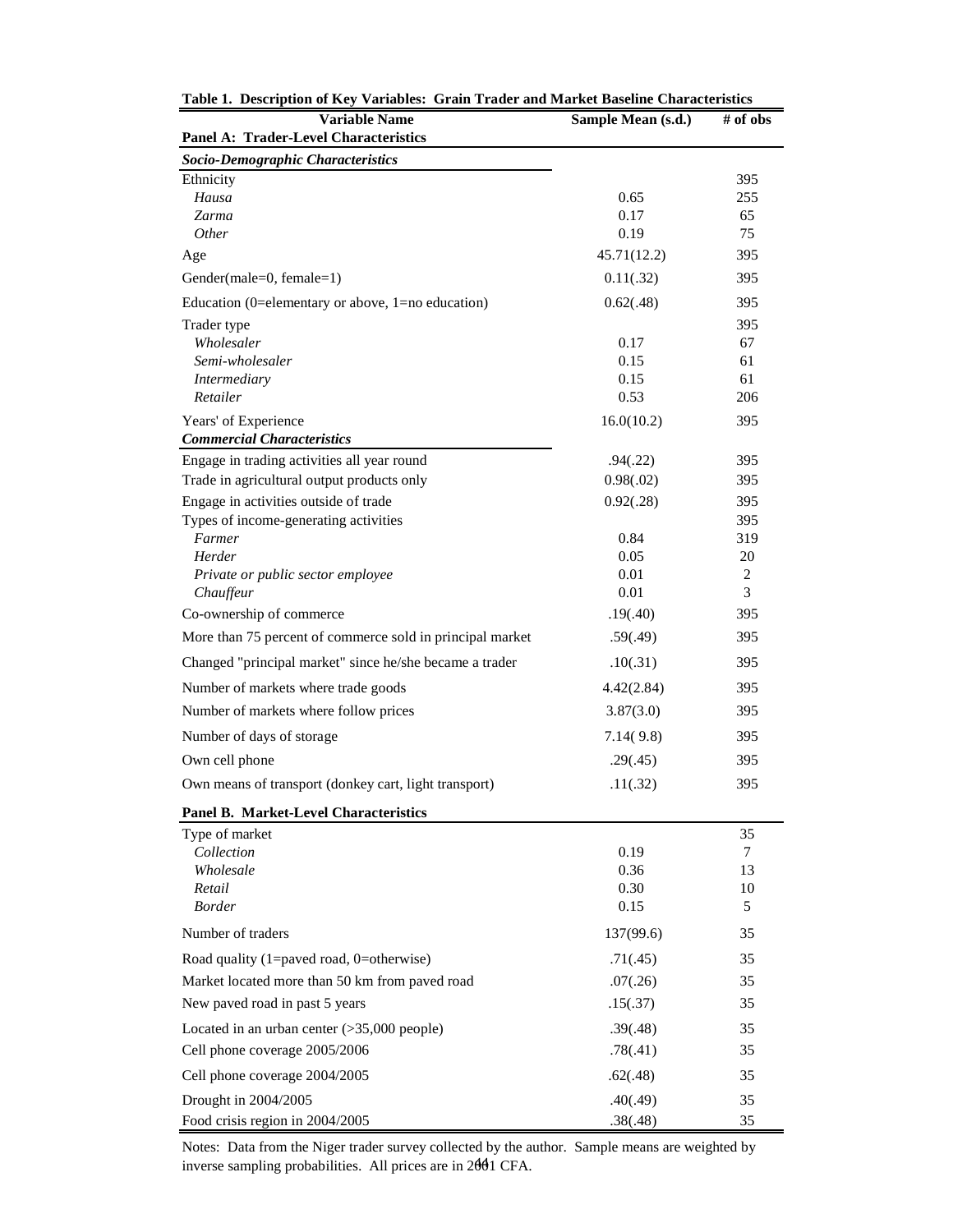| <b>Variable Name</b>                                      | Sample Mean (s.d.) | # of obs   |  |  |
|-----------------------------------------------------------|--------------------|------------|--|--|
| <b>Panel A: Trader-Level Characteristics</b>              |                    |            |  |  |
| Socio-Demographic Characteristics                         |                    |            |  |  |
| Ethnicity<br>Hausa                                        | 0.65               | 395<br>255 |  |  |
| Zarma                                                     | 0.17               | 65         |  |  |
| Other                                                     | 0.19               | 75         |  |  |
| Age                                                       | 45.71(12.2)        | 395        |  |  |
| Gender(male=0, female=1)                                  | 0.11(.32)          | 395        |  |  |
| Education (0=elementary or above, $1=$ no education)      | 0.62(.48)          | 395        |  |  |
| Trader type                                               |                    | 395        |  |  |
| Wholesaler                                                | 0.17               | 67         |  |  |
| Semi-wholesaler                                           | 0.15               | 61         |  |  |
| Intermediary                                              | 0.15               | 61         |  |  |
| Retailer                                                  | 0.53               | 206        |  |  |
| Years' of Experience<br><b>Commercial Characteristics</b> | 16.0(10.2)         | 395        |  |  |
| Engage in trading activities all year round               | .94(.22)           | 395        |  |  |
| Trade in agricultural output products only                | 0.98(.02)          | 395        |  |  |
| Engage in activities outside of trade                     | 0.92(.28)          | 395        |  |  |
| Types of income-generating activities                     |                    | 395        |  |  |
| Farmer                                                    | 0.84               | 319        |  |  |
| Herder                                                    | 0.05               | 20         |  |  |
| Private or public sector employee                         | 0.01               | 2          |  |  |
| Chauffeur                                                 | 0.01               | 3          |  |  |
| Co-ownership of commerce                                  | .19(.40)           | 395        |  |  |
| More than 75 percent of commerce sold in principal market | .59(.49)           | 395        |  |  |
| Changed "principal market" since he/she became a trader   | .10(.31)           | 395        |  |  |
| Number of markets where trade goods                       | 4.42(2.84)         | 395        |  |  |
| Number of markets where follow prices                     | 3.87(3.0)          | 395        |  |  |
| Number of days of storage                                 | 7.14(9.8)          | 395        |  |  |
| Own cell phone                                            | .29(.45)           | 395        |  |  |
| Own means of transport (donkey cart, light transport)     | .11(.32)           | 395        |  |  |
| Panel B. Market-Level Characteristics                     |                    |            |  |  |
| Type of market                                            |                    | 35         |  |  |
| Collection                                                | 0.19               | 7          |  |  |
| Wholesale                                                 | 0.36               | 13         |  |  |
| Retail                                                    | 0.30               | 10         |  |  |
| <b>Border</b>                                             | 0.15               | 5          |  |  |
| Number of traders                                         | 137(99.6)          | 35         |  |  |
| Road quality (1=paved road, 0=otherwise)                  | .71(.45)           | 35         |  |  |
| Market located more than 50 km from paved road            | .07(.26)           | 35         |  |  |
| New paved road in past 5 years                            | .15(.37)           | 35         |  |  |
| Located in an urban center $(>35,000$ people)             | .39(.48)           | 35         |  |  |
| Cell phone coverage 2005/2006                             | .78(.41)           | 35         |  |  |
| Cell phone coverage 2004/2005                             | .62(.48)           | 35         |  |  |
| Drought in 2004/2005                                      | .40(.49)           | 35         |  |  |
| Food crisis region in 2004/2005                           | .38(.48)           | 35         |  |  |

**Table 1. Description of Key Variables: Grain Trader and Market Baseline Characteristics**

44 Notes: Data from the Niger trader survey collected by the author. Sample means are weighted by inverse sampling probabilities. All prices are in 2001 CFA.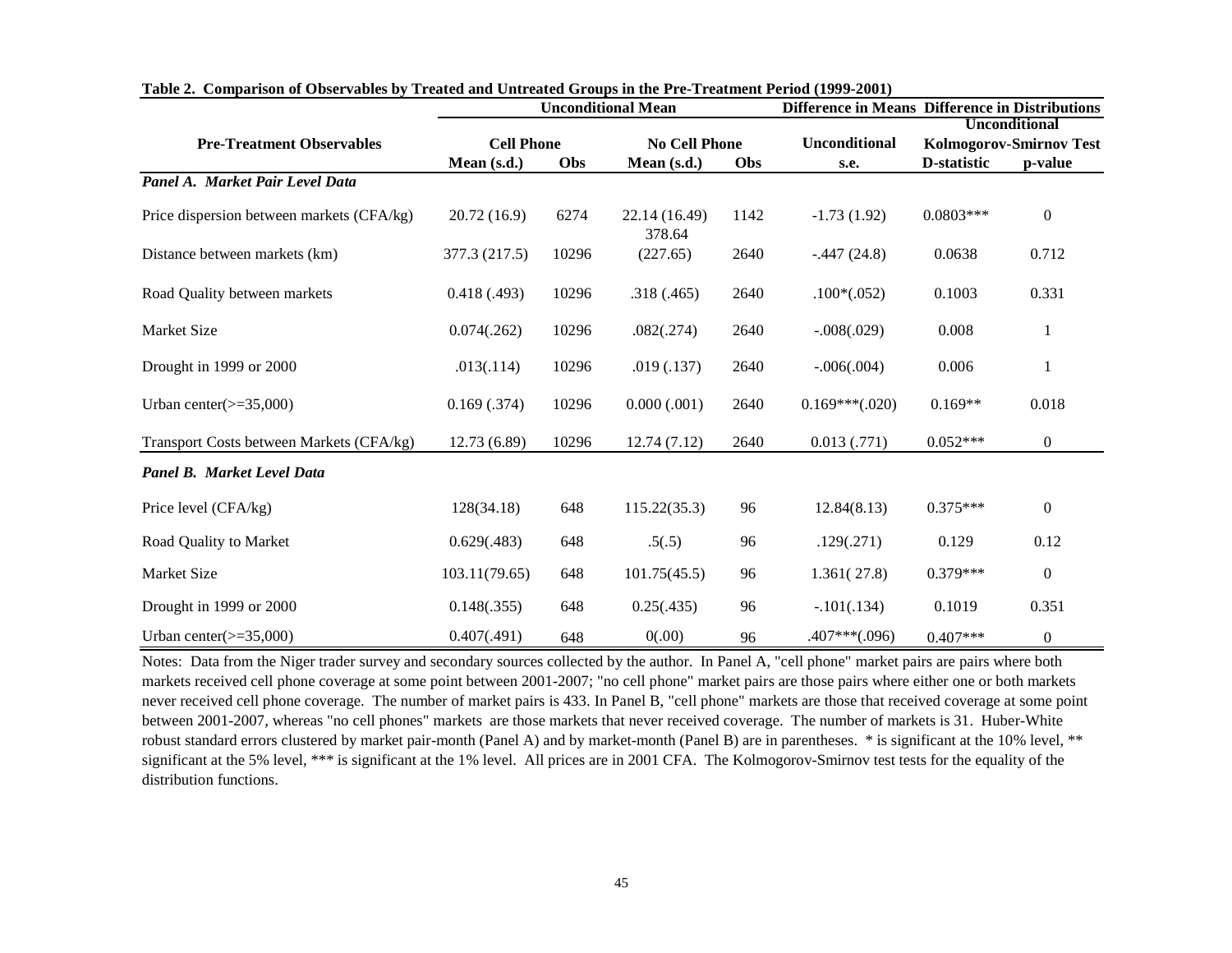|                                           |                   |       | <b>Unconditional Mean</b> | Difference in Means Difference in Distributions |                      |             |                                |
|-------------------------------------------|-------------------|-------|---------------------------|-------------------------------------------------|----------------------|-------------|--------------------------------|
|                                           |                   |       |                           |                                                 |                      |             | <b>Unconditional</b>           |
| <b>Pre-Treatment Observables</b>          | <b>Cell Phone</b> |       | <b>No Cell Phone</b>      |                                                 | <b>Unconditional</b> |             | <b>Kolmogorov-Smirnov Test</b> |
|                                           | Mean (s.d.)       | Obs   | Mean (s.d.)               | Obs                                             | s.e.                 | D-statistic | p-value                        |
| Panel A. Market Pair Level Data           |                   |       |                           |                                                 |                      |             |                                |
| Price dispersion between markets (CFA/kg) | 20.72(16.9)       | 6274  | 22.14 (16.49)<br>378.64   | 1142                                            | $-1.73(1.92)$        | $0.0803***$ | $\boldsymbol{0}$               |
| Distance between markets (km)             | 377.3 (217.5)     | 10296 | (227.65)                  | 2640                                            | $-.447(24.8)$        | 0.0638      | 0.712                          |
| Road Quality between markets              | 0.418(.493)       | 10296 | .318(.465)                | 2640                                            | $.100*(.052)$        | 0.1003      | 0.331                          |
| <b>Market Size</b>                        | 0.074(.262)       | 10296 | .082(.274)                | 2640                                            | $-.008(.029)$        | 0.008       | $\,1$                          |
| Drought in 1999 or 2000                   | .013(.114)        | 10296 | .019(.137)                | 2640                                            | $-.006(.004)$        | 0.006       | 1                              |
| Urban center $(\geq 35,000)$              | 0.169(.374)       | 10296 | 0.000(.001)               | 2640                                            | $0.169***(.020)$     | $0.169**$   | 0.018                          |
| Transport Costs between Markets (CFA/kg)  | 12.73(6.89)       | 10296 | 12.74(7.12)               | 2640                                            | 0.013(0.771)         | $0.052***$  | $\boldsymbol{0}$               |
| Panel B. Market Level Data                |                   |       |                           |                                                 |                      |             |                                |
| Price level (CFA/kg)                      | 128(34.18)        | 648   | 115.22(35.3)              | 96                                              | 12.84(8.13)          | $0.375***$  | $\boldsymbol{0}$               |
| Road Quality to Market                    | 0.629(.483)       | 648   | .5(.5)                    | 96                                              | .129(.271)           | 0.129       | 0.12                           |
| Market Size                               | 103.11(79.65)     | 648   | 101.75(45.5)              | 96                                              | 1.361(27.8)          | $0.379***$  | $\boldsymbol{0}$               |
| Drought in 1999 or 2000                   | 0.148(.355)       | 648   | 0.25(.435)                | 96                                              | $-.101(.134)$        | 0.1019      | 0.351                          |
| Urban center $(>=35,000)$                 | 0.407(.491)       | 648   | 0(.00)                    | 96                                              | $.407***(.096)$      | $0.407***$  | $\boldsymbol{0}$               |

|  |  |  | Table 2. Comparison of Observables by Treated and Untreated Groups in the Pre-Treatment Period (1999-2001) |  |
|--|--|--|------------------------------------------------------------------------------------------------------------|--|
|  |  |  |                                                                                                            |  |

Notes: Data from the Niger trader survey and secondary sources collected by the author. In Panel A, "cell phone" market pairs are pairs where both markets received cell phone coverage at some point between 2001-2007; "no cell phone" market pairs are those pairs where either one or both markets never received cell phone coverage. The number of market pairs is 433. In Panel B, "cell phone" markets are those that received coverage at some point between 2001-2007, whereas "no cell phones" markets are those markets that never received coverage. The number of markets is 31. Huber-White robust standard errors clustered by market pair-month (Panel A) and by market-month (Panel B) are in parentheses. \* is significant at the 10% level, \*\* significant at the 5% level, \*\*\* is significant at the 1% level. All prices are in 2001 CFA. The Kolmogorov-Smirnov test tests for the equality of the distribution functions.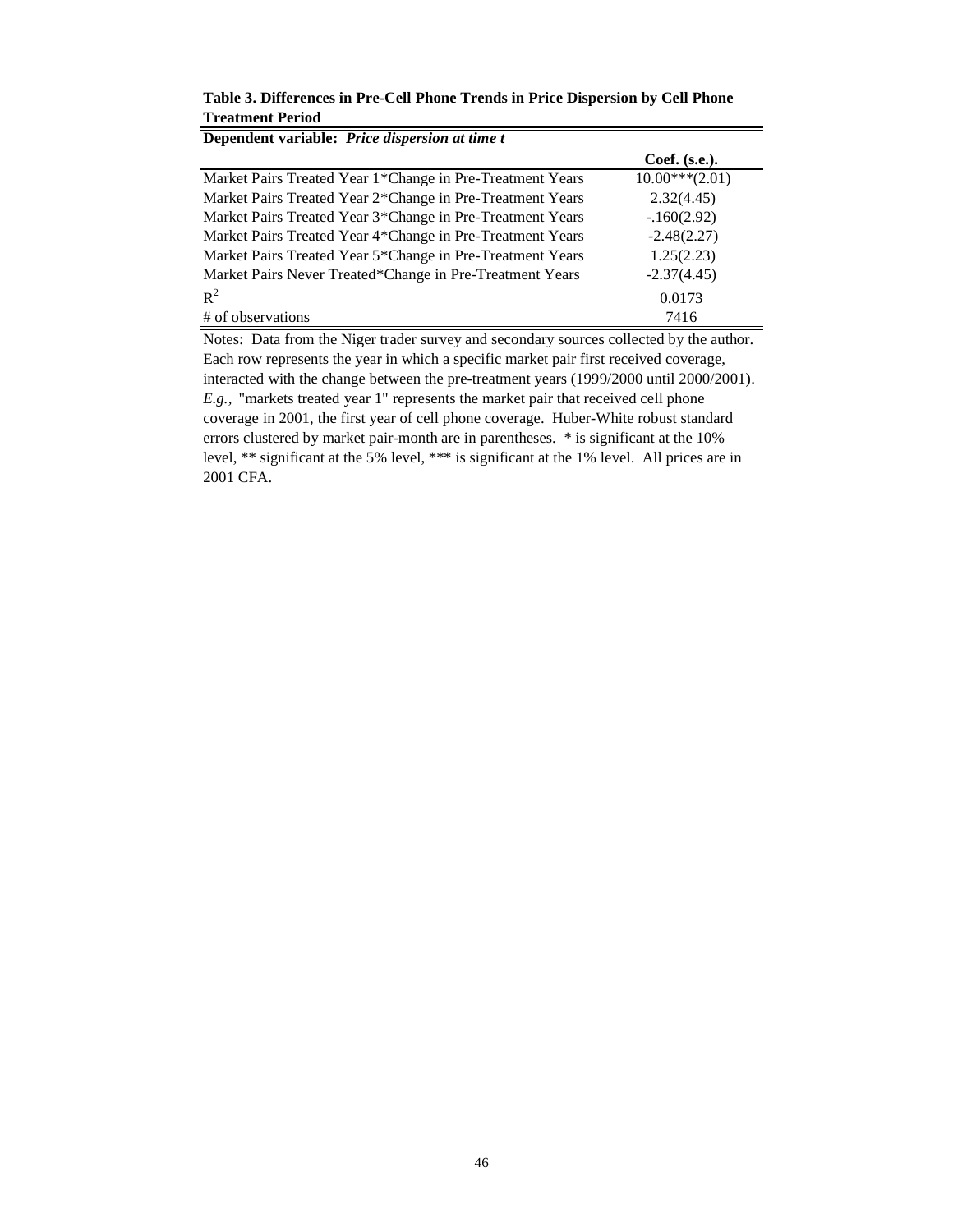| Table 3. Differences in Pre-Cell Phone Trends in Price Dispersion by Cell Phone |  |  |
|---------------------------------------------------------------------------------|--|--|
| <b>Treatment Period</b>                                                         |  |  |

| Dependent variable: Price dispersion at time t            |                  |
|-----------------------------------------------------------|------------------|
|                                                           | $Coef.$ (s.e.).  |
| Market Pairs Treated Year 1*Change in Pre-Treatment Years | $10.00***(2.01)$ |
| Market Pairs Treated Year 2*Change in Pre-Treatment Years | 2.32(4.45)       |
| Market Pairs Treated Year 3*Change in Pre-Treatment Years | $-160(2.92)$     |
| Market Pairs Treated Year 4*Change in Pre-Treatment Years | $-2.48(2.27)$    |
| Market Pairs Treated Year 5*Change in Pre-Treatment Years | 1.25(2.23)       |
| Market Pairs Never Treated*Change in Pre-Treatment Years  | $-2.37(4.45)$    |
| $R^2$                                                     | 0.0173           |
| # of observations                                         | 7416             |

Notes: Data from the Niger trader survey and secondary sources collected by the author. Each row represents the year in which a specific market pair first received coverage, interacted with the change between the pre-treatment years (1999/2000 until 2000/2001). *E.g.,* "markets treated year 1" represents the market pair that received cell phone coverage in 2001, the first year of cell phone coverage. Huber-White robust standard errors clustered by market pair-month are in parentheses. \* is significant at the 10% level, \*\* significant at the 5% level, \*\*\* is significant at the 1% level. All prices are in 2001 CFA.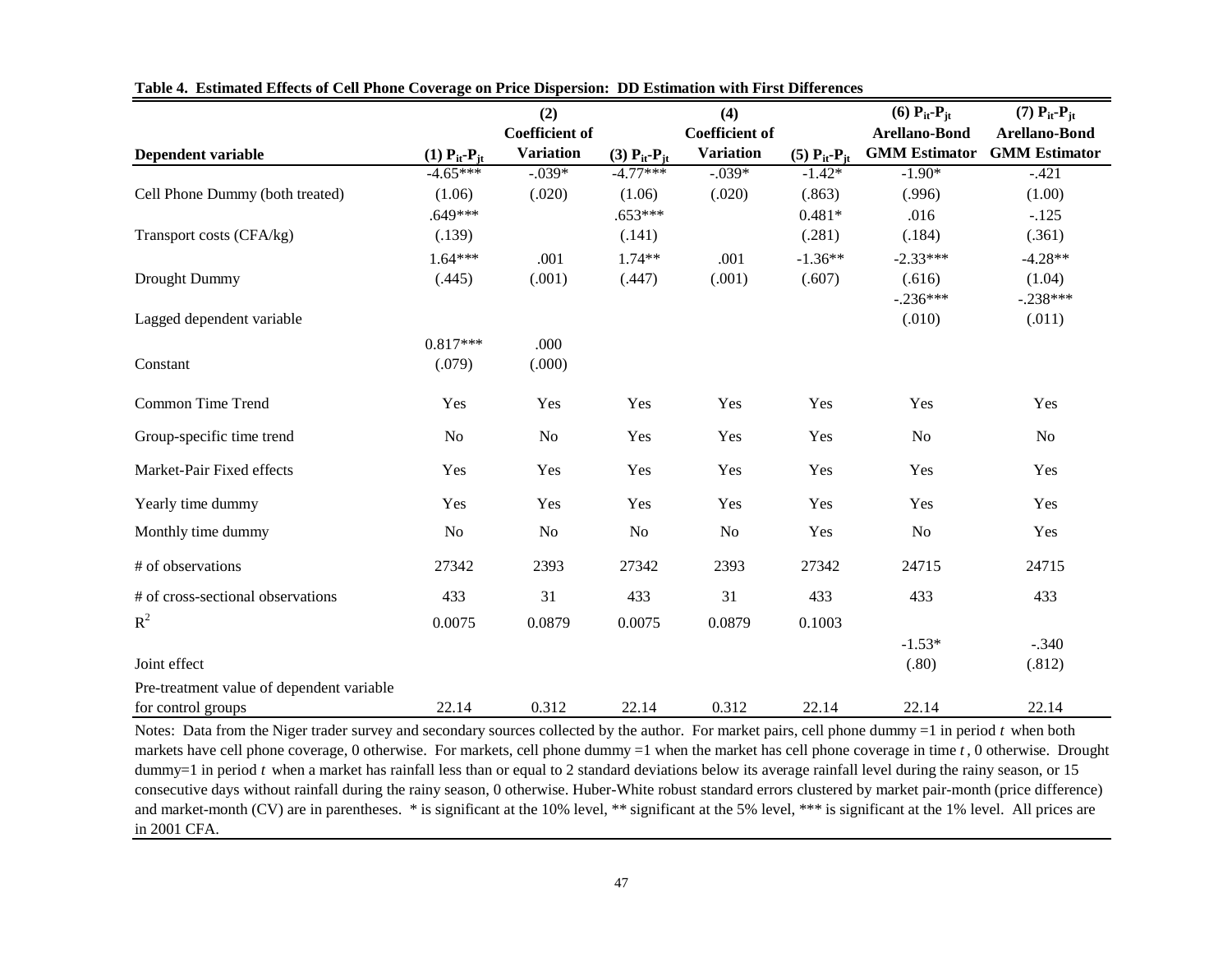|                                           |                       | (2)                   |                       | (4)                   |                       | (6) $P_{it} - P_{jt}$ | (7) $P_{it} - P_{jt}$ |
|-------------------------------------------|-----------------------|-----------------------|-----------------------|-----------------------|-----------------------|-----------------------|-----------------------|
|                                           |                       | <b>Coefficient of</b> |                       | <b>Coefficient of</b> |                       | <b>Arellano-Bond</b>  | <b>Arellano-Bond</b>  |
| <b>Dependent variable</b>                 | (1) $P_{it} - P_{it}$ | <b>Variation</b>      | (3) $P_{it} - P_{jt}$ | <b>Variation</b>      | (5) $P_{it} - P_{it}$ | <b>GMM</b> Estimator  | <b>GMM</b> Estimator  |
|                                           | $-4.65***$            | $-0.039*$             | $-4.77***$            | $-0.039*$             | $-1.42*$              | $-1.90*$              | $-.421$               |
| Cell Phone Dummy (both treated)           | (1.06)                | (.020)                | (1.06)                | (.020)                | (.863)                | (.996)                | (1.00)                |
|                                           | $.649***$             |                       | $.653***$             |                       | $0.481*$              | .016                  | $-.125$               |
| Transport costs (CFA/kg)                  | (.139)                |                       | (.141)                |                       | (.281)                | (.184)                | (.361)                |
|                                           | $1.64***$             | .001                  | $1.74**$              | .001                  | $-1.36**$             | $-2.33***$            | $-4.28**$             |
| Drought Dummy                             | (.445)                | (.001)                | (.447)                | (.001)                | (.607)                | (.616)                | (1.04)                |
|                                           |                       |                       |                       |                       |                       | $-.236***$            | $-.238***$            |
| Lagged dependent variable                 |                       |                       |                       |                       |                       | (.010)                | (.011)                |
|                                           | $0.817***$            | .000                  |                       |                       |                       |                       |                       |
| Constant                                  | (.079)                | (.000)                |                       |                       |                       |                       |                       |
| Common Time Trend                         | Yes                   | Yes                   | Yes                   | Yes                   | Yes                   | Yes                   | Yes                   |
| Group-specific time trend                 | N <sub>o</sub>        | No                    | Yes                   | Yes                   | Yes                   | N <sub>o</sub>        | N <sub>o</sub>        |
| Market-Pair Fixed effects                 | Yes                   | Yes                   | Yes                   | Yes                   | Yes                   | Yes                   | Yes                   |
| Yearly time dummy                         | Yes                   | Yes                   | Yes                   | Yes                   | Yes                   | Yes                   | Yes                   |
| Monthly time dummy                        | N <sub>o</sub>        | No                    | N <sub>o</sub>        | N <sub>o</sub>        | Yes                   | N <sub>o</sub>        | Yes                   |
| # of observations                         | 27342                 | 2393                  | 27342                 | 2393                  | 27342                 | 24715                 | 24715                 |
| # of cross-sectional observations         | 433                   | 31                    | 433                   | 31                    | 433                   | 433                   | 433                   |
| $R^2$                                     | 0.0075                | 0.0879                | 0.0075                | 0.0879                | 0.1003                |                       |                       |
|                                           |                       |                       |                       |                       |                       | $-1.53*$              | $-.340$               |
| Joint effect                              |                       |                       |                       |                       |                       | (.80)                 | (.812)                |
| Pre-treatment value of dependent variable |                       |                       |                       |                       |                       |                       |                       |
| for control groups                        | 22.14                 | 0.312                 | 22.14                 | 0.312                 | 22.14                 | 22.14                 | 22.14                 |

**Table 4. Estimated Effects of Cell Phone Coverage on Price Dispersion: DD Estimation with First Differences**

Notes: Data from the Niger trader survey and secondary sources collected by the author. For market pairs, cell phone dummy  $=1$  in period  $t$  when both markets have cell phone coverage, 0 otherwise. For markets, cell phone dummy =1 when the market has cell phone coverage in time *t* , 0 otherwise. Drought dummy=1 in period *t* when a market has rainfall less than or equal to 2 standard deviations below its average rainfall level during the rainy season, or 15 consecutive days without rainfall during the rainy season, 0 otherwise. Huber-White robust standard errors clustered by market pair-month (price difference) and market-month (CV) are in parentheses. \* is significant at the 10% level, \*\* significant at the 5% level, \*\*\* is significant at the 1% level. All prices are in 2001 CFA.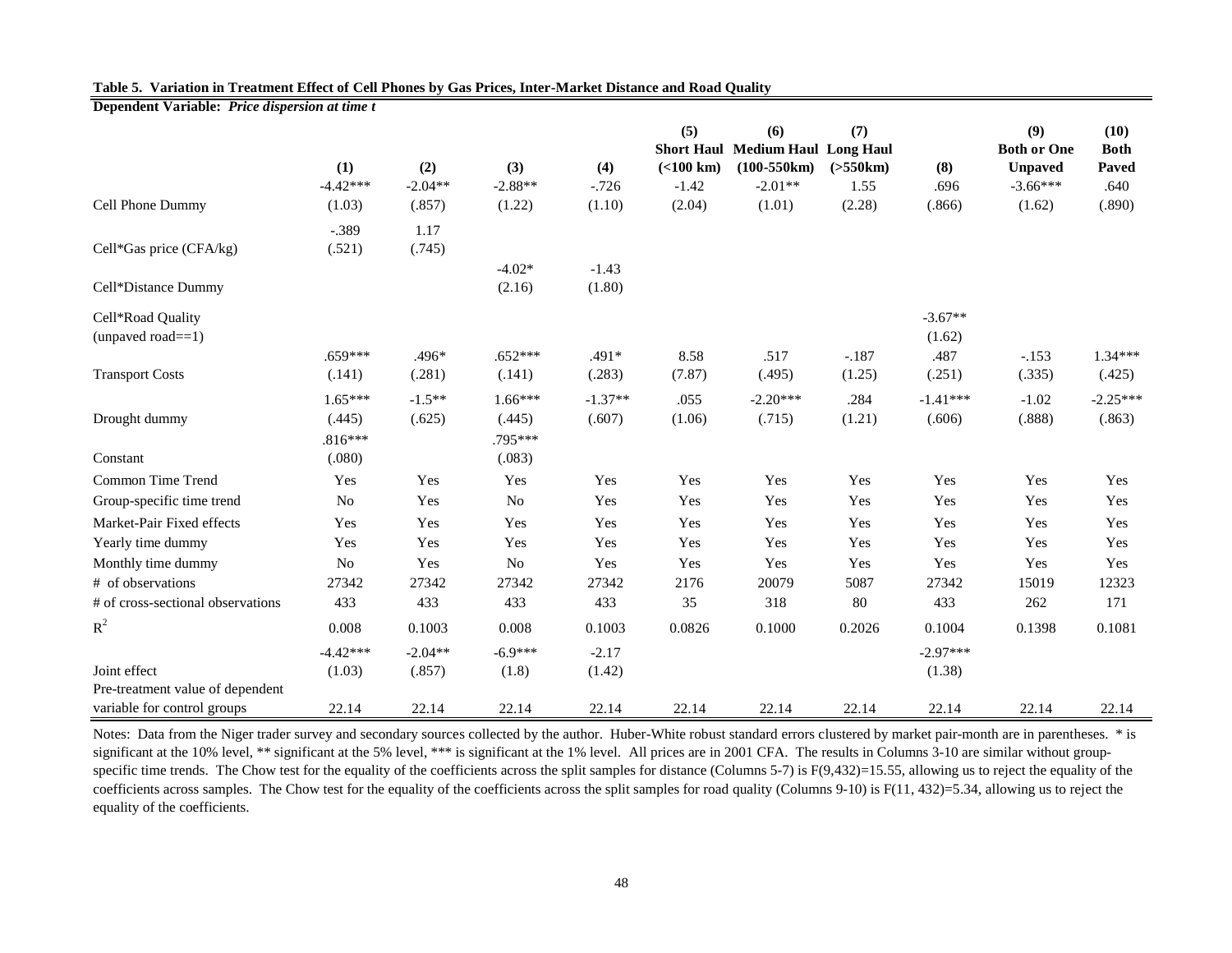| Dependent variable, <i>rive auspersion al uni</i> ver |            |           |           |           |                  |                                                                 |                    |                     |                                             |                              |
|-------------------------------------------------------|------------|-----------|-----------|-----------|------------------|-----------------------------------------------------------------|--------------------|---------------------|---------------------------------------------|------------------------------|
|                                                       | (1)        | (2)       | (3)       | (4)       | (5)<br>(<100 km) | (6)<br><b>Short Haul Medium Haul Long Haul</b><br>$(100-550km)$ | (7)<br>( > 550 km) | (8)                 | (9)<br><b>Both or One</b><br><b>Unpaved</b> | (10)<br><b>Both</b><br>Paved |
|                                                       | $-4.42***$ | $-2.04**$ | $-2.88**$ | $-0.726$  | $-1.42$          | $-2.01**$                                                       | 1.55               | .696                | $-3.66***$                                  | .640                         |
| Cell Phone Dummy                                      | (1.03)     | (.857)    | (1.22)    | (1.10)    | (2.04)           | (1.01)                                                          | (2.28)             | (.866)              | (1.62)                                      | (.890)                       |
|                                                       | $-.389$    | 1.17      |           |           |                  |                                                                 |                    |                     |                                             |                              |
| Cell*Gas price (CFA/kg)                               | (.521)     | (.745)    |           |           |                  |                                                                 |                    |                     |                                             |                              |
|                                                       |            |           | $-4.02*$  | $-1.43$   |                  |                                                                 |                    |                     |                                             |                              |
| Cell*Distance Dummy                                   |            |           | (2.16)    | (1.80)    |                  |                                                                 |                    |                     |                                             |                              |
| Cell*Road Quality<br>$(unproved road==1)$             |            |           |           |           |                  |                                                                 |                    | $-3.67**$<br>(1.62) |                                             |                              |
|                                                       | $.659***$  | .496*     | $.652***$ | .491*     | 8.58             | .517                                                            | $-.187$            | .487                | $-.153$                                     | 1.34***                      |
| <b>Transport Costs</b>                                | (.141)     | (.281)    | (.141)    | (.283)    | (7.87)           | (.495)                                                          | (1.25)             | (.251)              | (.335)                                      | (.425)                       |
|                                                       | $1.65***$  | $-1.5***$ | $1.66***$ | $-1.37**$ | .055             | $-2.20***$                                                      | .284               | $-1.41***$          | $-1.02$                                     | $-2.25***$                   |
| Drought dummy                                         | (.445)     | (.625)    | (.445)    | (.607)    | (1.06)           | (.715)                                                          | (1.21)             | (.606)              | (.888)                                      | (.863)                       |
|                                                       | $.816***$  |           | .795***   |           |                  |                                                                 |                    |                     |                                             |                              |
| Constant                                              | (.080)     |           | (.083)    |           |                  |                                                                 |                    |                     |                                             |                              |
| Common Time Trend                                     | Yes        | Yes       | Yes       | Yes       | Yes              | Yes                                                             | Yes                | Yes                 | Yes                                         | Yes                          |
| Group-specific time trend                             | $\rm No$   | Yes       | No        | Yes       | Yes              | Yes                                                             | Yes                | Yes                 | Yes                                         | Yes                          |
| Market-Pair Fixed effects                             | Yes        | Yes       | Yes       | Yes       | Yes              | Yes                                                             | Yes                | Yes                 | Yes                                         | Yes                          |
| Yearly time dummy                                     | Yes        | Yes       | Yes       | Yes       | Yes              | Yes                                                             | Yes                | Yes                 | Yes                                         | Yes                          |
| Monthly time dummy                                    | No         | Yes       | No        | Yes       | Yes              | Yes                                                             | Yes                | Yes                 | Yes                                         | Yes                          |
| # of observations                                     | 27342      | 27342     | 27342     | 27342     | 2176             | 20079                                                           | 5087               | 27342               | 15019                                       | 12323                        |
| # of cross-sectional observations                     | 433        | 433       | 433       | 433       | 35               | 318                                                             | 80                 | 433                 | 262                                         | 171                          |
| $R^2$                                                 | 0.008      | 0.1003    | 0.008     | 0.1003    | 0.0826           | 0.1000                                                          | 0.2026             | 0.1004              | 0.1398                                      | 0.1081                       |
|                                                       | $-4.42***$ | $-2.04**$ | $-6.9***$ | $-2.17$   |                  |                                                                 |                    | $-2.97***$          |                                             |                              |
| Joint effect                                          | (1.03)     | (.857)    | (1.8)     | (1.42)    |                  |                                                                 |                    | (1.38)              |                                             |                              |
| Pre-treatment value of dependent                      |            |           |           |           |                  |                                                                 |                    |                     |                                             |                              |
| variable for control groups                           | 22.14      | 22.14     | 22.14     | 22.14     | 22.14            | 22.14                                                           | 22.14              | 22.14               | 22.14                                       | 22.14                        |

**Table 5. Variation in Treatment Effect of Cell Phones by Gas Prices, Inter-Market Distance and Road Quality**

**Dependent Variable:** *Price dispersion at time t*

Notes: Data from the Niger trader survey and secondary sources collected by the author. Huber-White robust standard errors clustered by market pair-month are in parentheses. \* is significant at the 10% level, \*\* significant at the 5% level, \*\*\* is significant at the 1% level. All prices are in 2001 CFA. The results in Columns 3-10 are similar without groupspecific time trends. The Chow test for the equality of the coefficients across the split samples for distance (Columns 5-7) is F(9,432)=15.55, allowing us to reject the equality of the coefficients across samples. The Chow test for the equality of the coefficients across the split samples for road quality (Columns 9-10) is F(11, 432)=5.34, allowing us to reject the equality of the coefficients.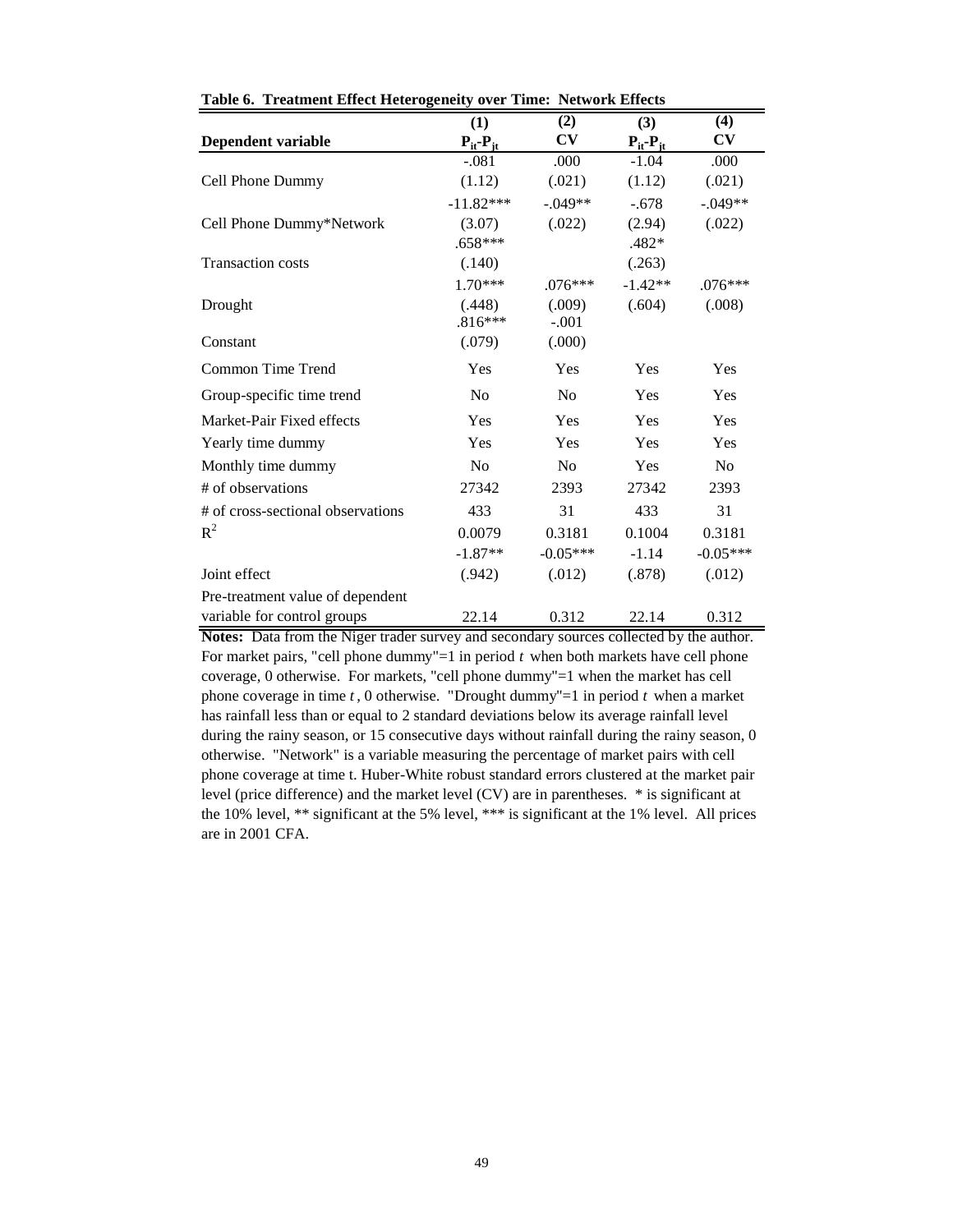|                                   | (1)               | (2)        | (3)               | (4)        |
|-----------------------------------|-------------------|------------|-------------------|------------|
| Dependent variable                | $P_{it} - P_{it}$ | CV         | $P_{it} - P_{it}$ | CV         |
|                                   | $-.081$           | .000       | $-1.04$           | .000       |
| Cell Phone Dummy                  | (1.12)            | (.021)     | (1.12)            | (.021)     |
|                                   | $-11.82***$       | $-.049**$  | $-.678$           | $-.049**$  |
| Cell Phone Dummy*Network          | (3.07)            | (.022)     | (2.94)            | (.022)     |
|                                   | $.658***$         |            | .482*             |            |
| <b>Transaction costs</b>          | (.140)            |            | (.263)            |            |
|                                   | $1.70***$         | $.076***$  | $-1.42**$         | $.076***$  |
| Drought                           | (.448)            | (.009)     | (.604)            | (.008)     |
|                                   | $.816***$         | $-.001$    |                   |            |
| Constant                          | (.079)            | (.000)     |                   |            |
| <b>Common Time Trend</b>          | Yes               | Yes        | Yes               | Yes        |
| Group-specific time trend         | N <sub>0</sub>    | No         | Yes               | Yes        |
| Market-Pair Fixed effects         | Yes               | Yes        | Yes               | Yes        |
| Yearly time dummy                 | Yes               | Yes        | Yes               | Yes        |
| Monthly time dummy                | N <sub>0</sub>    | No         | Yes               | No         |
| # of observations                 | 27342             | 2393       | 27342             | 2393       |
| # of cross-sectional observations | 433               | 31         | 433               | 31         |
| $R^2$                             | 0.0079            | 0.3181     | 0.1004            | 0.3181     |
|                                   | $-1.87**$         | $-0.05***$ | $-1.14$           | $-0.05***$ |
| Joint effect                      | (.942)            | (.012)     | (.878)            | (.012)     |
| Pre-treatment value of dependent  |                   |            |                   |            |
| variable for control groups       | 22.14             | 0.312      | 22.14             | 0.312      |

**Table 6. Treatment Effect Heterogeneity over Time: Network Effects**

**Notes:** Data from the Niger trader survey and secondary sources collected by the author. For market pairs, "cell phone dummy"=1 in period  $t$  when both markets have cell phone coverage, 0 otherwise. For markets, "cell phone dummy"=1 when the market has cell phone coverage in time *t* , 0 otherwise. "Drought dummy"=1 in period *t* when a market has rainfall less than or equal to 2 standard deviations below its average rainfall level during the rainy season, or 15 consecutive days without rainfall during the rainy season, 0 otherwise. "Network" is a variable measuring the percentage of market pairs with cell phone coverage at time t. Huber-White robust standard errors clustered at the market pair level (price difference) and the market level (CV) are in parentheses. \* is significant at the 10% level, \*\* significant at the 5% level, \*\*\* is significant at the 1% level. All prices are in 2001 CFA.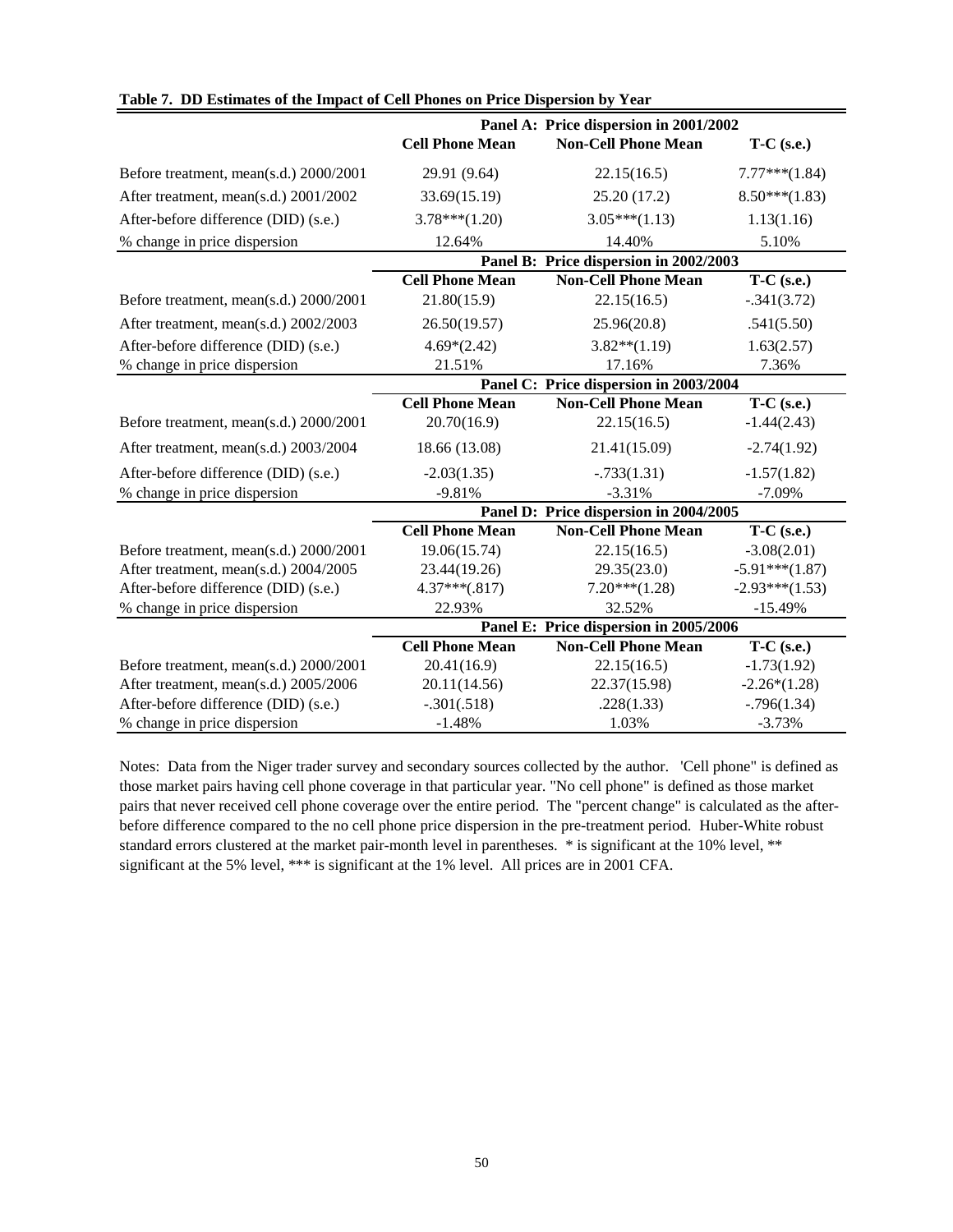|                                        |                                        | Panel A: Price dispersion in 2001/2002 |                  |  |  |  |
|----------------------------------------|----------------------------------------|----------------------------------------|------------------|--|--|--|
|                                        | <b>Cell Phone Mean</b>                 | <b>Non-Cell Phone Mean</b>             | $T-C$ (s.e.)     |  |  |  |
| Before treatment, mean(s.d.) 2000/2001 | 29.91 (9.64)                           | 22.15(16.5)                            | $7.77***(1.84)$  |  |  |  |
| After treatment, mean(s.d.) 2001/2002  | 33.69(15.19)                           | 25.20(17.2)                            | $8.50***(1.83)$  |  |  |  |
| After-before difference (DID) (s.e.)   | $3.78***(1.20)$                        | $3.05***(1.13)$                        | 1.13(1.16)       |  |  |  |
| % change in price dispersion           | 12.64%                                 | 14.40%                                 | 5.10%            |  |  |  |
|                                        |                                        | Panel B: Price dispersion in 2002/2003 |                  |  |  |  |
|                                        | <b>Cell Phone Mean</b>                 | <b>Non-Cell Phone Mean</b>             | $T-C$ (s.e.)     |  |  |  |
| Before treatment, mean(s.d.) 2000/2001 | 21.80(15.9)                            | 22.15(16.5)                            | $-.341(3.72)$    |  |  |  |
| After treatment, mean(s.d.) 2002/2003  | 26.50(19.57)                           | 25.96(20.8)                            | .541(5.50)       |  |  |  |
| After-before difference (DID) (s.e.)   | $4.69*(2.42)$                          | $3.82**$ (1.19)                        | 1.63(2.57)       |  |  |  |
| % change in price dispersion           | 21.51%                                 | 17.16%                                 | 7.36%            |  |  |  |
|                                        | Panel C: Price dispersion in 2003/2004 |                                        |                  |  |  |  |
|                                        | <b>Cell Phone Mean</b>                 | <b>Non-Cell Phone Mean</b>             | $T-C$ (s.e.)     |  |  |  |
| Before treatment, mean(s.d.) 2000/2001 | 20.70(16.9)                            | 22.15(16.5)                            | $-1.44(2.43)$    |  |  |  |
| After treatment, mean(s.d.) 2003/2004  | 18.66 (13.08)                          | 21.41(15.09)                           | $-2.74(1.92)$    |  |  |  |
| After-before difference (DID) (s.e.)   | $-2.03(1.35)$                          | $-.733(1.31)$                          | $-1.57(1.82)$    |  |  |  |
| % change in price dispersion           | $-9.81%$                               | $-3.31%$                               | $-7.09%$         |  |  |  |
|                                        |                                        | Panel D: Price dispersion in 2004/2005 |                  |  |  |  |
|                                        | <b>Cell Phone Mean</b>                 | <b>Non-Cell Phone Mean</b>             | $T-C$ (s.e.)     |  |  |  |
| Before treatment, mean(s.d.) 2000/2001 | 19.06(15.74)                           | 22.15(16.5)                            | $-3.08(2.01)$    |  |  |  |
| After treatment, mean(s.d.) 2004/2005  | 23.44(19.26)                           | 29.35(23.0)                            | $-5.91***(1.87)$ |  |  |  |
| After-before difference (DID) (s.e.)   | $4.37***(.817)$                        | $7.20***(1.28)$                        | $-2.93***(1.53)$ |  |  |  |
| % change in price dispersion           | 22.93%                                 | 32.52%                                 | $-15.49%$        |  |  |  |
|                                        |                                        | Panel E: Price dispersion in 2005/2006 |                  |  |  |  |
|                                        | <b>Cell Phone Mean</b>                 | <b>Non-Cell Phone Mean</b>             | $T-C$ (s.e.)     |  |  |  |
| Before treatment, mean(s.d.) 2000/2001 | 20.41(16.9)                            | 22.15(16.5)                            | $-1.73(1.92)$    |  |  |  |
| After treatment, mean(s.d.) 2005/2006  | 20.11(14.56)                           | 22.37(15.98)                           | $-2.26*(1.28)$   |  |  |  |
| After-before difference (DID) (s.e.)   | $-.301(.518)$                          | .228(1.33)                             | $-.796(1.34)$    |  |  |  |
| % change in price dispersion           | $-1.48%$                               | 1.03%                                  | $-3.73%$         |  |  |  |

#### **Table 7. DD Estimates of the Impact of Cell Phones on Price Dispersion by Year**

Notes: Data from the Niger trader survey and secondary sources collected by the author. 'Cell phone" is defined as those market pairs having cell phone coverage in that particular year. "No cell phone" is defined as those market pairs that never received cell phone coverage over the entire period. The "percent change" is calculated as the afterbefore difference compared to the no cell phone price dispersion in the pre-treatment period. Huber-White robust standard errors clustered at the market pair-month level in parentheses. \* is significant at the 10% level, \*\* significant at the 5% level, \*\*\* is significant at the 1% level. All prices are in 2001 CFA.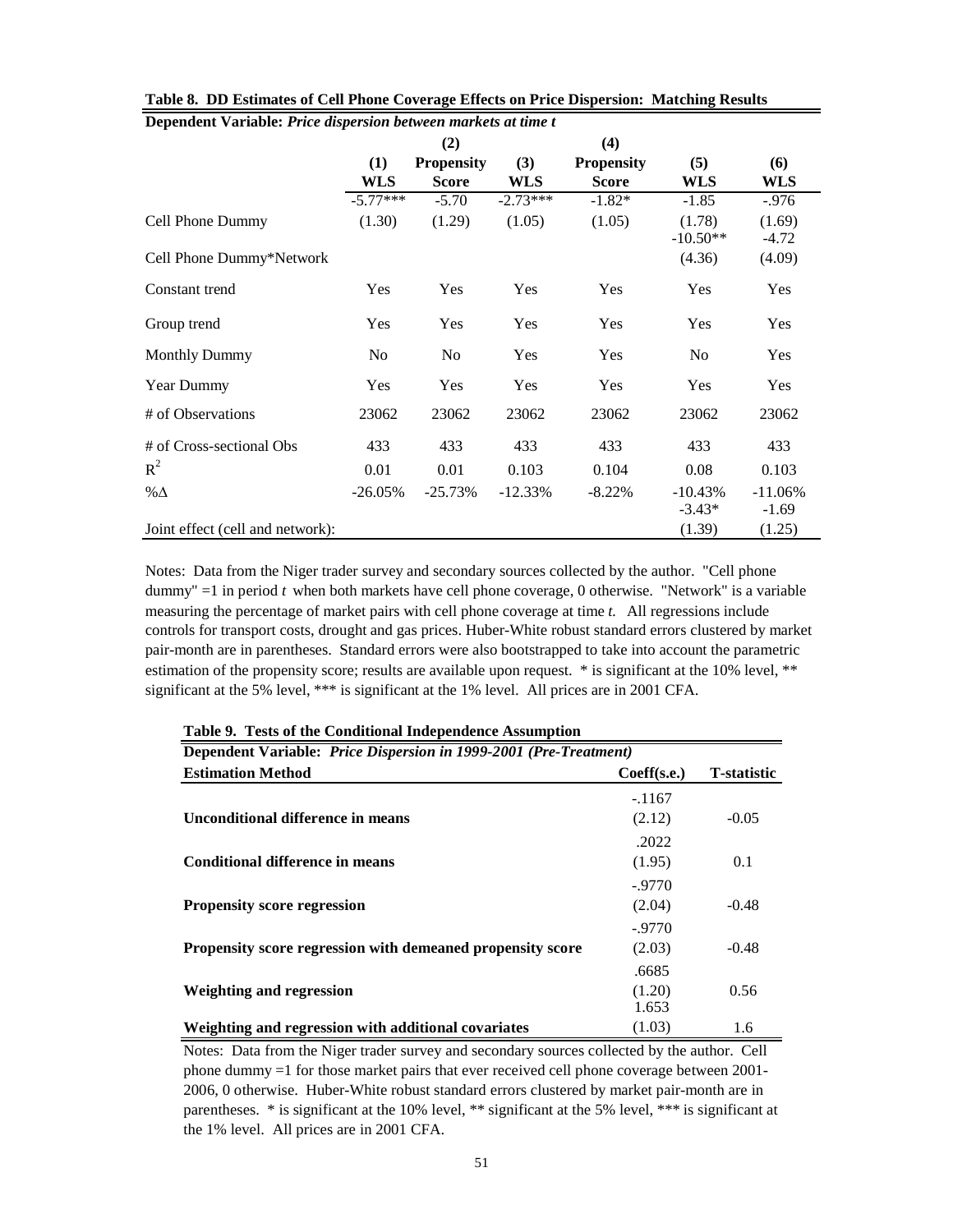|                                  |            | (2)               |            | (4)               |            |           |
|----------------------------------|------------|-------------------|------------|-------------------|------------|-----------|
|                                  | (1)        | <b>Propensity</b> | (3)        | <b>Propensity</b> | (5)        | (6)       |
|                                  | <b>WLS</b> | <b>Score</b>      | <b>WLS</b> | <b>Score</b>      | WLS        | WLS       |
|                                  | $-5.77***$ | $-5.70$           | $-2.73***$ | $-1.82*$          | $-1.85$    | $-.976$   |
| Cell Phone Dummy                 | (1.30)     | (1.29)            | (1.05)     | (1.05)            | (1.78)     | (1.69)    |
|                                  |            |                   |            |                   | $-10.50**$ | $-4.72$   |
| Cell Phone Dummy*Network         |            |                   |            |                   | (4.36)     | (4.09)    |
| Constant trend                   | Yes        | <b>Yes</b>        | Yes        | Yes               | Yes        | Yes       |
| Group trend                      | <b>Yes</b> | <b>Yes</b>        | Yes        | Yes               | Yes        | Yes       |
| <b>Monthly Dummy</b>             | No         | No                | Yes        | Yes               | No         | Yes       |
| <b>Year Dummy</b>                | Yes        | Yes               | Yes        | Yes               | Yes        | Yes       |
| # of Observations                | 23062      | 23062             | 23062      | 23062             | 23062      | 23062     |
| # of Cross-sectional Obs         | 433        | 433               | 433        | 433               | 433        | 433       |
| $R^2$                            | 0.01       | 0.01              | 0.103      | 0.104             | 0.08       | 0.103     |
| $% \Delta$                       | $-26.05\%$ | $-25.73%$         | $-12.33%$  | $-8.22%$          | $-10.43%$  | $-11.06%$ |
|                                  |            |                   |            |                   | $-3.43*$   | $-1.69$   |
| Joint effect (cell and network): |            |                   |            |                   | (1.39)     | (1.25)    |

#### **Dependent Variable:** *Price dispersion between markets at time t* **Table 8. DD Estimates of Cell Phone Coverage Effects on Price Dispersion: Matching Results**

Notes: Data from the Niger trader survey and secondary sources collected by the author. "Cell phone dummy" =1 in period *t* when both markets have cell phone coverage, 0 otherwise. "Network" is a variable measuring the percentage of market pairs with cell phone coverage at time *t.* All regressions include controls for transport costs, drought and gas prices. Huber-White robust standard errors clustered by market pair-month are in parentheses. Standard errors were also bootstrapped to take into account the parametric estimation of the propensity score; results are available upon request. \* is significant at the 10% level, \*\* significant at the 5% level, \*\*\* is significant at the 1% level. All prices are in 2001 CFA.

| Dependent Variable: Price Dispersion in 1999-2001 (Pre-Treatment) |             |                     |  |  |  |  |
|-------------------------------------------------------------------|-------------|---------------------|--|--|--|--|
| <b>Estimation Method</b>                                          | Coeff(s.e.) | <b>T</b> -statistic |  |  |  |  |
|                                                                   | $-1167$     |                     |  |  |  |  |
| <b>Unconditional difference in means</b>                          | (2.12)      | $-0.05$             |  |  |  |  |
|                                                                   | .2022       |                     |  |  |  |  |
| Conditional difference in means                                   | (1.95)      | 0.1                 |  |  |  |  |
|                                                                   | $-.9770$    |                     |  |  |  |  |
| <b>Propensity score regression</b>                                | (2.04)      | $-0.48$             |  |  |  |  |
|                                                                   | $-9770$     |                     |  |  |  |  |
| <b>Propensity score regression with demeaned propensity score</b> | (2.03)      | $-0.48$             |  |  |  |  |
|                                                                   | .6685       |                     |  |  |  |  |
| <b>Weighting and regression</b>                                   | (1.20)      | 0.56                |  |  |  |  |
|                                                                   | 1.653       |                     |  |  |  |  |
| Weighting and regression with additional covariates               | (1.03)      | 1.6                 |  |  |  |  |

**Table 9. Tests of the Conditional Independence Assumption**

Notes: Data from the Niger trader survey and secondary sources collected by the author. Cell phone dummy =1 for those market pairs that ever received cell phone coverage between 2001- 2006, 0 otherwise. Huber-White robust standard errors clustered by market pair-month are in parentheses. \* is significant at the 10% level, \*\* significant at the 5% level, \*\*\* is significant at the 1% level. All prices are in 2001 CFA.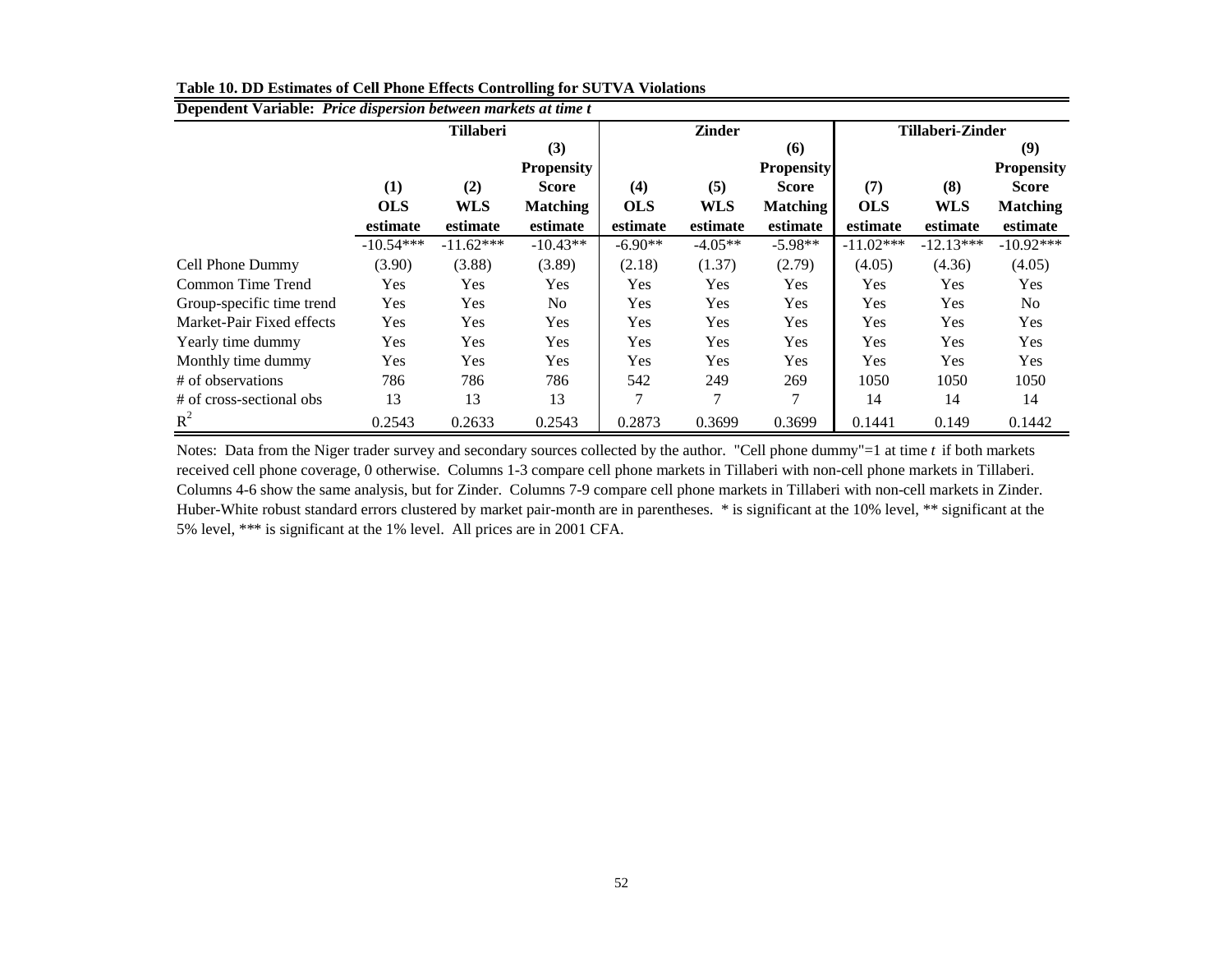|                           | Dependent Variable: Price dispersion between markets at time t |                  |                   |            |               |                   |             |                  |                   |
|---------------------------|----------------------------------------------------------------|------------------|-------------------|------------|---------------|-------------------|-------------|------------------|-------------------|
|                           |                                                                | <b>Tillaberi</b> |                   |            | <b>Zinder</b> |                   |             | Tillaberi-Zinder |                   |
|                           |                                                                |                  | (3)               |            |               | (6)               |             |                  | (9)               |
|                           |                                                                |                  | <b>Propensity</b> |            |               | <b>Propensity</b> |             |                  | <b>Propensity</b> |
|                           | (1)                                                            | (2)              | <b>Score</b>      | (4)        | (5)           | <b>Score</b>      | (7)         | (8)              | <b>Score</b>      |
|                           | <b>OLS</b>                                                     | <b>WLS</b>       | <b>Matching</b>   | <b>OLS</b> | <b>WLS</b>    | <b>Matching</b>   | <b>OLS</b>  | <b>WLS</b>       | <b>Matching</b>   |
|                           | estimate                                                       | estimate         | estimate          | estimate   | estimate      | estimate          | estimate    | estimate         | estimate          |
|                           | $-10.54***$                                                    | $-11.62***$      | $-10.43**$        | $-6.90**$  | $-4.05**$     | $-5.98**$         | $-11.02***$ | $-12.13***$      | $-10.92***$       |
| Cell Phone Dummy          | (3.90)                                                         | (3.88)           | (3.89)            | (2.18)     | (1.37)        | (2.79)            | (4.05)      | (4.36)           | (4.05)            |
| Common Time Trend         | Yes                                                            | Yes              | Yes               | Yes        | Yes           | Yes               | <b>Yes</b>  | Yes              | Yes               |
| Group-specific time trend | Yes                                                            | Yes              | No                | Yes        | Yes           | Yes               | <b>Yes</b>  | <b>Yes</b>       | N <sub>0</sub>    |
| Market-Pair Fixed effects | Yes                                                            | Yes              | Yes               | Yes        | <b>Yes</b>    | Yes               | <b>Yes</b>  | <b>Yes</b>       | <b>Yes</b>        |
| Yearly time dummy         | Yes                                                            | Yes              | Yes               | Yes        | Yes           | Yes               | <b>Yes</b>  | Yes              | Yes               |
| Monthly time dummy        | Yes                                                            | Yes              | Yes               | Yes        | <b>Yes</b>    | Yes               | Yes         | Yes              | <b>Yes</b>        |
| # of observations         | 786                                                            | 786              | 786               | 542        | 249           | 269               | 1050        | 1050             | 1050              |
| # of cross-sectional obs  | 13                                                             | 13               | 13                | 7          | 7             | 7                 | 14          | 14               | 14                |
| $R^2$                     | 0.2543                                                         | 0.2633           | 0.2543            | 0.2873     | 0.3699        | 0.3699            | 0.1441      | 0.149            | 0.1442            |

**Table 10. DD Estimates of Cell Phone Effects Controlling for SUTVA Violations**

Notes: Data from the Niger trader survey and secondary sources collected by the author. "Cell phone dummy"=1 at time *t* if both markets received cell phone coverage, 0 otherwise. Columns 1-3 compare cell phone markets in Tillaberi with non-cell phone markets in Tillaberi. Columns 4-6 show the same analysis, but for Zinder. Columns 7-9 compare cell phone markets in Tillaberi with non-cell markets in Zinder. Huber-White robust standard errors clustered by market pair-month are in parentheses. \* is significant at the 10% level, \*\* significant at the 5% level, \*\*\* is significant at the 1% level. All prices are in 2001 CFA.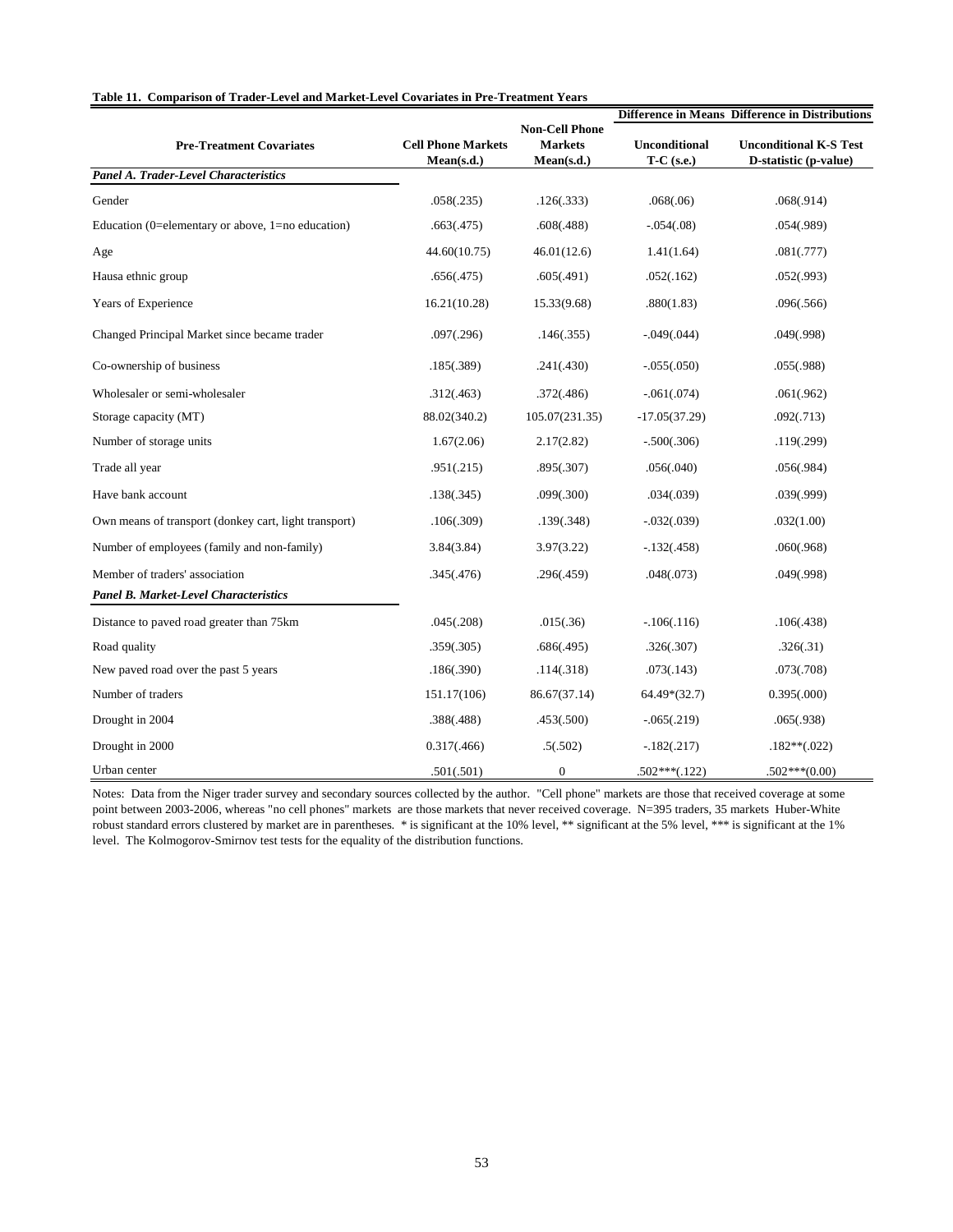|                                                       |                                         |                                                       | Difference in Means Difference in Distributions |                                                        |  |
|-------------------------------------------------------|-----------------------------------------|-------------------------------------------------------|-------------------------------------------------|--------------------------------------------------------|--|
| <b>Pre-Treatment Covariates</b>                       | <b>Cell Phone Markets</b><br>Mean(s.d.) | <b>Non-Cell Phone</b><br><b>Markets</b><br>Mean(s.d.) | Unconditional<br>$T-C$ (s.e.)                   | <b>Unconditional K-S Test</b><br>D-statistic (p-value) |  |
| Panel A. Trader-Level Characteristics                 |                                         |                                                       |                                                 |                                                        |  |
| Gender                                                | .058(.235)                              | .126(.333)                                            | .068(.06)                                       | .068(.914)                                             |  |
| Education (0=elementary or above, $1=$ no education)  | .663(.475)                              | .608(.488)                                            | $-.054(.08)$                                    | .054(.989)                                             |  |
| Age                                                   | 44.60(10.75)                            | 46.01(12.6)                                           | 1.41(1.64)                                      | .081(.777)                                             |  |
| Hausa ethnic group                                    | .656(.475)                              | .605(.491)                                            | .052(.162)                                      | .052(.993)                                             |  |
| Years of Experience                                   | 16.21(10.28)                            | 15.33(9.68)                                           | .880(1.83)                                      | .096(.566)                                             |  |
| Changed Principal Market since became trader          | .097(.296)                              | .146(.355)                                            | $-.049(.044)$                                   | .049(.998)                                             |  |
| Co-ownership of business                              | .185(.389)                              | .241(.430)                                            | $-0.055(.050)$                                  | .055(.988)                                             |  |
| Wholesaler or semi-wholesaler                         | .312(.463)                              | .372(.486)                                            | $-.061(.074)$                                   | .061(.962)                                             |  |
| Storage capacity (MT)                                 | 88.02(340.2)                            | 105.07(231.35)                                        | $-17.05(37.29)$                                 | .092(.713)                                             |  |
| Number of storage units                               | 1.67(2.06)                              | 2.17(2.82)                                            | $-.500(.306)$                                   | .119(.299)                                             |  |
| Trade all year                                        | .951(.215)                              | .895(.307)                                            | .056(.040)                                      | .056(.984)                                             |  |
| Have bank account                                     | .138(.345)                              | .099(.300)                                            | .034(.039)                                      | .039(.999)                                             |  |
| Own means of transport (donkey cart, light transport) | .106(.309)                              | .139(.348)                                            | $-.032(.039)$                                   | .032(1.00)                                             |  |
| Number of employees (family and non-family)           | 3.84(3.84)                              | 3.97(3.22)                                            | $-.132(.458)$                                   | .060(.968)                                             |  |
| Member of traders' association                        | .345(.476)                              | .296(.459)                                            | .048(.073)                                      | .049(.998)                                             |  |
| <b>Panel B. Market-Level Characteristics</b>          |                                         |                                                       |                                                 |                                                        |  |
| Distance to paved road greater than 75km              | .045(.208)                              | .015(.36)                                             | $-.106(.116)$                                   | .106(.438)                                             |  |
| Road quality                                          | .359(.305)                              | .686(.495)                                            | .326(.307)                                      | .326(.31)                                              |  |
| New paved road over the past 5 years                  | .186(.390)                              | .114(.318)                                            | .073(.143)                                      | .073(.708)                                             |  |
| Number of traders                                     | 151.17(106)                             | 86.67(37.14)                                          | $64.49*(32.7)$                                  | 0.395(.000)                                            |  |
| Drought in 2004                                       | .388(.488)                              | .453(.500)                                            | $-.065(.219)$                                   | .065(.938)                                             |  |
| Drought in 2000                                       | 0.317(.466)                             | .5(.502)                                              | $-.182(.217)$                                   | $.182**(.022)$                                         |  |
| Urban center                                          | .501(.501)                              | $\boldsymbol{0}$                                      | $.502***(.122)$                                 | $.502***(0.00)$                                        |  |

#### **Table 11. Comparison of Trader-Level and Market-Level Covariates in Pre-Treatment Years**

Notes: Data from the Niger trader survey and secondary sources collected by the author. "Cell phone" markets are those that received coverage at some point between 2003-2006, whereas "no cell phones" markets are those markets that never received coverage. N=395 traders, 35 markets Huber-White robust standard errors clustered by market are in parentheses. \* is significant at the 10% level, \*\* significant at the 5% level, \*\*\* is significant at the 1% level. The Kolmogorov-Smirnov test tests for the equality of the distribution functions.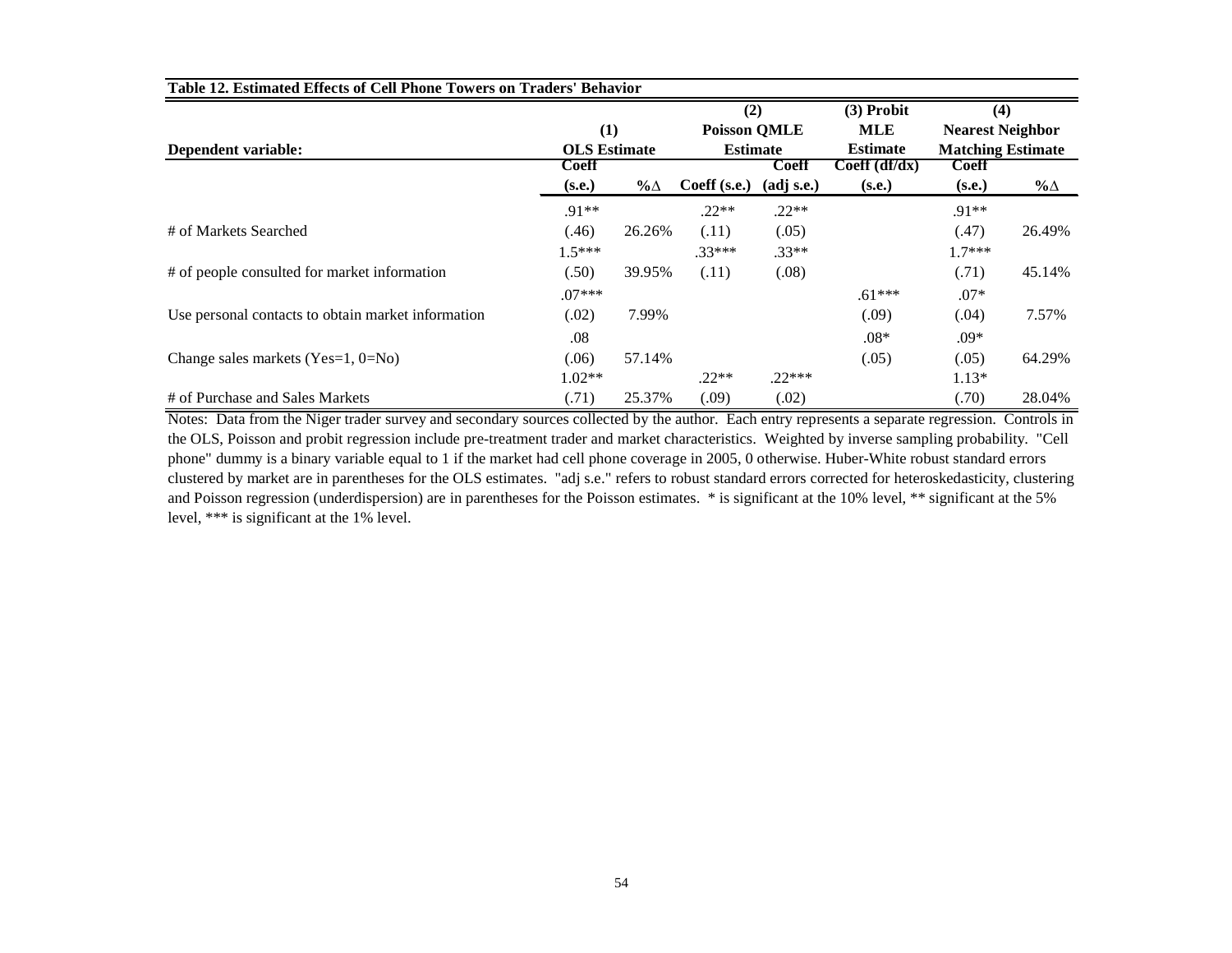| Table 12. Estimated Effects of Cell Phone Towers on Traders' Behavior |                     |            |                     |              |                 |                          |             |  |
|-----------------------------------------------------------------------|---------------------|------------|---------------------|--------------|-----------------|--------------------------|-------------|--|
|                                                                       |                     |            | (2)                 |              | $(3)$ Probit    | (4)                      |             |  |
|                                                                       | (1)                 |            | <b>Poisson QMLE</b> |              | <b>MLE</b>      | <b>Nearest Neighbor</b>  |             |  |
| Dependent variable:                                                   | <b>OLS</b> Estimate |            | <b>Estimate</b>     |              | <b>Estimate</b> | <b>Matching Estimate</b> |             |  |
|                                                                       | <b>Coeff</b>        |            |                     | <b>Coeff</b> | Coeff (df/dx)   | <b>Coeff</b>             |             |  |
|                                                                       | (s.e.)              | % $\Delta$ | $Coeff$ (s.e.)      | (adj s.e.)   | (s.e.)          | (s.e.)                   | $\% \Delta$ |  |
|                                                                       | $.91**$             |            | $.22**$             | $.22**$      |                 | $.91**$                  |             |  |
| # of Markets Searched                                                 | (.46)               | 26.26%     | (.11)               | (.05)        |                 | (.47)                    | 26.49%      |  |
|                                                                       | $1.5***$            |            | $.33***$            | $.33**$      |                 | $1.7***$                 |             |  |
| # of people consulted for market information                          | (.50)               | 39.95%     | (.11)               | (.08)        |                 | (.71)                    | 45.14%      |  |
|                                                                       | $.07***$            |            |                     |              | $.61***$        | $.07*$                   |             |  |
| Use personal contacts to obtain market information                    | (.02)               | 7.99%      |                     |              | (.09)           | (.04)                    | 7.57%       |  |
|                                                                       | .08                 |            |                     |              | $.08*$          | .09*                     |             |  |
| Change sales markets (Yes=1, $0=No$ )                                 | (.06)               | 57.14%     |                     |              | (.05)           | (.05)                    | 64.29%      |  |
|                                                                       | $1.02**$            |            | $.22**$             | $.22***$     |                 | $1.13*$                  |             |  |
| # of Purchase and Sales Markets                                       | (.71)               | 25.37%     | (.09)               | (.02)        |                 | (.70)                    | 28.04%      |  |

Notes: Data from the Niger trader survey and secondary sources collected by the author. Each entry represents a separate regression. Controls in the OLS, Poisson and probit regression include pre-treatment trader and market characteristics. Weighted by inverse sampling probability. "Cell phone" dummy is a binary variable equal to 1 if the market had cell phone coverage in 2005, 0 otherwise. Huber-White robust standard errors clustered by market are in parentheses for the OLS estimates. "adj s.e." refers to robust standard errors corrected for heteroskedasticity, clustering and Poisson regression (underdispersion) are in parentheses for the Poisson estimates. \* is significant at the 10% level, \*\* significant at the 5% level, \*\*\* is significant at the 1% level.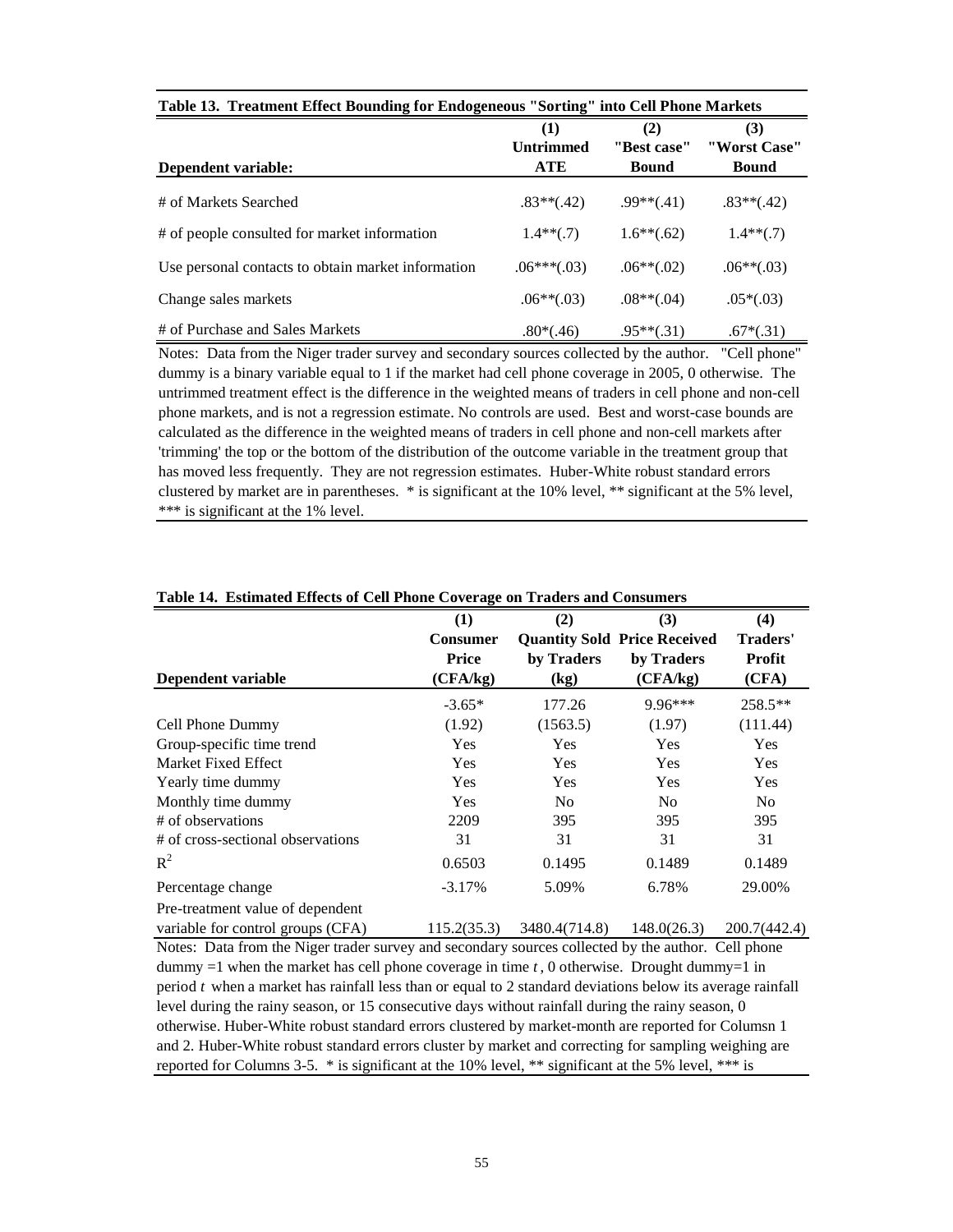| Table 13. Treatment Effect Bounding for Endogeneous "Sorting" into Cell Phone Markets |                  |               |              |  |
|---------------------------------------------------------------------------------------|------------------|---------------|--------------|--|
|                                                                                       | (1)              | (2)           | (3)          |  |
|                                                                                       | <b>Untrimmed</b> | "Best case"   | "Worst Case" |  |
| Dependent variable:                                                                   | <b>ATE</b>       | <b>Bound</b>  | <b>Bound</b> |  |
| # of Markets Searched                                                                 | $.83**(.42)$     | $.99**(.41)$  | $.83**(.42)$ |  |
| # of people consulted for market information                                          | $1.4**$ (.7)     | $1.6***(.62)$ | $1.4**(.7)$  |  |
| Use personal contacts to obtain market information                                    | $.06***(03)$     | $.06**(.02)$  | $.06**(.03)$ |  |
| Change sales markets                                                                  | $.06**(.03)$     | $.08**(.04)$  | $.05*(.03)$  |  |
| # of Purchase and Sales Markets                                                       | $.80*(.46)$      | $.95**(.31)$  | $.67*(.31)$  |  |

Notes: Data from the Niger trader survey and secondary sources collected by the author. "Cell phone" dummy is a binary variable equal to 1 if the market had cell phone coverage in 2005, 0 otherwise. The untrimmed treatment effect is the difference in the weighted means of traders in cell phone and non-cell phone markets, and is not a regression estimate. No controls are used. Best and worst-case bounds are calculated as the difference in the weighted means of traders in cell phone and non-cell markets after 'trimming' the top or the bottom of the distribution of the outcome variable in the treatment group that has moved less frequently. They are not regression estimates. Huber-White robust standard errors clustered by market are in parentheses. \* is significant at the 10% level, \*\* significant at the 5% level, \*\*\* is significant at the 1% level.

|                                                                                                                                        | (1)                           | (2)                | (3)                                                           | (4)                         |
|----------------------------------------------------------------------------------------------------------------------------------------|-------------------------------|--------------------|---------------------------------------------------------------|-----------------------------|
| Dependent variable                                                                                                                     | Consumer<br>Price<br>(CFA/kg) | by Traders<br>(kg) | <b>Quantity Sold Price Received</b><br>by Traders<br>(CFA/kg) | Traders'<br>Profit<br>(CFA) |
|                                                                                                                                        | $-3.65*$                      | 177.26             | 9.96***                                                       | 258.5**                     |
| Cell Phone Dummy                                                                                                                       | (1.92)                        | (1563.5)           | (1.97)                                                        | (111.44)                    |
| Group-specific time trend                                                                                                              | Yes                           | Yes                | <b>Yes</b>                                                    | <b>Yes</b>                  |
| Market Fixed Effect                                                                                                                    | Yes                           | Yes                | <b>Yes</b>                                                    | Yes                         |
| Yearly time dummy                                                                                                                      | Yes                           | Yes                | <b>Yes</b>                                                    | <b>Yes</b>                  |
| Monthly time dummy                                                                                                                     | Yes                           | N <sub>0</sub>     | N <sub>0</sub>                                                | N <sub>0</sub>              |
| # of observations                                                                                                                      | 2209                          | 395                | 395                                                           | 395                         |
| # of cross-sectional observations                                                                                                      | 31                            | 31                 | 31                                                            | 31                          |
| $R^2$                                                                                                                                  | 0.6503                        | 0.1495             | 0.1489                                                        | 0.1489                      |
| Percentage change                                                                                                                      | $-3.17%$                      | 5.09%              | 6.78%                                                         | 29.00%                      |
| Pre-treatment value of dependent                                                                                                       |                               |                    |                                                               |                             |
| variable for control groups (CFA)<br>Matan : Data form the Misso too decommenced as another camera calleded by the suther  Oill observ | 115.2(35.3)                   | 3480.4(714.8)      | 148.0(26.3)                                                   | 200.7(442.4)                |

#### **Table 14. Estimated Effects of Cell Phone Coverage on Traders and Consumers**

Notes: Data from the Niger trader survey and secondary sources collected by the author. Cell phone dummy  $=1$  when the market has cell phone coverage in time *t*, 0 otherwise. Drought dummy $=1$  in period *t* when a market has rainfall less than or equal to 2 standard deviations below its average rainfall level during the rainy season, or 15 consecutive days without rainfall during the rainy season, 0 otherwise. Huber-White robust standard errors clustered by market-month are reported for Columsn 1 and 2. Huber-White robust standard errors cluster by market and correcting for sampling weighing are reported for Columns 3-5. \* is significant at the 10% level, \*\* significant at the 5% level, \*\*\* is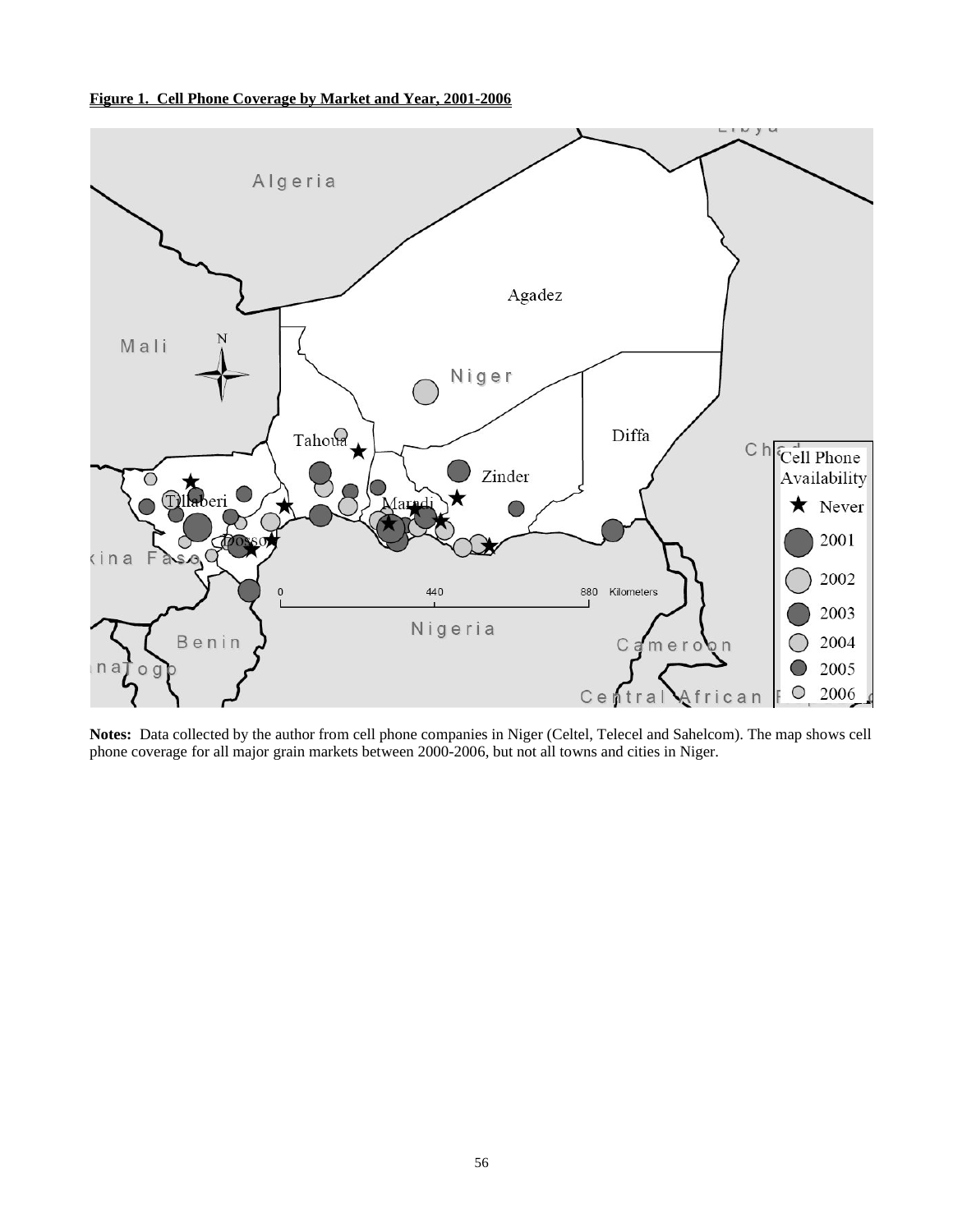**Figure 1. Cell Phone Coverage by Market and Year, 2001-2006**



**Notes:** Data collected by the author from cell phone companies in Niger (Celtel, Telecel and Sahelcom). The map shows cell phone coverage for all major grain markets between 2000-2006, but not all towns and cities in Niger.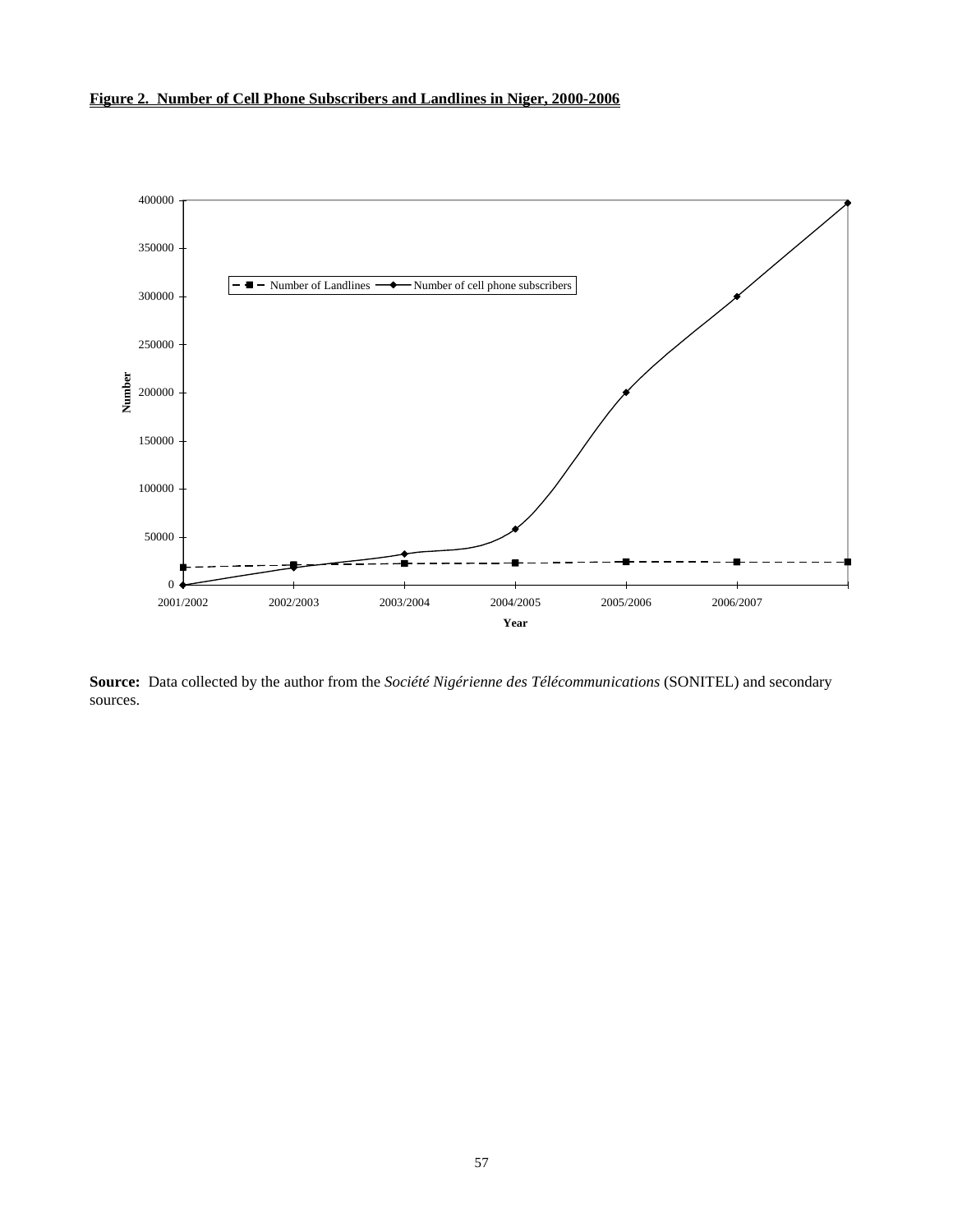

**Source:** Data collected by the author from the *Société Nigérienne des Télécommunications* (SONITEL) and secondary sources.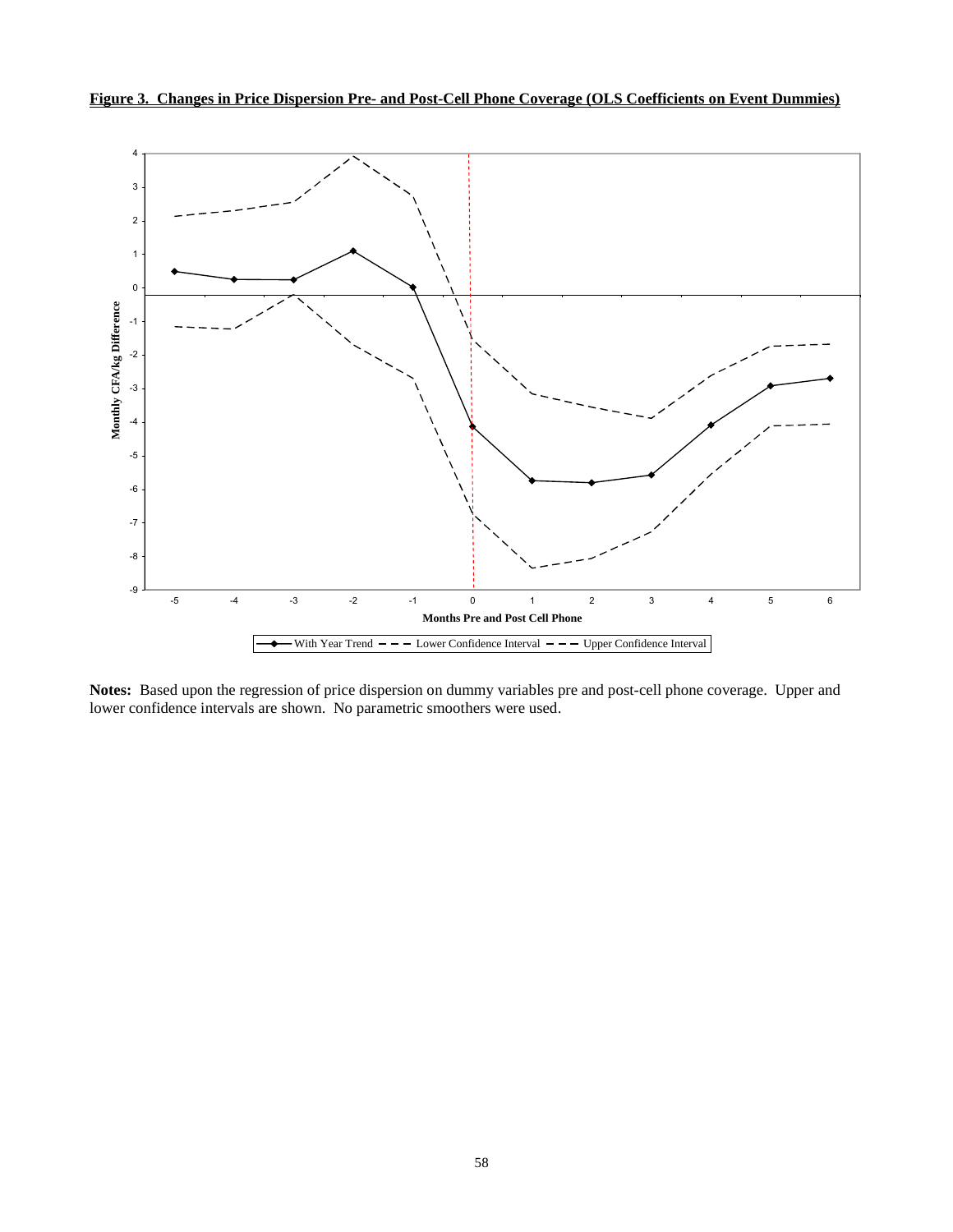**Figure 3. Changes in Price Dispersion Pre- and Post-Cell Phone Coverage (OLS Coefficients on Event Dummies)**



**Notes:** Based upon the regression of price dispersion on dummy variables pre and post-cell phone coverage. Upper and lower confidence intervals are shown. No parametric smoothers were used.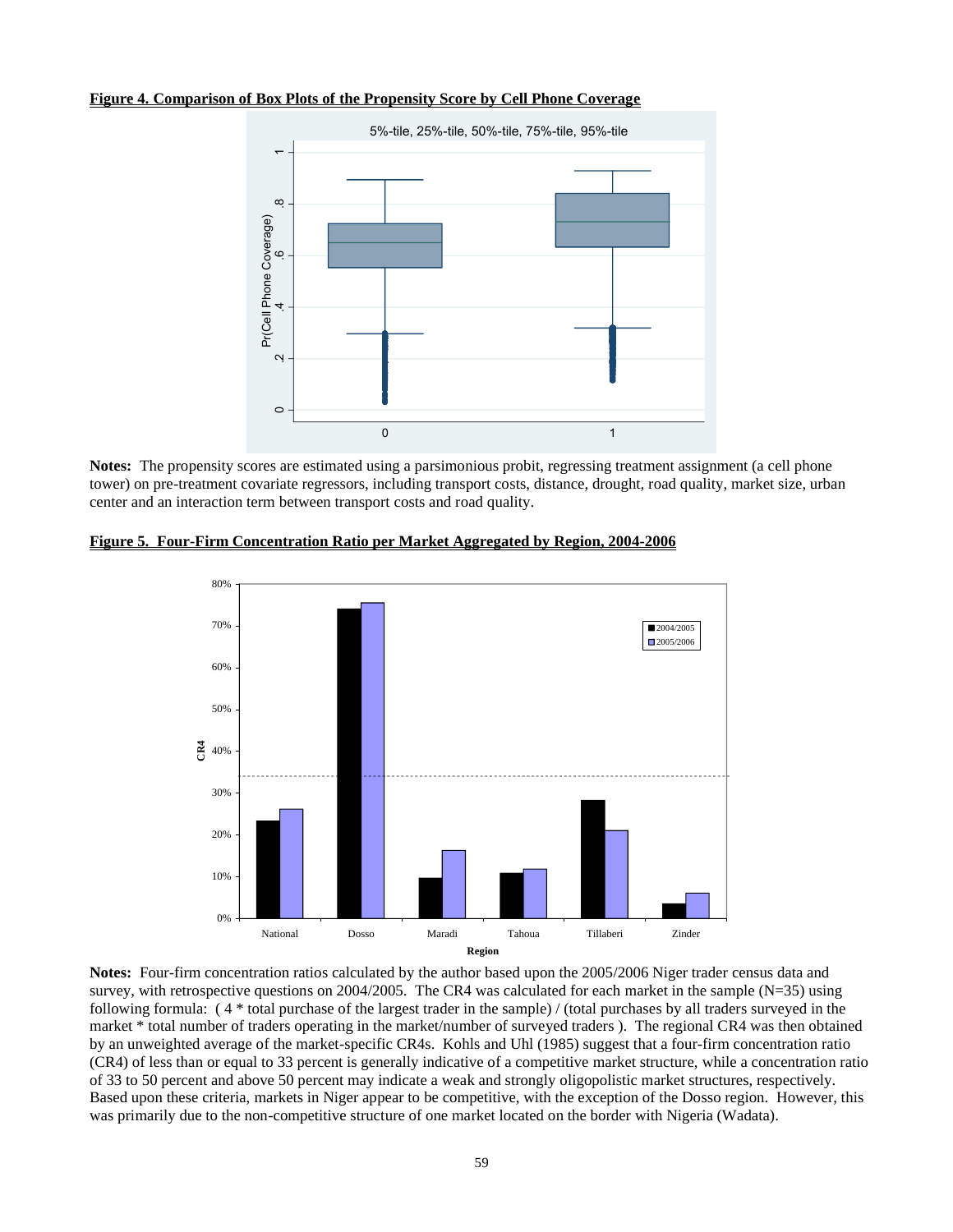#### **Figure 4. Comparison of Box Plots of the Propensity Score by Cell Phone Coverage**



**Notes:** The propensity scores are estimated using a parsimonious probit, regressing treatment assignment (a cell phone tower) on pre-treatment covariate regressors, including transport costs, distance, drought, road quality, market size, urban center and an interaction term between transport costs and road quality.





**Notes:** Four-firm concentration ratios calculated by the author based upon the 2005/2006 Niger trader census data and survey, with retrospective questions on 2004/2005. The CR4 was calculated for each market in the sample (N=35) using following formula: ( 4 \* total purchase of the largest trader in the sample) / (total purchases by all traders surveyed in the market \* total number of traders operating in the market/number of surveyed traders ). The regional CR4 was then obtained by an unweighted average of the market-specific CR4s. Kohls and Uhl (1985) suggest that a four-firm concentration ratio (CR4) of less than or equal to 33 percent is generally indicative of a competitive market structure, while a concentration ratio of 33 to 50 percent and above 50 percent may indicate a weak and strongly oligopolistic market structures, respectively. Based upon these criteria, markets in Niger appear to be competitive, with the exception of the Dosso region. However, this was primarily due to the non-competitive structure of one market located on the border with Nigeria (Wadata).